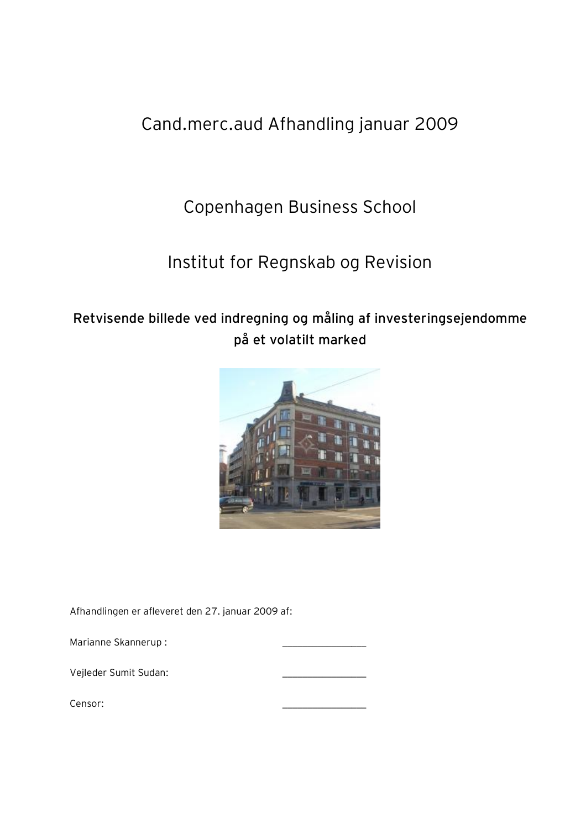# Cand.merc.aud Afhandling januar 2009

# Copenhagen Business School

# Institut for Regnskab og Revision

# **Retvisende billede ved indregning og måling af investeringsejendomme på et volatilt marked**



Afhandlingen er afleveret den 27. januar 2009 af:

Marianne Skannerup :

Vejleder Sumit Sudan: \_\_\_\_\_\_\_\_\_\_\_\_\_\_\_\_\_

Censor: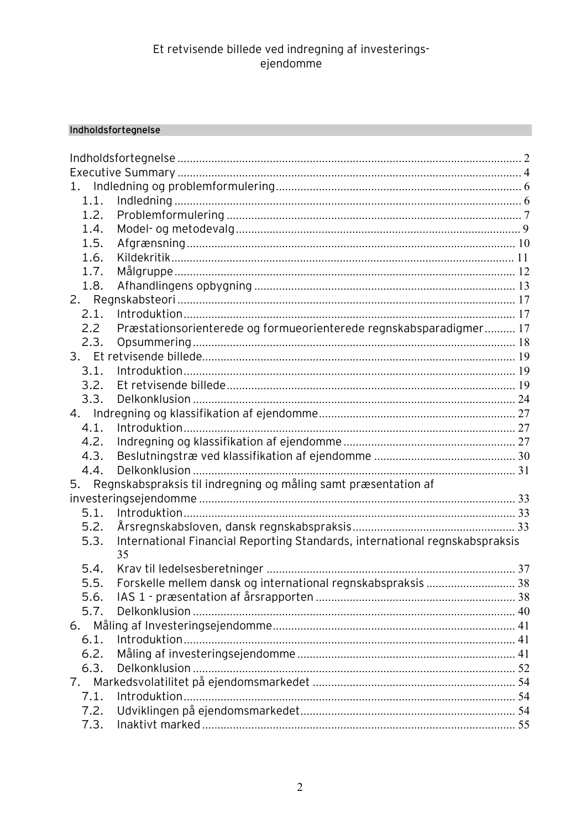## Indholdsfortegnelse

| 1.            |                                                                                   |  |
|---------------|-----------------------------------------------------------------------------------|--|
| 1.1.          |                                                                                   |  |
| 1.2.          |                                                                                   |  |
| 1.4.          |                                                                                   |  |
| 1.5.          |                                                                                   |  |
| 1.6.          |                                                                                   |  |
| 1.7.          |                                                                                   |  |
| 1.8.          |                                                                                   |  |
|               |                                                                                   |  |
| 2.1.          |                                                                                   |  |
| $2.2^{\circ}$ | Præstationsorienterede og formueorienterede regnskabsparadigmer 17                |  |
| 2.3.          |                                                                                   |  |
|               |                                                                                   |  |
| 3.1.          |                                                                                   |  |
| 3.2.          |                                                                                   |  |
| 3.3.          |                                                                                   |  |
|               |                                                                                   |  |
| 4.1.          |                                                                                   |  |
| 4.2.          |                                                                                   |  |
| 4.3.          |                                                                                   |  |
| 4.4.          |                                                                                   |  |
|               | 5. Regnskabspraksis til indregning og måling samt præsentation af                 |  |
|               |                                                                                   |  |
| 5.1.          |                                                                                   |  |
| 5.2.          |                                                                                   |  |
| 5.3.          | International Financial Reporting Standards, international regnskabspraksis<br>35 |  |
| 5.4.          |                                                                                   |  |
| 5.5.          | Forskelle mellem dansk og international regnskabspraksis  38                      |  |
| 5.6.          |                                                                                   |  |
| 5.7.          |                                                                                   |  |
|               |                                                                                   |  |
| 6.1.          |                                                                                   |  |
| 6.2.          |                                                                                   |  |
| 6.3.          |                                                                                   |  |
| 7.            |                                                                                   |  |
| 7.1.          |                                                                                   |  |
| 7.2.          |                                                                                   |  |
| 7.3.          |                                                                                   |  |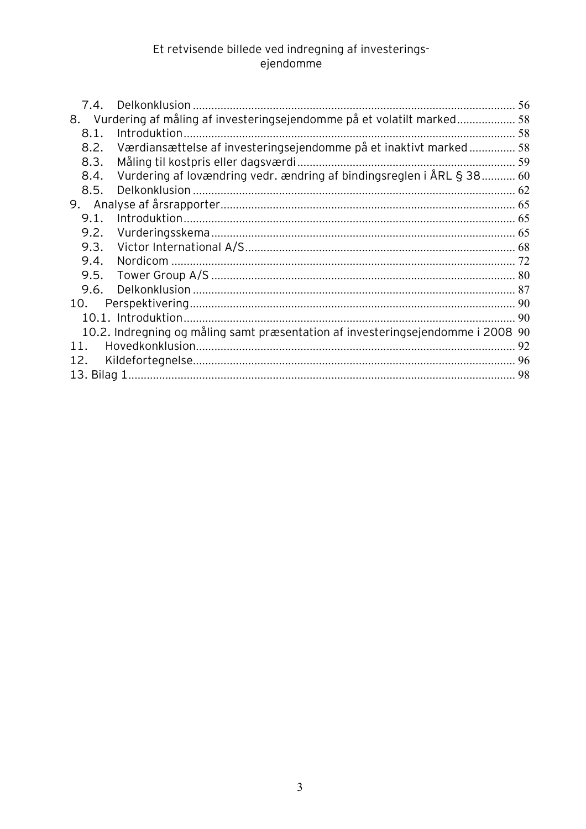| 7.4. | Delkonklusion                                                                | 56 |  |
|------|------------------------------------------------------------------------------|----|--|
| 8.   | Vurdering af måling af investeringsejendomme på et volatilt marked           | 58 |  |
| 8.1. |                                                                              |    |  |
|      |                                                                              |    |  |
| 8.2. | Værdiansættelse af investeringsejendomme på et inaktivt marked 58            |    |  |
| 8.3. | Måling til kostpris eller dagsværdi.                                         |    |  |
| 8.4. | Vurdering af lovændring vedr. ændring af bindingsreglen i ÅRL § 38 60        |    |  |
| 8.5. |                                                                              |    |  |
| 9.   |                                                                              |    |  |
| 9.1. |                                                                              | 65 |  |
| 9.2. |                                                                              | 65 |  |
| 9.3. |                                                                              |    |  |
| 9.4. |                                                                              |    |  |
| 9.5. |                                                                              |    |  |
| 9.6. |                                                                              | 87 |  |
| 10.  |                                                                              |    |  |
|      |                                                                              | 90 |  |
|      | 10.2. Indregning og måling samt præsentation af investeringsejendomme i 2008 | 90 |  |
| 11   |                                                                              | 92 |  |
| 12.  |                                                                              | 96 |  |
|      |                                                                              |    |  |
|      |                                                                              |    |  |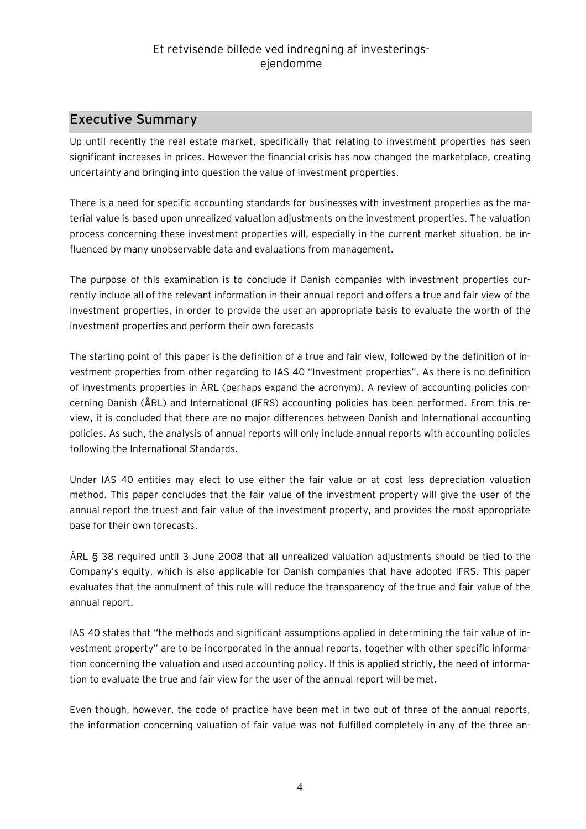## **Executive Summary**

Up until recently the real estate market, specifically that relating to investment properties has seen significant increases in prices. However the financial crisis has now changed the marketplace, creating uncertainty and bringing into question the value of investment properties.

There is a need for specific accounting standards for businesses with investment properties as the material value is based upon unrealized valuation adjustments on the investment properties. The valuation process concerning these investment properties will, especially in the current market situation, be influenced by many unobservable data and evaluations from management.

The purpose of this examination is to conclude if Danish companies with investment properties currently include all of the relevant information in their annual report and offers a true and fair view of the investment properties, in order to provide the user an appropriate basis to evaluate the worth of the investment properties and perform their own forecasts

The starting point of this paper is the definition of a true and fair view, followed by the definition of investment properties from other regarding to IAS 40 "Investment properties". As there is no definition of investments properties in ÅRL (perhaps expand the acronym). A review of accounting policies concerning Danish (ÅRL) and International (IFRS) accounting policies has been performed. From this review, it is concluded that there are no major differences between Danish and International accounting policies. As such, the analysis of annual reports will only include annual reports with accounting policies following the International Standards.

Under IAS 40 entities may elect to use either the fair value or at cost less depreciation valuation method. This paper concludes that the fair value of the investment property will give the user of the annual report the truest and fair value of the investment property, and provides the most appropriate base for their own forecasts.

ÅRL § 38 required until 3 June 2008 that all unrealized valuation adjustments should be tied to the Company's equity, which is also applicable for Danish companies that have adopted IFRS. This paper evaluates that the annulment of this rule will reduce the transparency of the true and fair value of the annual report.

IAS 40 states that "the methods and significant assumptions applied in determining the fair value of investment property" are to be incorporated in the annual reports, together with other specific information concerning the valuation and used accounting policy. If this is applied strictly, the need of information to evaluate the true and fair view for the user of the annual report will be met.

Even though, however, the code of practice have been met in two out of three of the annual reports, the information concerning valuation of fair value was not fulfilled completely in any of the three an-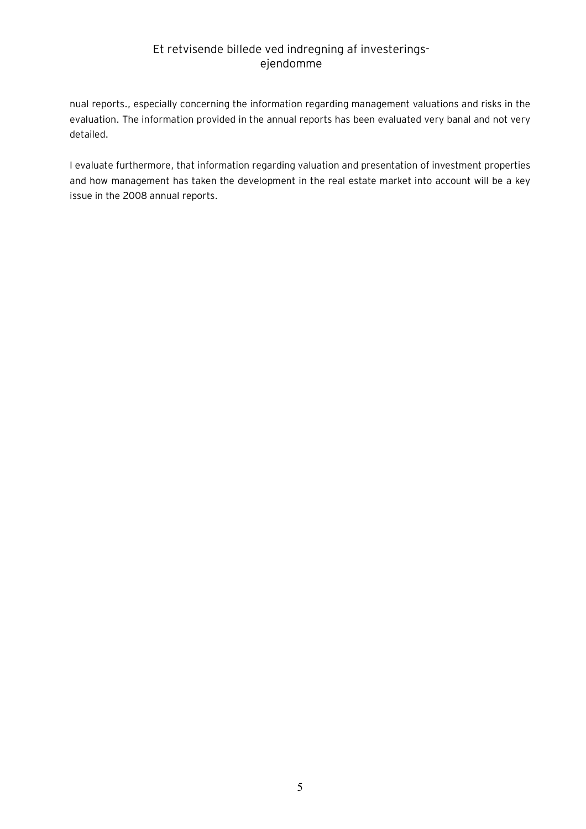nual reports., especially concerning the information regarding management valuations and risks in the evaluation. The information provided in the annual reports has been evaluated very banal and not very detailed.

I evaluate furthermore, that information regarding valuation and presentation of investment properties and how management has taken the development in the real estate market into account will be a key issue in the 2008 annual reports.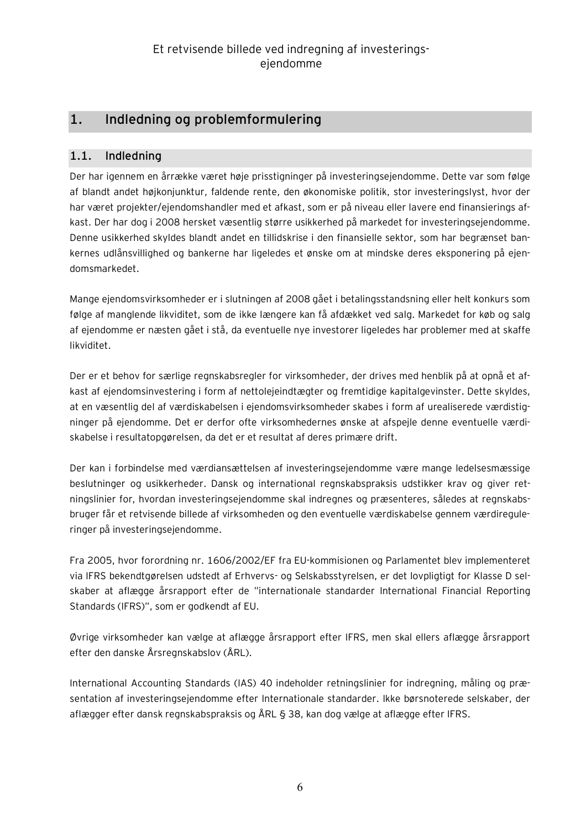## **1. Indledning og problemformulering**

## **1.1. Indledning**

Der har igennem en årrække været høje prisstigninger på investeringsejendomme. Dette var som følge af blandt andet højkonjunktur, faldende rente, den økonomiske politik, stor investeringslyst, hvor der har været projekter/ejendomshandler med et afkast, som er på niveau eller lavere end finansierings afkast. Der har dog i 2008 hersket væsentlig større usikkerhed på markedet for investeringsejendomme. Denne usikkerhed skyldes blandt andet en tillidskrise i den finansielle sektor, som har begrænset bankernes udlånsvillighed og bankerne har ligeledes et ønske om at mindske deres eksponering på ejendomsmarkedet.

Mange ejendomsvirksomheder er i slutningen af 2008 gået i betalingsstandsning eller helt konkurs som følge af manglende likviditet, som de ikke længere kan få afdækket ved salg. Markedet for køb og salg af ejendomme er næsten gået i stå, da eventuelle nye investorer ligeledes har problemer med at skaffe likviditet.

Der er et behov for særlige regnskabsregler for virksomheder, der drives med henblik på at opnå et afkast af ejendomsinvestering i form af nettolejeindtægter og fremtidige kapitalgevinster. Dette skyldes, at en væsentlig del af værdiskabelsen i ejendomsvirksomheder skabes i form af urealiserede værdistigninger på ejendomme. Det er derfor ofte virksomhedernes ønske at afspejle denne eventuelle værdiskabelse i resultatopgørelsen, da det er et resultat af deres primære drift.

Der kan i forbindelse med værdiansættelsen af investeringsejendomme være mange ledelsesmæssige beslutninger og usikkerheder. Dansk og international regnskabspraksis udstikker krav og giver retningslinier for, hvordan investeringsejendomme skal indregnes og præsenteres, således at regnskabsbruger får et retvisende billede af virksomheden og den eventuelle værdiskabelse gennem værdireguleringer på investeringsejendomme.

Fra 2005, hvor forordning nr. 1606/2002/EF fra EU-kommisionen og Parlamentet blev implementeret via IFRS bekendtgørelsen udstedt af Erhvervs- og Selskabsstyrelsen, er det lovpligtigt for Klasse D selskaber at aflægge årsrapport efter de "internationale standarder International Financial Reporting Standards (IFRS)", som er godkendt af EU.

Øvrige virksomheder kan vælge at aflægge årsrapport efter IFRS, men skal ellers aflægge årsrapport efter den danske Årsregnskabslov (ÅRL).

International Accounting Standards (IAS) 40 indeholder retningslinier for indregning, måling og præsentation af investeringsejendomme efter Internationale standarder. Ikke børsnoterede selskaber, der aflægger efter dansk regnskabspraksis og ÅRL § 38, kan dog vælge at aflægge efter IFRS.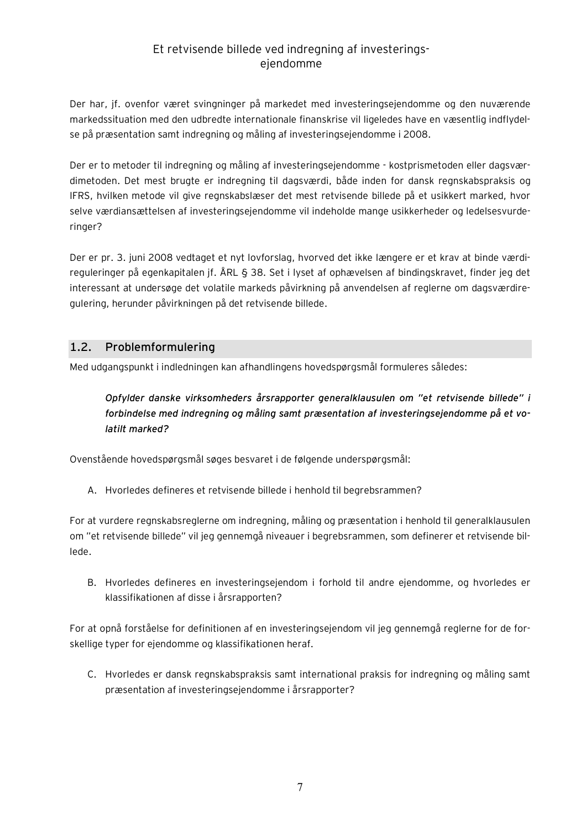Der har, jf. ovenfor været svingninger på markedet med investeringsejendomme og den nuværende markedssituation med den udbredte internationale finanskrise vil ligeledes have en væsentlig indflydelse på præsentation samt indregning og måling af investeringsejendomme i 2008.

Der er to metoder til indregning og måling af investeringsejendomme - kostprismetoden eller dagsværdimetoden. Det mest brugte er indregning til dagsværdi, både inden for dansk regnskabspraksis og IFRS, hvilken metode vil give regnskabslæser det mest retvisende billede på et usikkert marked, hvor selve værdiansættelsen af investeringsejendomme vil indeholde mange usikkerheder og ledelsesvurderinger?

Der er pr. 3. juni 2008 vedtaget et nyt lovforslag, hvorved det ikke længere er et krav at binde værdireguleringer på egenkapitalen jf. ÅRL § 38. Set i lyset af ophævelsen af bindingskravet, finder jeg det interessant at undersøge det volatile markeds påvirkning på anvendelsen af reglerne om dagsværdiregulering, herunder påvirkningen på det retvisende billede.

## **1.2. Problemformulering**

Med udgangspunkt i indledningen kan afhandlingens hovedspørgsmål formuleres således:

*Opfylder danske virksomheders årsrapporter generalklausulen om "et retvisende billede" i forbindelse med indregning og måling samt præsentation af investeringsejendomme på et volatilt marked?* 

Ovenstående hovedspørgsmål søges besvaret i de følgende underspørgsmål:

A. Hvorledes defineres et retvisende billede i henhold til begrebsrammen?

For at vurdere regnskabsreglerne om indregning, måling og præsentation i henhold til generalklausulen om "et retvisende billede" vil jeg gennemgå niveauer i begrebsrammen, som definerer et retvisende billede.

B. Hvorledes defineres en investeringsejendom i forhold til andre ejendomme, og hvorledes er klassifikationen af disse i årsrapporten?

For at opnå forståelse for definitionen af en investeringsejendom vil jeg gennemgå reglerne for de forskellige typer for ejendomme og klassifikationen heraf.

C. Hvorledes er dansk regnskabspraksis samt international praksis for indregning og måling samt præsentation af investeringsejendomme i årsrapporter?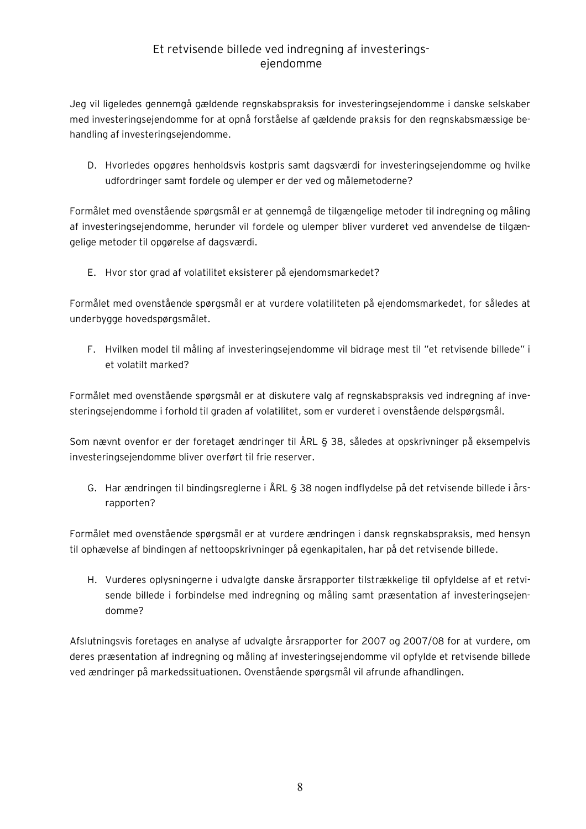Jeg vil ligeledes gennemgå gældende regnskabspraksis for investeringsejendomme i danske selskaber med investeringsejendomme for at opnå forståelse af gældende praksis for den regnskabsmæssige behandling af investeringsejendomme.

D. Hvorledes opgøres henholdsvis kostpris samt dagsværdi for investeringsejendomme og hvilke udfordringer samt fordele og ulemper er der ved og målemetoderne?

Formålet med ovenstående spørgsmål er at gennemgå de tilgængelige metoder til indregning og måling af investeringsejendomme, herunder vil fordele og ulemper bliver vurderet ved anvendelse de tilgængelige metoder til opgørelse af dagsværdi.

E. Hvor stor grad af volatilitet eksisterer på ejendomsmarkedet?

Formålet med ovenstående spørgsmål er at vurdere volatiliteten på ejendomsmarkedet, for således at underbygge hovedspørgsmålet.

F. Hvilken model til måling af investeringsejendomme vil bidrage mest til "et retvisende billede" i et volatilt marked?

Formålet med ovenstående spørgsmål er at diskutere valg af regnskabspraksis ved indregning af investeringsejendomme i forhold til graden af volatilitet, som er vurderet i ovenstående delspørgsmål.

Som nævnt ovenfor er der foretaget ændringer til ÅRL § 38, således at opskrivninger på eksempelvis investeringsejendomme bliver overført til frie reserver.

G. Har ændringen til bindingsreglerne i ÅRL § 38 nogen indflydelse på det retvisende billede i årsrapporten?

Formålet med ovenstående spørgsmål er at vurdere ændringen i dansk regnskabspraksis, med hensyn til ophævelse af bindingen af nettoopskrivninger på egenkapitalen, har på det retvisende billede.

H. Vurderes oplysningerne i udvalgte danske årsrapporter tilstrækkelige til opfyldelse af et retvisende billede i forbindelse med indregning og måling samt præsentation af investeringsejendomme?

Afslutningsvis foretages en analyse af udvalgte årsrapporter for 2007 og 2007/08 for at vurdere, om deres præsentation af indregning og måling af investeringsejendomme vil opfylde et retvisende billede ved ændringer på markedssituationen. Ovenstående spørgsmål vil afrunde afhandlingen.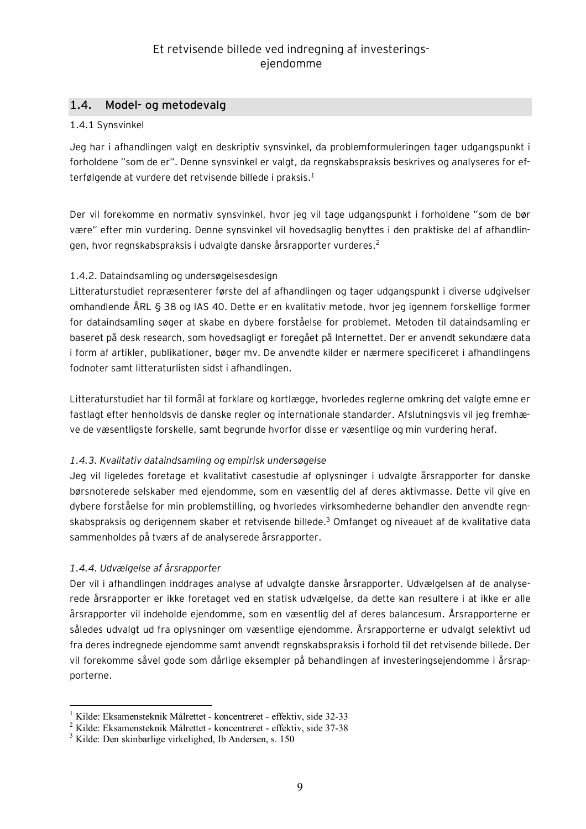#### **1.4. Model- og metodevalg**

#### 1.4.1 Synsvinkel

Jeg har i afhandlingen valgt en deskriptiv synsvinkel, da problemformuleringen tager udgangspunkt i forholdene "som de er". Denne synsvinkel er valgt, da regnskabspraksis beskrives og analyseres for efterfølgende at vurdere det retvisende billede i praksis. $^1$ 

Der vil forekomme en normativ synsvinkel, hvor jeg vil tage udgangspunkt i forholdene "som de bør være" efter min vurdering. Denne synsvinkel vil hovedsaglig benyttes i den praktiske del af afhandlingen, hvor regnskabspraksis i udvalgte danske årsrapporter vurderes.<sup>2</sup>

#### 1.4.2. Dataindsamling og undersøgelsesdesign

Litteraturstudiet repræsenterer første del af afhandlingen og tager udgangspunkt i diverse udgivelser omhandlende ÅRL § 38 og IAS 40. Dette er en kvalitativ metode, hvor jeg igennem forskellige former for dataindsamling søger at skabe en dybere forståelse for problemet. Metoden til dataindsamling er baseret på desk research, som hovedsagligt er foregået på Internettet. Der er anvendt sekundære data i form af artikler, publikationer, bøger mv. De anvendte kilder er nærmere specificeret i afhandlingens fodnoter samt litteraturlisten sidst i afhandlingen.

Litteraturstudiet har til formål at forklare og kortlægge, hvorledes reglerne omkring det valgte emne er fastlagt efter henholdsvis de danske regler og internationale standarder. Afslutningsvis vil jeg fremhæve de væsentligste forskelle, samt begrunde hvorfor disse er væsentlige og min vurdering heraf.

#### *1.4.3. Kvalitativ dataindsamling og empirisk undersøgelse*

Jeg vil ligeledes foretage et kvalitativt casestudie af oplysninger i udvalgte årsrapporter for danske børsnoterede selskaber med ejendomme, som en væsentlig del af deres aktivmasse. Dette vil give en dybere forståelse for min problemstilling, og hvorledes virksomhederne behandler den anvendte regnskabspraksis og derigennem skaber et retvisende billede.<sup>3</sup> Omfanget og niveauet af de kvalitative data sammenholdes på tværs af de analyserede årsrapporter.

#### *1.4.4. Udvælgelse af årsrapporter*

 $\overline{a}$ 

Der vil i afhandlingen inddrages analyse af udvalgte danske årsrapporter. Udvælgelsen af de analyserede årsrapporter er ikke foretaget ved en statisk udvælgelse, da dette kan resultere i at ikke er alle årsrapporter vil indeholde ejendomme, som en væsentlig del af deres balancesum. Årsrapporterne er således udvalgt ud fra oplysninger om væsentlige ejendomme. Årsrapporterne er udvalgt selektivt ud fra deres indregnede ejendomme samt anvendt regnskabspraksis i forhold til det retvisende billede. Der vil forekomme såvel gode som dårlige eksempler på behandlingen af investeringsejendomme i årsrapporterne.

<sup>1</sup> Kilde: Eksamensteknik Målrettet - koncentreret - effektiv, side 32-33

 $2$  Kilde: Eksamensteknik Målrettet - koncentreret - effektiv, side 37-38

<sup>3</sup> Kilde: Den skinbarlige virkelighed, Ib Andersen, s. 150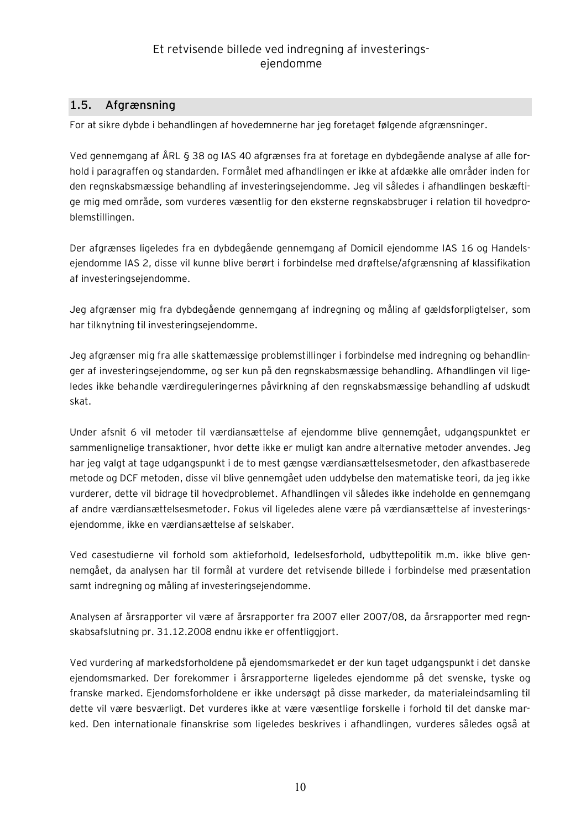## **1.5. Afgrænsning**

For at sikre dybde i behandlingen af hovedemnerne har jeg foretaget følgende afgrænsninger.

Ved gennemgang af ÅRL § 38 og IAS 40 afgrænses fra at foretage en dybdegående analyse af alle forhold i paragraffen og standarden. Formålet med afhandlingen er ikke at afdække alle områder inden for den regnskabsmæssige behandling af investeringsejendomme. Jeg vil således i afhandlingen beskæftige mig med område, som vurderes væsentlig for den eksterne regnskabsbruger i relation til hovedproblemstillingen.

Der afgrænses ligeledes fra en dybdegående gennemgang af Domicil ejendomme IAS 16 og Handelsejendomme IAS 2, disse vil kunne blive berørt i forbindelse med drøftelse/afgrænsning af klassifikation af investeringsejendomme.

Jeg afgrænser mig fra dybdegående gennemgang af indregning og måling af gældsforpligtelser, som har tilknytning til investeringsejendomme.

Jeg afgrænser mig fra alle skattemæssige problemstillinger i forbindelse med indregning og behandlinger af investeringsejendomme, og ser kun på den regnskabsmæssige behandling. Afhandlingen vil ligeledes ikke behandle værdireguleringernes påvirkning af den regnskabsmæssige behandling af udskudt skat.

Under afsnit 6 vil metoder til værdiansættelse af ejendomme blive gennemgået, udgangspunktet er sammenlignelige transaktioner, hvor dette ikke er muligt kan andre alternative metoder anvendes. Jeg har jeg valgt at tage udgangspunkt i de to mest gængse værdiansættelsesmetoder, den afkastbaserede metode og DCF metoden, disse vil blive gennemgået uden uddybelse den matematiske teori, da jeg ikke vurderer, dette vil bidrage til hovedproblemet. Afhandlingen vil således ikke indeholde en gennemgang af andre værdiansættelsesmetoder. Fokus vil ligeledes alene være på værdiansættelse af investeringsejendomme, ikke en værdiansættelse af selskaber.

Ved casestudierne vil forhold som aktieforhold, ledelsesforhold, udbyttepolitik m.m. ikke blive gennemgået, da analysen har til formål at vurdere det retvisende billede i forbindelse med præsentation samt indregning og måling af investeringsejendomme.

Analysen af årsrapporter vil være af årsrapporter fra 2007 eller 2007/08, da årsrapporter med regnskabsafslutning pr. 31.12.2008 endnu ikke er offentliggjort.

Ved vurdering af markedsforholdene på ejendomsmarkedet er der kun taget udgangspunkt i det danske ejendomsmarked. Der forekommer i årsrapporterne ligeledes ejendomme på det svenske, tyske og franske marked. Ejendomsforholdene er ikke undersøgt på disse markeder, da materialeindsamling til dette vil være besværligt. Det vurderes ikke at være væsentlige forskelle i forhold til det danske marked. Den internationale finanskrise som ligeledes beskrives i afhandlingen, vurderes således også at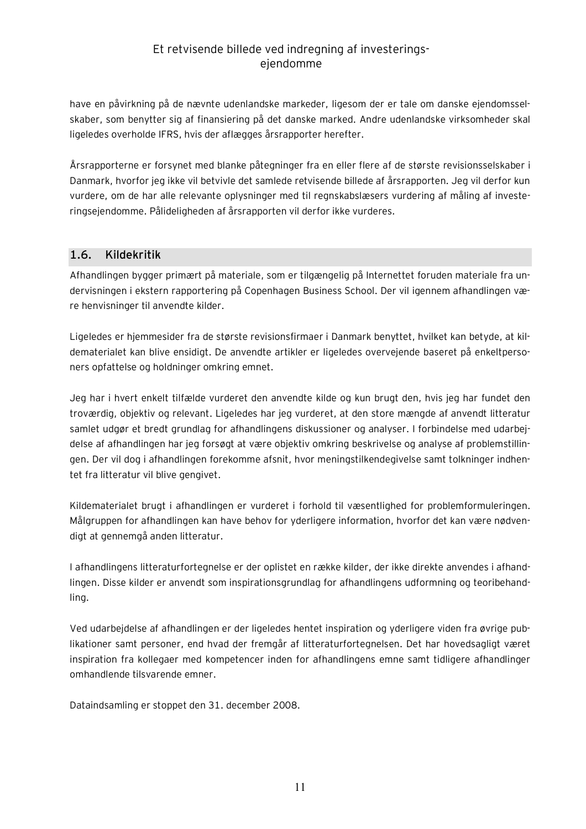have en påvirkning på de nævnte udenlandske markeder, ligesom der er tale om danske ejendomsselskaber, som benytter sig af finansiering på det danske marked. Andre udenlandske virksomheder skal ligeledes overholde IFRS, hvis der aflægges årsrapporter herefter.

Årsrapporterne er forsynet med blanke påtegninger fra en eller flere af de største revisionsselskaber i Danmark, hvorfor jeg ikke vil betvivle det samlede retvisende billede af årsrapporten. Jeg vil derfor kun vurdere, om de har alle relevante oplysninger med til regnskabslæsers vurdering af måling af investeringsejendomme. Pålideligheden af årsrapporten vil derfor ikke vurderes.

## **1.6. Kildekritik**

Afhandlingen bygger primært på materiale, som er tilgængelig på Internettet foruden materiale fra undervisningen i ekstern rapportering på Copenhagen Business School. Der vil igennem afhandlingen være henvisninger til anvendte kilder.

Ligeledes er hjemmesider fra de største revisionsfirmaer i Danmark benyttet, hvilket kan betyde, at kildematerialet kan blive ensidigt. De anvendte artikler er ligeledes overvejende baseret på enkeltpersoners opfattelse og holdninger omkring emnet.

Jeg har i hvert enkelt tilfælde vurderet den anvendte kilde og kun brugt den, hvis jeg har fundet den troværdig, objektiv og relevant. Ligeledes har jeg vurderet, at den store mængde af anvendt litteratur samlet udgør et bredt grundlag for afhandlingens diskussioner og analyser. I forbindelse med udarbejdelse af afhandlingen har jeg forsøgt at være objektiv omkring beskrivelse og analyse af problemstillingen. Der vil dog i afhandlingen forekomme afsnit, hvor meningstilkendegivelse samt tolkninger indhentet fra litteratur vil blive gengivet.

Kildematerialet brugt i afhandlingen er vurderet i forhold til væsentlighed for problemformuleringen. Målgruppen for afhandlingen kan have behov for yderligere information, hvorfor det kan være nødvendigt at gennemgå anden litteratur.

I afhandlingens litteraturfortegnelse er der oplistet en række kilder, der ikke direkte anvendes i afhandlingen. Disse kilder er anvendt som inspirationsgrundlag for afhandlingens udformning og teoribehandling.

Ved udarbejdelse af afhandlingen er der ligeledes hentet inspiration og yderligere viden fra øvrige publikationer samt personer, end hvad der fremgår af litteraturfortegnelsen. Det har hovedsagligt været inspiration fra kollegaer med kompetencer inden for afhandlingens emne samt tidligere afhandlinger omhandlende tilsvarende emner.

Dataindsamling er stoppet den 31. december 2008.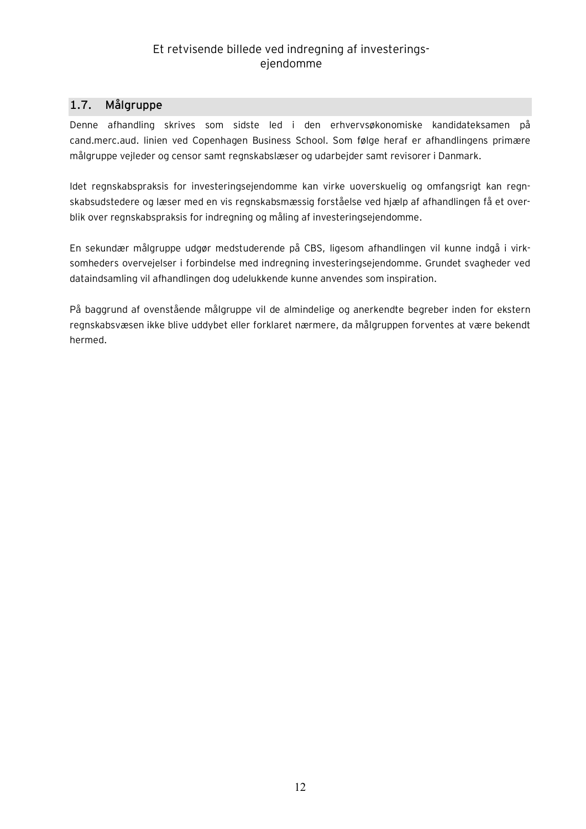## **1.7. Målgruppe**

Denne afhandling skrives som sidste led i den erhvervsøkonomiske kandidateksamen på cand.merc.aud. linien ved Copenhagen Business School. Som følge heraf er afhandlingens primære målgruppe vejleder og censor samt regnskabslæser og udarbejder samt revisorer i Danmark.

Idet regnskabspraksis for investeringsejendomme kan virke uoverskuelig og omfangsrigt kan regnskabsudstedere og læser med en vis regnskabsmæssig forståelse ved hjælp af afhandlingen få et overblik over regnskabspraksis for indregning og måling af investeringsejendomme.

En sekundær målgruppe udgør medstuderende på CBS, ligesom afhandlingen vil kunne indgå i virksomheders overvejelser i forbindelse med indregning investeringsejendomme. Grundet svagheder ved dataindsamling vil afhandlingen dog udelukkende kunne anvendes som inspiration.

På baggrund af ovenstående målgruppe vil de almindelige og anerkendte begreber inden for ekstern regnskabsvæsen ikke blive uddybet eller forklaret nærmere, da målgruppen forventes at være bekendt hermed.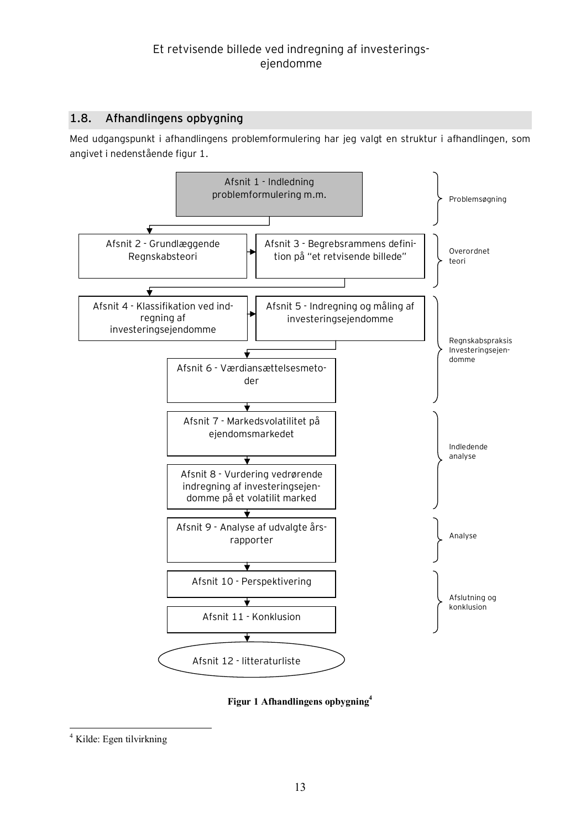## **1.8. Afhandlingens opbygning**

Med udgangspunkt i afhandlingens problemformulering har jeg valgt en struktur i afhandlingen, som angivet i nedenstående figur 1.



**Figur 1 Afhandlingens opbygning<sup>4</sup>**

 $\overline{a}$ 

<sup>4</sup> Kilde: Egen tilvirkning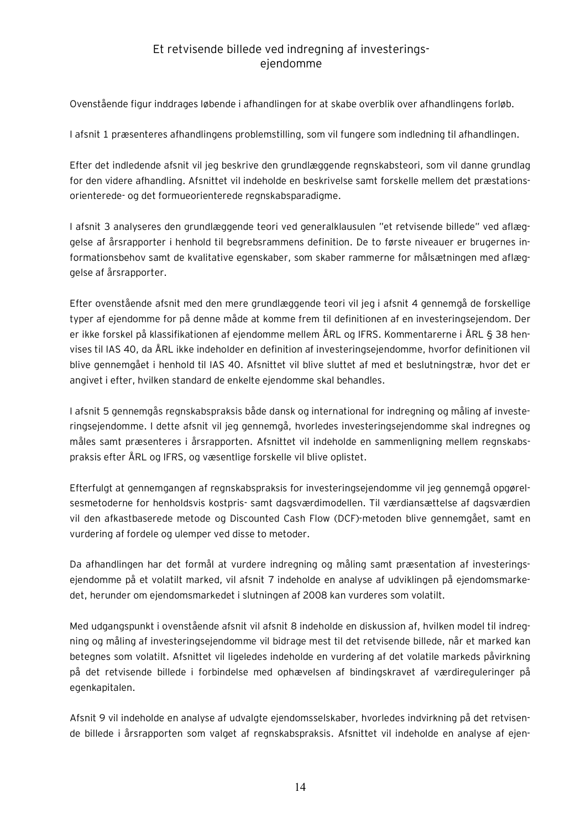Ovenstående figur inddrages løbende i afhandlingen for at skabe overblik over afhandlingens forløb.

I afsnit 1 præsenteres afhandlingens problemstilling, som vil fungere som indledning til afhandlingen.

Efter det indledende afsnit vil jeg beskrive den grundlæggende regnskabsteori, som vil danne grundlag for den videre afhandling. Afsnittet vil indeholde en beskrivelse samt forskelle mellem det præstationsorienterede- og det formueorienterede regnskabsparadigme.

I afsnit 3 analyseres den grundlæggende teori ved generalklausulen "et retvisende billede" ved aflæggelse af årsrapporter i henhold til begrebsrammens definition. De to første niveauer er brugernes informationsbehov samt de kvalitative egenskaber, som skaber rammerne for målsætningen med aflæggelse af årsrapporter.

Efter ovenstående afsnit med den mere grundlæggende teori vil jeg i afsnit 4 gennemgå de forskellige typer af ejendomme for på denne måde at komme frem til definitionen af en investeringsejendom. Der er ikke forskel på klassifikationen af ejendomme mellem ÅRL og IFRS. Kommentarerne i ÅRL § 38 henvises til IAS 40, da ÅRL ikke indeholder en definition af investeringsejendomme, hvorfor definitionen vil blive gennemgået i henhold til IAS 40. Afsnittet vil blive sluttet af med et beslutningstræ, hvor det er angivet i efter, hvilken standard de enkelte ejendomme skal behandles.

I afsnit 5 gennemgås regnskabspraksis både dansk og international for indregning og måling af investeringsejendomme. I dette afsnit vil jeg gennemgå, hvorledes investeringsejendomme skal indregnes og måles samt præsenteres i årsrapporten. Afsnittet vil indeholde en sammenligning mellem regnskabspraksis efter ÅRL og IFRS, og væsentlige forskelle vil blive oplistet.

Efterfulgt at gennemgangen af regnskabspraksis for investeringsejendomme vil jeg gennemgå opgørelsesmetoderne for henholdsvis kostpris- samt dagsværdimodellen. Til værdiansættelse af dagsværdien vil den afkastbaserede metode og Discounted Cash Flow (DCF)-metoden blive gennemgået, samt en vurdering af fordele og ulemper ved disse to metoder.

Da afhandlingen har det formål at vurdere indregning og måling samt præsentation af investeringsejendomme på et volatilt marked, vil afsnit 7 indeholde en analyse af udviklingen på ejendomsmarkedet, herunder om ejendomsmarkedet i slutningen af 2008 kan vurderes som volatilt.

Med udgangspunkt i ovenstående afsnit vil afsnit 8 indeholde en diskussion af, hvilken model til indregning og måling af investeringsejendomme vil bidrage mest til det retvisende billede, når et marked kan betegnes som volatilt. Afsnittet vil ligeledes indeholde en vurdering af det volatile markeds påvirkning på det retvisende billede i forbindelse med ophævelsen af bindingskravet af værdireguleringer på egenkapitalen.

Afsnit 9 vil indeholde en analyse af udvalgte ejendomsselskaber, hvorledes indvirkning på det retvisende billede i årsrapporten som valget af regnskabspraksis. Afsnittet vil indeholde en analyse af ejen-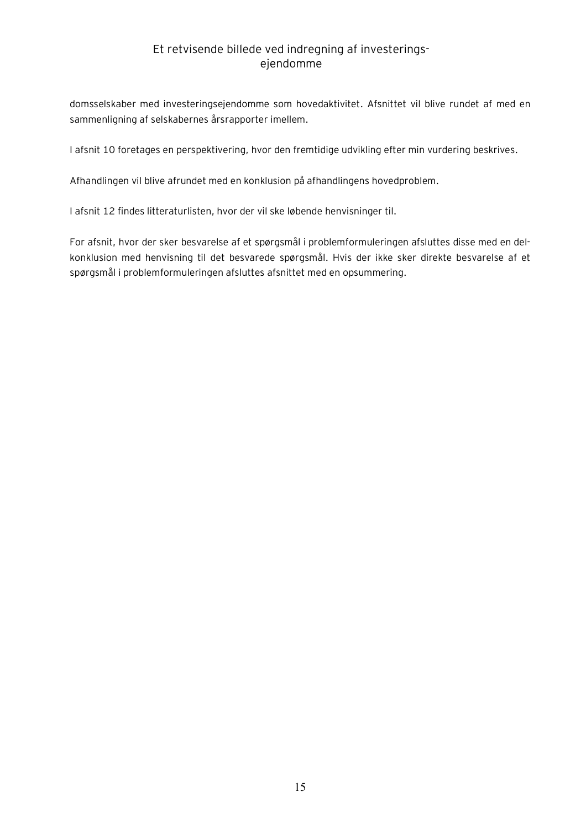domsselskaber med investeringsejendomme som hovedaktivitet. Afsnittet vil blive rundet af med en sammenligning af selskabernes årsrapporter imellem.

I afsnit 10 foretages en perspektivering, hvor den fremtidige udvikling efter min vurdering beskrives.

Afhandlingen vil blive afrundet med en konklusion på afhandlingens hovedproblem.

I afsnit 12 findes litteraturlisten, hvor der vil ske løbende henvisninger til.

For afsnit, hvor der sker besvarelse af et spørgsmål i problemformuleringen afsluttes disse med en delkonklusion med henvisning til det besvarede spørgsmål. Hvis der ikke sker direkte besvarelse af et spørgsmål i problemformuleringen afsluttes afsnittet med en opsummering.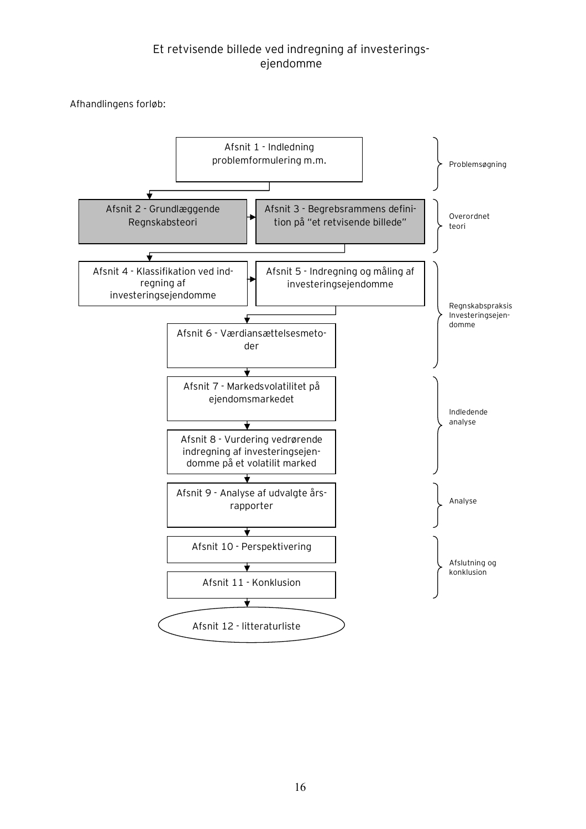Afhandlingens forløb:

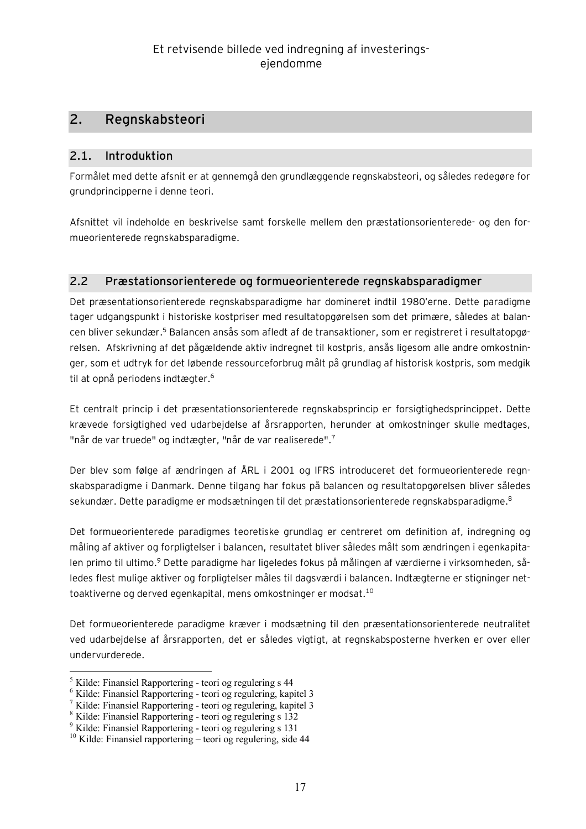## **2. Regnskabsteori**

#### **2.1. Introduktion**

Formålet med dette afsnit er at gennemgå den grundlæggende regnskabsteori, og således redegøre for grundprincipperne i denne teori.

Afsnittet vil indeholde en beskrivelse samt forskelle mellem den præstationsorienterede- og den formueorienterede regnskabsparadigme.

## **2.2 Præstationsorienterede og formueorienterede regnskabsparadigmer**

Det præsentationsorienterede regnskabsparadigme har domineret indtil 1980'erne. Dette paradigme tager udgangspunkt i historiske kostpriser med resultatopgørelsen som det primære, således at balancen bliver sekundær.<sup>5</sup> Balancen ansås som afledt af de transaktioner, som er registreret i resultatopgørelsen. Afskrivning af det pågældende aktiv indregnet til kostpris, ansås ligesom alle andre omkostninger, som et udtryk for det løbende ressourceforbrug målt på grundlag af historisk kostpris, som medgik til at opnå periodens indtægter.<sup>6</sup>

Et centralt princip i det præsentationsorienterede regnskabsprincip er forsigtighedsprincippet. Dette krævede forsigtighed ved udarbejdelse af årsrapporten, herunder at omkostninger skulle medtages, "når de var truede" og indtægter, "når de var realiserede".<sup>7</sup>

Der blev som følge af ændringen af ÅRL i 2001 og IFRS introduceret det formueorienterede regnskabsparadigme i Danmark. Denne tilgang har fokus på balancen og resultatopgørelsen bliver således sekundær. Dette paradigme er modsætningen til det præstationsorienterede regnskabsparadigme.<sup>8</sup>

Det formueorienterede paradigmes teoretiske grundlag er centreret om definition af, indregning og måling af aktiver og forpligtelser i balancen, resultatet bliver således målt som ændringen i egenkapitalen primo til ultimo.<sup>9</sup> Dette paradigme har ligeledes fokus på målingen af værdierne i virksomheden, således flest mulige aktiver og forpligtelser måles til dagsværdi i balancen. Indtægterne er stigninger nettoaktiverne og derved egenkapital, mens omkostninger er modsat.<sup>10</sup>

Det formueorienterede paradigme kræver i modsætning til den præsentationsorienterede neutralitet ved udarbejdelse af årsrapporten, det er således vigtigt, at regnskabsposterne hverken er over eller undervurderede.

 $\overline{a}$ 

<sup>5</sup> Kilde: Finansiel Rapportering - teori og regulering s 44

<sup>6</sup> Kilde: Finansiel Rapportering - teori og regulering, kapitel 3

<sup>7</sup> Kilde: Finansiel Rapportering - teori og regulering, kapitel 3

<sup>8</sup> Kilde: Finansiel Rapportering - teori og regulering s 132

<sup>9</sup> Kilde: Finansiel Rapportering - teori og regulering s 131

<sup>10</sup> Kilde: Finansiel rapportering – teori og regulering, side 44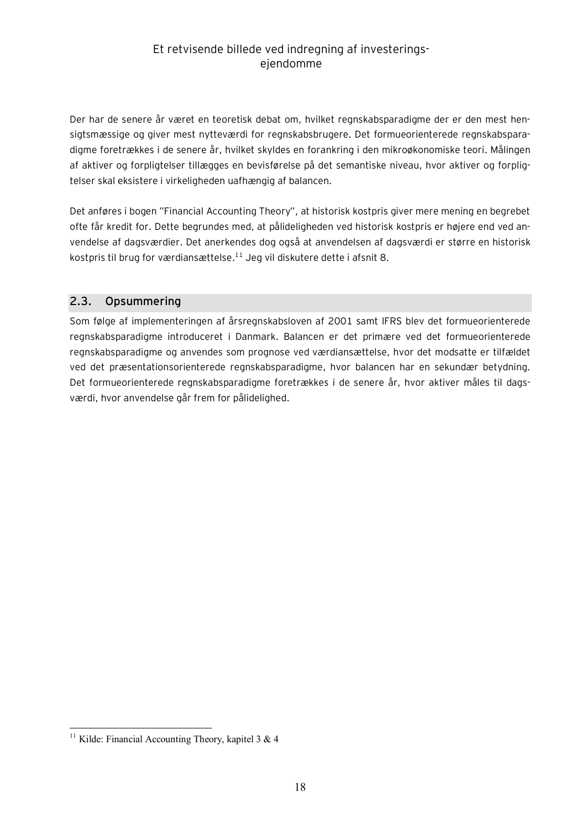Der har de senere år været en teoretisk debat om, hvilket regnskabsparadigme der er den mest hensigtsmæssige og giver mest nytteværdi for regnskabsbrugere. Det formueorienterede regnskabsparadigme foretrækkes i de senere år, hvilket skyldes en forankring i den mikroøkonomiske teori. Målingen af aktiver og forpligtelser tillægges en bevisførelse på det semantiske niveau, hvor aktiver og forpligtelser skal eksistere i virkeligheden uafhængig af balancen.

Det anføres i bogen "Financial Accounting Theory", at historisk kostpris giver mere mening en begrebet ofte får kredit for. Dette begrundes med, at pålideligheden ved historisk kostpris er højere end ved anvendelse af dagsværdier. Det anerkendes dog også at anvendelsen af dagsværdi er større en historisk kostpris til brug for værdiansættelse.<sup>11</sup> Jeg vil diskutere dette i afsnit 8.

## **2.3. Opsummering**

Som følge af implementeringen af årsregnskabsloven af 2001 samt IFRS blev det formueorienterede regnskabsparadigme introduceret i Danmark. Balancen er det primære ved det formueorienterede regnskabsparadigme og anvendes som prognose ved værdiansættelse, hvor det modsatte er tilfældet ved det præsentationsorienterede regnskabsparadigme, hvor balancen har en sekundær betydning. Det formueorienterede regnskabsparadigme foretrækkes i de senere år, hvor aktiver måles til dagsværdi, hvor anvendelse går frem for pålidelighed.

 $\overline{a}$ 

<sup>&</sup>lt;sup>11</sup> Kilde: Financial Accounting Theory, kapitel 3 & 4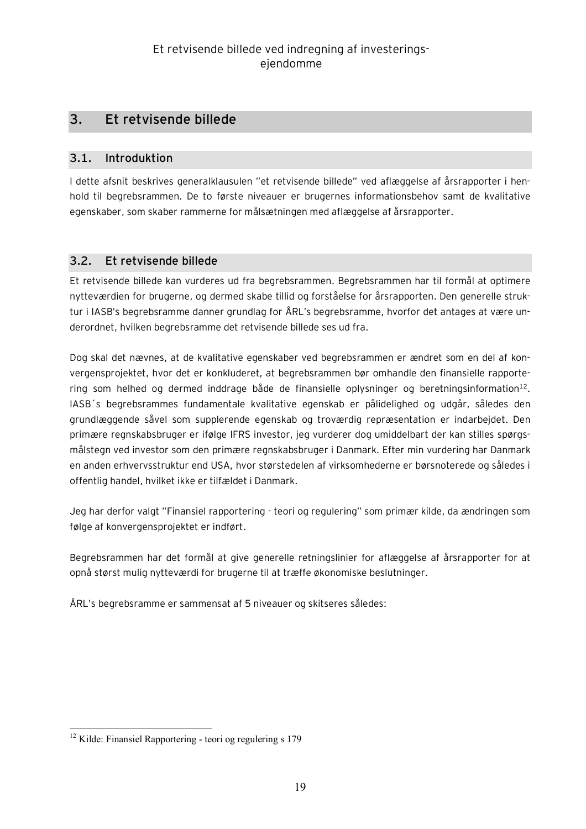## **3. Et retvisende billede**

#### **3.1. Introduktion**

I dette afsnit beskrives generalklausulen "et retvisende billede" ved aflæggelse af årsrapporter i henhold til begrebsrammen. De to første niveauer er brugernes informationsbehov samt de kvalitative egenskaber, som skaber rammerne for målsætningen med aflæggelse af årsrapporter.

## **3.2. Et retvisende billede**

Et retvisende billede kan vurderes ud fra begrebsrammen. Begrebsrammen har til formål at optimere nytteværdien for brugerne, og dermed skabe tillid og forståelse for årsrapporten. Den generelle struktur i IASB's begrebsramme danner grundlag for ÅRL's begrebsramme, hvorfor det antages at være underordnet, hvilken begrebsramme det retvisende billede ses ud fra.

Dog skal det nævnes, at de kvalitative egenskaber ved begrebsrammen er ændret som en del af konvergensprojektet, hvor det er konkluderet, at begrebsrammen bør omhandle den finansielle rapportering som helhed og dermed inddrage både de finansielle oplysninger og beretningsinformation<sup>12</sup>. IASB´s begrebsrammes fundamentale kvalitative egenskab er pålidelighed og udgår, således den grundlæggende såvel som supplerende egenskab og troværdig repræsentation er indarbejdet. Den primære regnskabsbruger er ifølge IFRS investor, jeg vurderer dog umiddelbart der kan stilles spørgsmålstegn ved investor som den primære regnskabsbruger i Danmark. Efter min vurdering har Danmark en anden erhvervsstruktur end USA, hvor størstedelen af virksomhederne er børsnoterede og således i offentlig handel, hvilket ikke er tilfældet i Danmark.

Jeg har derfor valgt "Finansiel rapportering - teori og regulering" som primær kilde, da ændringen som følge af konvergensprojektet er indført.

Begrebsrammen har det formål at give generelle retningslinier for aflæggelse af årsrapporter for at opnå størst mulig nytteværdi for brugerne til at træffe økonomiske beslutninger.

ÅRL's begrebsramme er sammensat af 5 niveauer og skitseres således:

 $\overline{a}$ <sup>12</sup> Kilde: Finansiel Rapportering - teori og regulering s 179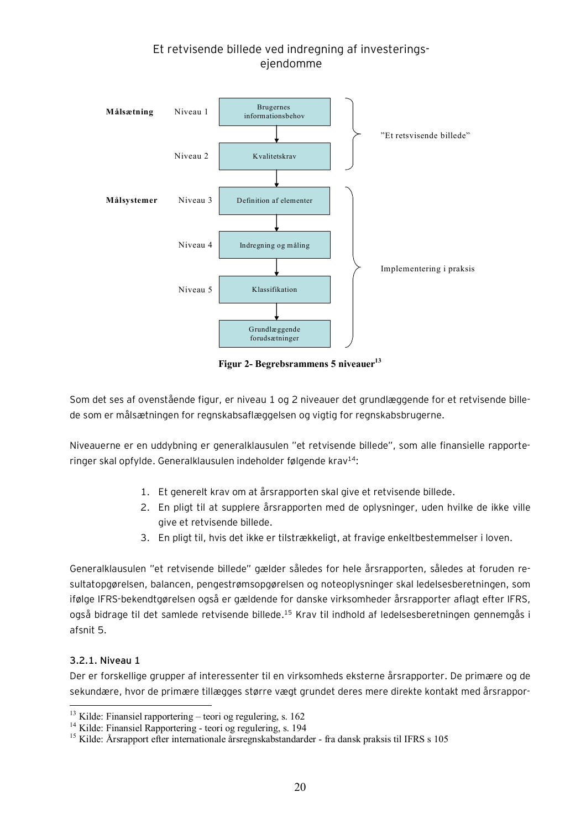

**Figur 2- Begrebsrammens 5 niveauer<sup>13</sup>**

Som det ses af ovenstående figur, er niveau 1 og 2 niveauer det grundlæggende for et retvisende billede som er målsætningen for regnskabsaflæggelsen og vigtig for regnskabsbrugerne.

Niveauerne er en uddybning er generalklausulen "et retvisende billede", som alle finansielle rapporteringer skal opfylde. Generalklausulen indeholder følgende krav $14$ :

- 1. Et generelt krav om at årsrapporten skal give et retvisende billede.
- 2. En pligt til at supplere årsrapporten med de oplysninger, uden hvilke de ikke ville give et retvisende billede.
- 3. En pligt til, hvis det ikke er tilstrækkeligt, at fravige enkeltbestemmelser i loven.

Generalklausulen "et retvisende billede" gælder således for hele årsrapporten, således at foruden resultatopgørelsen, balancen, pengestrømsopgørelsen og noteoplysninger skal ledelsesberetningen, som ifølge IFRS-bekendtgørelsen også er gældende for danske virksomheder årsrapporter aflagt efter IFRS, også bidrage til det samlede retvisende billede.<sup>15</sup> Krav til indhold af ledelsesberetningen gennemgås i afsnit 5.

#### **3.2.1. Niveau 1**

 $\overline{a}$ 

Der er forskellige grupper af interessenter til en virksomheds eksterne årsrapporter. De primære og de sekundære, hvor de primære tillægges større vægt grundet deres mere direkte kontakt med årsrappor-

<sup>13</sup> Kilde: Finansiel rapportering – teori og regulering, s. 162

<sup>14</sup> Kilde: Finansiel Rapportering - teori og regulering, s. 194

<sup>15</sup> Kilde: Årsrapport efter internationale årsregnskabstandarder - fra dansk praksis til IFRS s 105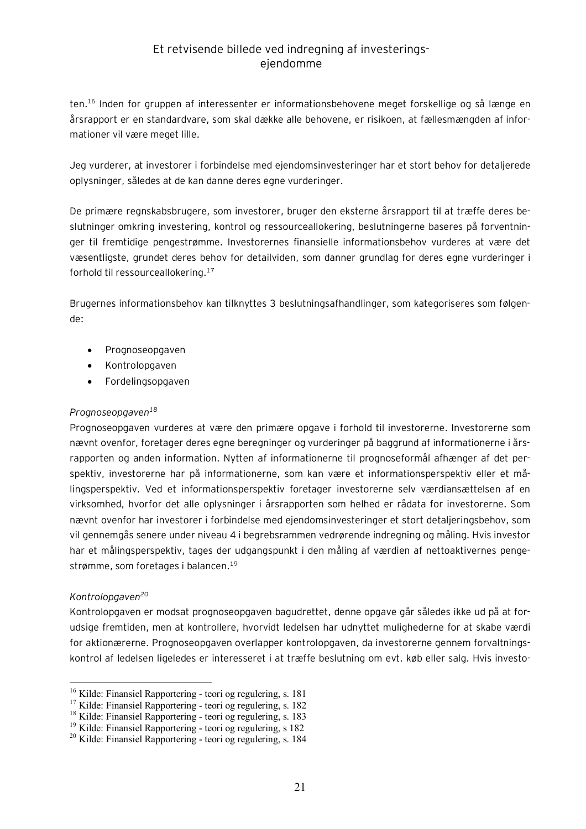ten.<sup>16</sup> Inden for gruppen af interessenter er informationsbehovene meget forskellige og så længe en årsrapport er en standardvare, som skal dække alle behovene, er risikoen, at fællesmængden af informationer vil være meget lille.

Jeg vurderer, at investorer i forbindelse med ejendomsinvesteringer har et stort behov for detaljerede oplysninger, således at de kan danne deres egne vurderinger.

De primære regnskabsbrugere, som investorer, bruger den eksterne årsrapport til at træffe deres beslutninger omkring investering, kontrol og ressourceallokering, beslutningerne baseres på forventninger til fremtidige pengestrømme. Investorernes finansielle informationsbehov vurderes at være det væsentligste, grundet deres behov for detailviden, som danner grundlag for deres egne vurderinger i forhold til ressourceallokering.<sup>17</sup>

Brugernes informationsbehov kan tilknyttes 3 beslutningsafhandlinger, som kategoriseres som følgende:

- · Prognoseopgaven
- · Kontrolopgaven
- · Fordelingsopgaven

#### *Prognoseopgaven<sup>18</sup>*

Prognoseopgaven vurderes at være den primære opgave i forhold til investorerne. Investorerne som nævnt ovenfor, foretager deres egne beregninger og vurderinger på baggrund af informationerne i årsrapporten og anden information. Nytten af informationerne til prognoseformål afhænger af det perspektiv, investorerne har på informationerne, som kan være et informationsperspektiv eller et målingsperspektiv. Ved et informationsperspektiv foretager investorerne selv værdiansættelsen af en virksomhed, hvorfor det alle oplysninger i årsrapporten som helhed er rådata for investorerne. Som nævnt ovenfor har investorer i forbindelse med ejendomsinvesteringer et stort detaljeringsbehov, som vil gennemgås senere under niveau 4 i begrebsrammen vedrørende indregning og måling. Hvis investor har et målingsperspektiv, tages der udgangspunkt i den måling af værdien af nettoaktivernes pengestrømme, som foretages i balancen.<sup>19</sup>

#### *Kontrolopgaven<sup>20</sup>*

 $\overline{a}$ 

Kontrolopgaven er modsat prognoseopgaven bagudrettet, denne opgave går således ikke ud på at forudsige fremtiden, men at kontrollere, hvorvidt ledelsen har udnyttet mulighederne for at skabe værdi for aktionærerne. Prognoseopgaven overlapper kontrolopgaven, da investorerne gennem forvaltningskontrol af ledelsen ligeledes er interesseret i at træffe beslutning om evt. køb eller salg. Hvis investo-

<sup>16</sup> Kilde: Finansiel Rapportering - teori og regulering, s. 181

<sup>17</sup> Kilde: Finansiel Rapportering - teori og regulering, s. 182

<sup>18</sup> Kilde: Finansiel Rapportering - teori og regulering, s. 183

<sup>19</sup> Kilde: Finansiel Rapportering - teori og regulering, s 182

<sup>20</sup> Kilde: Finansiel Rapportering - teori og regulering, s. 184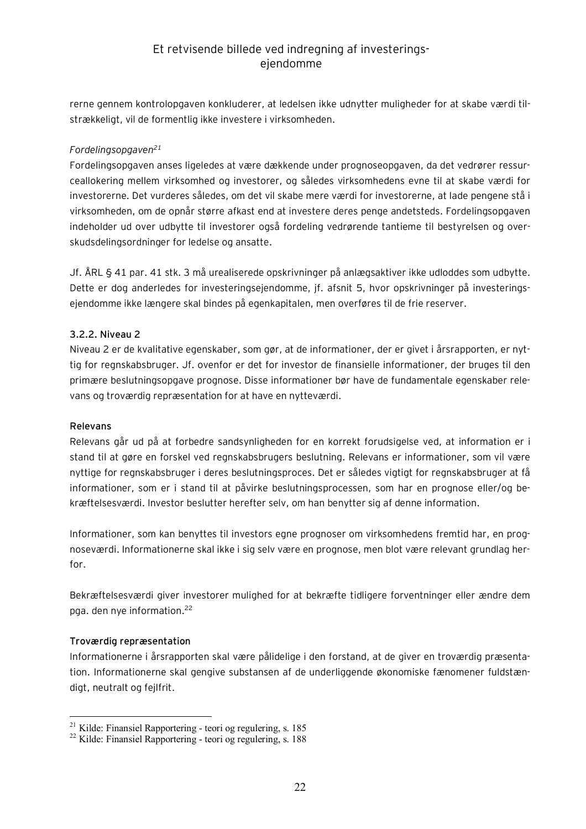rerne gennem kontrolopgaven konkluderer, at ledelsen ikke udnytter muligheder for at skabe værdi tilstrækkeligt, vil de formentlig ikke investere i virksomheden.

#### *Fordelingsopgaven<sup>21</sup>*

Fordelingsopgaven anses ligeledes at være dækkende under prognoseopgaven, da det vedrører ressurceallokering mellem virksomhed og investorer, og således virksomhedens evne til at skabe værdi for investorerne. Det vurderes således, om det vil skabe mere værdi for investorerne, at lade pengene stå i virksomheden, om de opnår større afkast end at investere deres penge andetsteds. Fordelingsopgaven indeholder ud over udbytte til investorer også fordeling vedrørende tantieme til bestyrelsen og overskudsdelingsordninger for ledelse og ansatte.

Jf. ÅRL § 41 par. 41 stk. 3 må urealiserede opskrivninger på anlægsaktiver ikke udloddes som udbytte. Dette er dog anderledes for investeringsejendomme, jf. afsnit 5, hvor opskrivninger på investeringsejendomme ikke længere skal bindes på egenkapitalen, men overføres til de frie reserver.

#### **3.2.2. Niveau 2**

Niveau 2 er de kvalitative egenskaber, som gør, at de informationer, der er givet i årsrapporten, er nyttig for regnskabsbruger. Jf. ovenfor er det for investor de finansielle informationer, der bruges til den primære beslutningsopgave prognose. Disse informationer bør have de fundamentale egenskaber relevans og troværdig repræsentation for at have en nytteværdi.

#### **Relevans**

Relevans går ud på at forbedre sandsynligheden for en korrekt forudsigelse ved, at information er i stand til at gøre en forskel ved regnskabsbrugers beslutning. Relevans er informationer, som vil være nyttige for regnskabsbruger i deres beslutningsproces. Det er således vigtigt for regnskabsbruger at få informationer, som er i stand til at påvirke beslutningsprocessen, som har en prognose eller/og bekræftelsesværdi. Investor beslutter herefter selv, om han benytter sig af denne information.

Informationer, som kan benyttes til investors egne prognoser om virksomhedens fremtid har, en prognoseværdi. Informationerne skal ikke i sig selv være en prognose, men blot være relevant grundlag herfor.

Bekræftelsesværdi giver investorer mulighed for at bekræfte tidligere forventninger eller ændre dem pga. den nye information.<sup>22</sup>

#### **Troværdig repræsentation**

 $\overline{a}$ 

Informationerne i årsrapporten skal være pålidelige i den forstand, at de giver en troværdig præsentation. Informationerne skal gengive substansen af de underliggende økonomiske fænomener fuldstændigt, neutralt og fejlfrit.

<sup>21</sup> Kilde: Finansiel Rapportering - teori og regulering, s. 185

<sup>22</sup> Kilde: Finansiel Rapportering - teori og regulering, s. 188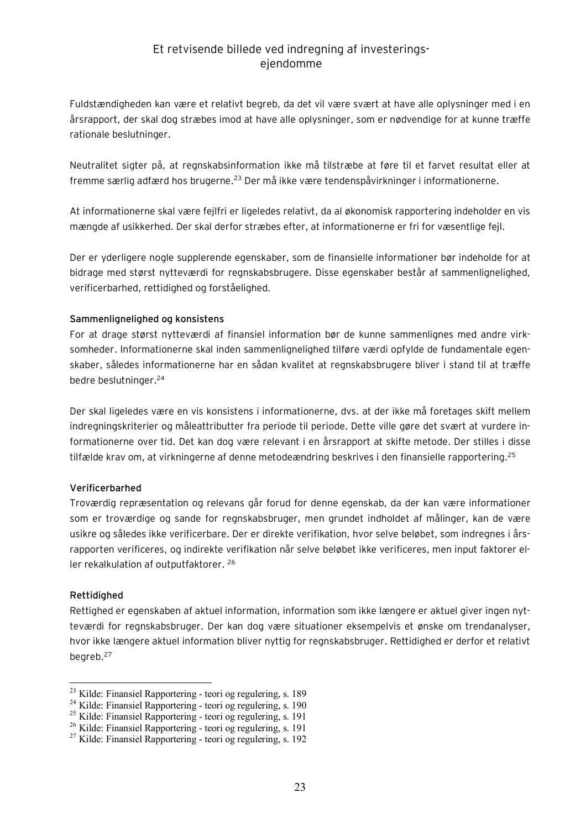Fuldstændigheden kan være et relativt begreb, da det vil være svært at have alle oplysninger med i en årsrapport, der skal dog stræbes imod at have alle oplysninger, som er nødvendige for at kunne træffe rationale beslutninger.

Neutralitet sigter på, at regnskabsinformation ikke må tilstræbe at føre til et farvet resultat eller at fremme særlig adfærd hos brugerne.<sup>23</sup> Der må ikke være tendenspåvirkninger i informationerne.

At informationerne skal være fejlfri er ligeledes relativt, da al økonomisk rapportering indeholder en vis mængde af usikkerhed. Der skal derfor stræbes efter, at informationerne er fri for væsentlige fejl.

Der er yderligere nogle supplerende egenskaber, som de finansielle informationer bør indeholde for at bidrage med størst nytteværdi for regnskabsbrugere. Disse egenskaber består af sammenlignelighed, verificerbarhed, rettidighed og forståelighed.

#### **Sammenlignelighed og konsistens**

For at drage størst nytteværdi af finansiel information bør de kunne sammenlignes med andre virksomheder. Informationerne skal inden sammenlignelighed tilføre værdi opfylde de fundamentale egenskaber, således informationerne har en sådan kvalitet at regnskabsbrugere bliver i stand til at træffe bedre beslutninger.<sup>24</sup>

Der skal ligeledes være en vis konsistens i informationerne, dvs. at der ikke må foretages skift mellem indregningskriterier og måleattributter fra periode til periode. Dette ville gøre det svært at vurdere informationerne over tid. Det kan dog være relevant i en årsrapport at skifte metode. Der stilles i disse tilfælde krav om, at virkningerne af denne metodeændring beskrives i den finansielle rapportering.<sup>25</sup>

#### **Verificerbarhed**

Troværdig repræsentation og relevans går forud for denne egenskab, da der kan være informationer som er troværdige og sande for regnskabsbruger, men grundet indholdet af målinger, kan de være usikre og således ikke verificerbare. Der er direkte verifikation, hvor selve beløbet, som indregnes i årsrapporten verificeres, og indirekte verifikation når selve beløbet ikke verificeres, men input faktorer eller rekalkulation af outputfaktorer. 26

#### **Rettidighed**

 $\overline{a}$ 

Rettighed er egenskaben af aktuel information, information som ikke længere er aktuel giver ingen nytteværdi for regnskabsbruger. Der kan dog være situationer eksempelvis et ønske om trendanalyser, hvor ikke længere aktuel information bliver nyttig for regnskabsbruger. Rettidighed er derfor et relativt begreb.<sup>27</sup>

<sup>23</sup> Kilde: Finansiel Rapportering - teori og regulering, s. 189

<sup>24</sup> Kilde: Finansiel Rapportering - teori og regulering, s. 190

<sup>25</sup> Kilde: Finansiel Rapportering - teori og regulering, s. 191

<sup>26</sup> Kilde: Finansiel Rapportering - teori og regulering, s. 191

 $27$  Kilde: Finansiel Rapportering - teori og regulering, s. 192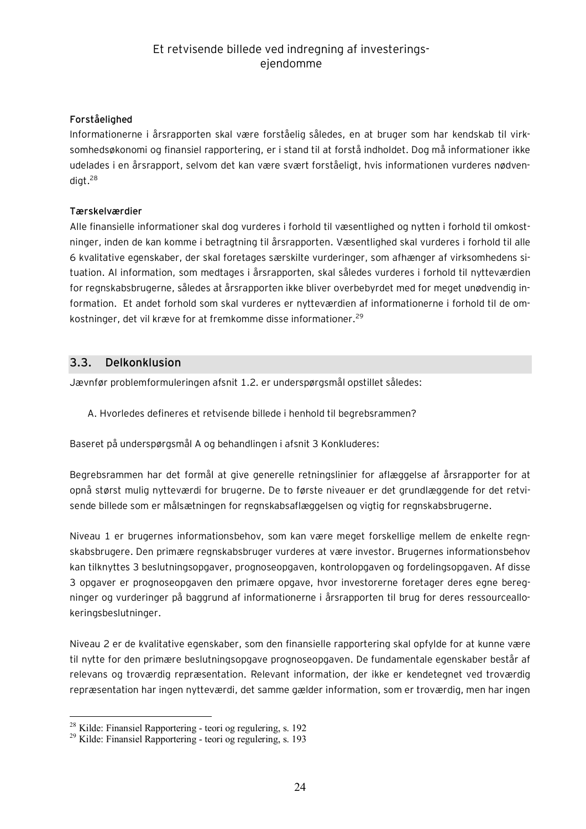#### **Forståelighed**

Informationerne i årsrapporten skal være forståelig således, en at bruger som har kendskab til virksomhedsøkonomi og finansiel rapportering, er i stand til at forstå indholdet. Dog må informationer ikke udelades i en årsrapport, selvom det kan være svært forståeligt, hvis informationen vurderes nødvendigt $.28$ 

#### **Tærskelværdier**

Alle finansielle informationer skal dog vurderes i forhold til væsentlighed og nytten i forhold til omkostninger, inden de kan komme i betragtning til årsrapporten. Væsentlighed skal vurderes i forhold til alle 6 kvalitative egenskaber, der skal foretages særskilte vurderinger, som afhænger af virksomhedens situation. Al information, som medtages i årsrapporten, skal således vurderes i forhold til nytteværdien for regnskabsbrugerne, således at årsrapporten ikke bliver overbebyrdet med for meget unødvendig information. Et andet forhold som skal vurderes er nytteværdien af informationerne i forhold til de omkostninger, det vil kræve for at fremkomme disse informationer.<sup>29</sup>

#### **3.3. Delkonklusion**

Jævnfør problemformuleringen afsnit 1.2. er underspørgsmål opstillet således:

A. Hvorledes defineres et retvisende billede i henhold til begrebsrammen?

Baseret på underspørgsmål A og behandlingen i afsnit 3 Konkluderes:

Begrebsrammen har det formål at give generelle retningslinier for aflæggelse af årsrapporter for at opnå størst mulig nytteværdi for brugerne. De to første niveauer er det grundlæggende for det retvisende billede som er målsætningen for regnskabsaflæggelsen og vigtig for regnskabsbrugerne.

Niveau 1 er brugernes informationsbehov, som kan være meget forskellige mellem de enkelte regnskabsbrugere. Den primære regnskabsbruger vurderes at være investor. Brugernes informationsbehov kan tilknyttes 3 beslutningsopgaver, prognoseopgaven, kontrolopgaven og fordelingsopgaven. Af disse 3 opgaver er prognoseopgaven den primære opgave, hvor investorerne foretager deres egne beregninger og vurderinger på baggrund af informationerne i årsrapporten til brug for deres ressourceallokeringsbeslutninger.

Niveau 2 er de kvalitative egenskaber, som den finansielle rapportering skal opfylde for at kunne være til nytte for den primære beslutningsopgave prognoseopgaven. De fundamentale egenskaber består af relevans og troværdig repræsentation. Relevant information, der ikke er kendetegnet ved troværdig repræsentation har ingen nytteværdi, det samme gælder information, som er troværdig, men har ingen

 $\overline{a}$ 

<sup>28</sup> Kilde: Finansiel Rapportering - teori og regulering, s. 192

<sup>29</sup> Kilde: Finansiel Rapportering - teori og regulering, s. 193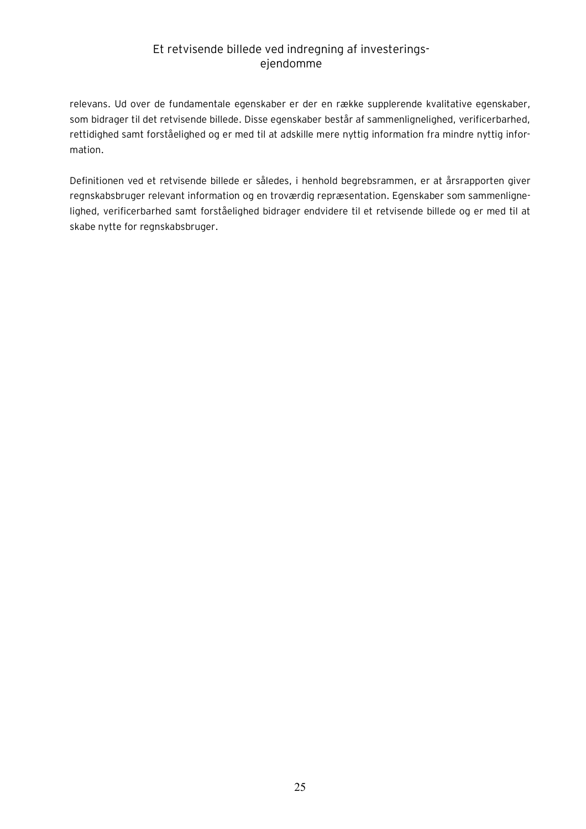relevans. Ud over de fundamentale egenskaber er der en række supplerende kvalitative egenskaber, som bidrager til det retvisende billede. Disse egenskaber består af sammenlignelighed, verificerbarhed, rettidighed samt forståelighed og er med til at adskille mere nyttig information fra mindre nyttig information.

Definitionen ved et retvisende billede er således, i henhold begrebsrammen, er at årsrapporten giver regnskabsbruger relevant information og en troværdig repræsentation. Egenskaber som sammenlignelighed, verificerbarhed samt forståelighed bidrager endvidere til et retvisende billede og er med til at skabe nytte for regnskabsbruger.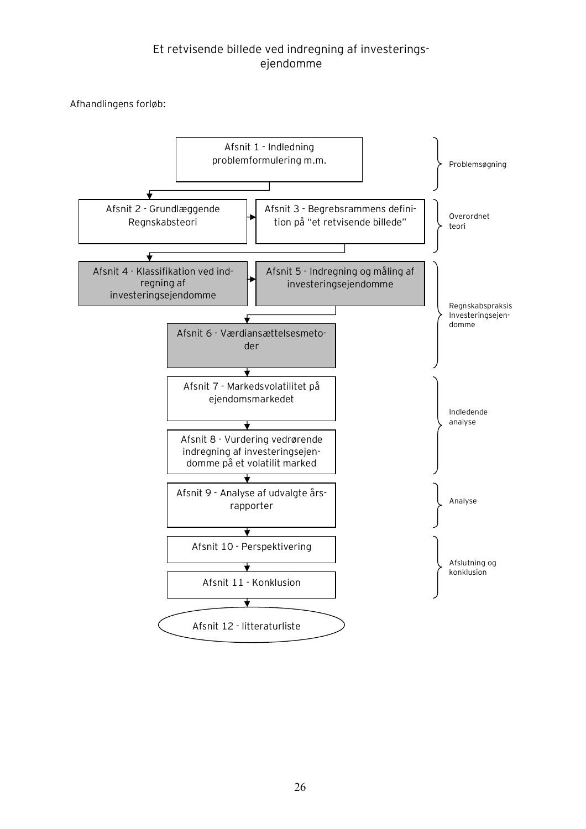Afhandlingens forløb:

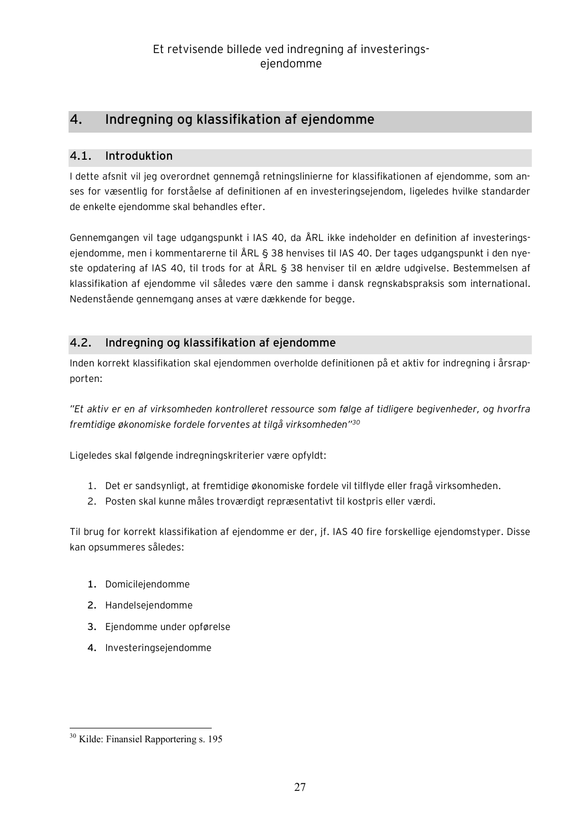## **4. Indregning og klassifikation af ejendomme**

## **4.1. Introduktion**

I dette afsnit vil jeg overordnet gennemgå retningslinierne for klassifikationen af ejendomme, som anses for væsentlig for forståelse af definitionen af en investeringsejendom, ligeledes hvilke standarder de enkelte ejendomme skal behandles efter.

Gennemgangen vil tage udgangspunkt i IAS 40, da ÅRL ikke indeholder en definition af investeringsejendomme, men i kommentarerne til ÅRL § 38 henvises til IAS 40. Der tages udgangspunkt i den nyeste opdatering af IAS 40, til trods for at ÅRL § 38 henviser til en ældre udgivelse. Bestemmelsen af klassifikation af ejendomme vil således være den samme i dansk regnskabspraksis som international. Nedenstående gennemgang anses at være dækkende for begge.

## **4.2. Indregning og klassifikation af ejendomme**

Inden korrekt klassifikation skal ejendommen overholde definitionen på et aktiv for indregning i årsrapporten:

*"Et aktiv er en af virksomheden kontrolleret ressource som følge af tidligere begivenheder, og hvorfra fremtidige økonomiske fordele forventes at tilgå virksomheden"<sup>30</sup>*

Ligeledes skal følgende indregningskriterier være opfyldt:

- 1. Det er sandsynligt, at fremtidige økonomiske fordele vil tilflyde eller fragå virksomheden.
- 2. Posten skal kunne måles troværdigt repræsentativt til kostpris eller værdi.

Til brug for korrekt klassifikation af ejendomme er der, jf. IAS 40 fire forskellige ejendomstyper. Disse kan opsummeres således:

- **1.** Domicilejendomme
- **2.** Handelsejendomme
- **3.** Ejendomme under opførelse
- **4.** Investeringsejendomme

 $\overline{a}$ <sup>30</sup> Kilde: Finansiel Rapportering s. 195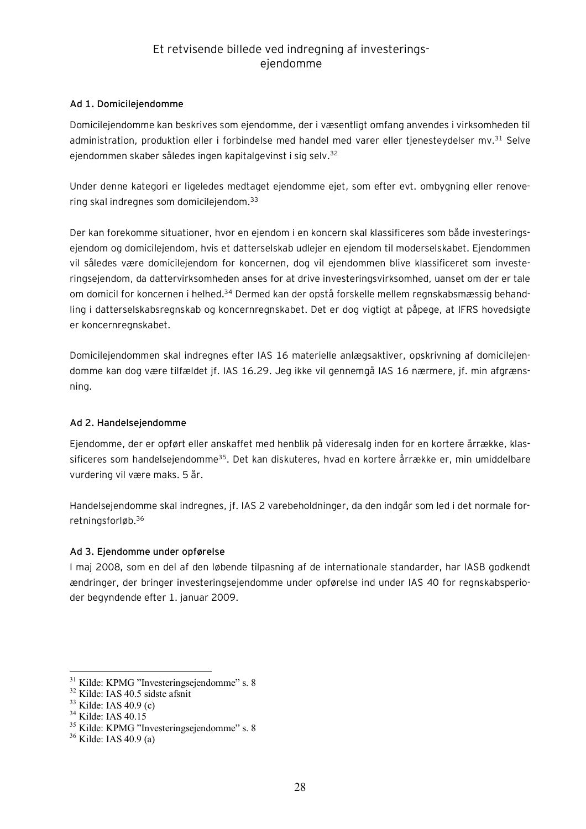#### **Ad 1. Domicilejendomme**

Domicilejendomme kan beskrives som ejendomme, der i væsentligt omfang anvendes i virksomheden til administration, produktion eller i forbindelse med handel med varer eller tjenesteydelser mv.<sup>31</sup> Selve ejendommen skaber således ingen kapitalgevinst i sig selv.<sup>32</sup>

Under denne kategori er ligeledes medtaget ejendomme ejet, som efter evt. ombygning eller renovering skal indregnes som domicilejendom.<sup>33</sup>

Der kan forekomme situationer, hvor en ejendom i en koncern skal klassificeres som både investeringsejendom og domicilejendom, hvis et datterselskab udlejer en ejendom til moderselskabet. Ejendommen vil således være domicilejendom for koncernen, dog vil ejendommen blive klassificeret som investeringsejendom, da dattervirksomheden anses for at drive investeringsvirksomhed, uanset om der er tale om domicil for koncernen i helhed.<sup>34</sup> Dermed kan der opstå forskelle mellem regnskabsmæssig behandling i datterselskabsregnskab og koncernregnskabet. Det er dog vigtigt at påpege, at IFRS hovedsigte er koncernregnskabet.

Domicilejendommen skal indregnes efter IAS 16 materielle anlægsaktiver, opskrivning af domicilejendomme kan dog være tilfældet jf. IAS 16.29. Jeg ikke vil gennemgå IAS 16 nærmere, jf. min afgrænsning.

#### **Ad 2. Handelsejendomme**

Ejendomme, der er opført eller anskaffet med henblik på videresalg inden for en kortere årrække, klassificeres som handelsejendomme<sup>35</sup>. Det kan diskuteres, hvad en kortere årrække er, min umiddelbare vurdering vil være maks. 5 år.

Handelsejendomme skal indregnes, jf. IAS 2 varebeholdninger, da den indgår som led i det normale forretningsforløb.<sup>36</sup>

#### **Ad 3. Ejendomme under opførelse**

I maj 2008, som en del af den løbende tilpasning af de internationale standarder, har IASB godkendt ændringer, der bringer investeringsejendomme under opførelse ind under IAS 40 for regnskabsperioder begyndende efter 1. januar 2009.

 $\overline{a}$ 

 $31$  Kilde: KPMG "Investeringsejendomme" s. 8

<sup>32</sup> Kilde: IAS 40.5 sidste afsnit

<sup>33</sup> Kilde: IAS 40.9 (c)

<sup>&</sup>lt;sup>34</sup> Kilde: IAS 40.15

 $35$  Kilde: KPMG "Investeringsejendomme" s. 8

 $36$  Kilde: IAS 40.9 (a)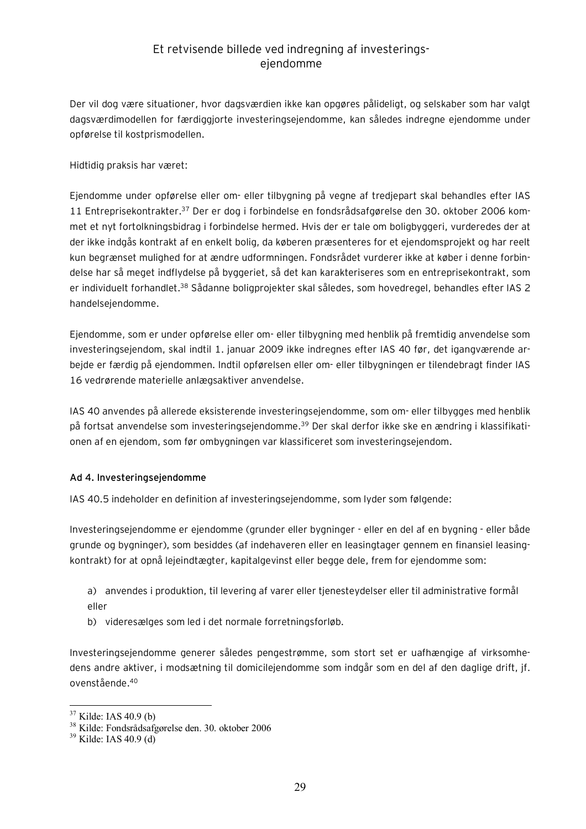Der vil dog være situationer, hvor dagsværdien ikke kan opgøres pålideligt, og selskaber som har valgt dagsværdimodellen for færdiggjorte investeringsejendomme, kan således indregne ejendomme under opførelse til kostprismodellen.

Hidtidig praksis har været:

Ejendomme under opførelse eller om- eller tilbygning på vegne af tredjepart skal behandles efter IAS 11 Entreprisekontrakter.<sup>37</sup> Der er dog i forbindelse en fondsrådsafgørelse den 30. oktober 2006 kommet et nyt fortolkningsbidrag i forbindelse hermed. Hvis der er tale om boligbyggeri, vurderedes der at der ikke indgås kontrakt af en enkelt bolig, da køberen præsenteres for et ejendomsprojekt og har reelt kun begrænset mulighed for at ændre udformningen. Fondsrådet vurderer ikke at køber i denne forbindelse har så meget indflydelse på byggeriet, så det kan karakteriseres som en entreprisekontrakt, som er individuelt forhandlet.<sup>38</sup> Sådanne boligprojekter skal således, som hovedregel, behandles efter IAS 2 handelsejendomme.

Ejendomme, som er under opførelse eller om- eller tilbygning med henblik på fremtidig anvendelse som investeringsejendom, skal indtil 1. januar 2009 ikke indregnes efter IAS 40 før, det igangværende arbejde er færdig på ejendommen. Indtil opførelsen eller om- eller tilbygningen er tilendebragt finder IAS 16 vedrørende materielle anlægsaktiver anvendelse.

IAS 40 anvendes på allerede eksisterende investeringsejendomme, som om- eller tilbygges med henblik på fortsat anvendelse som investeringsejendomme.<sup>39</sup> Der skal derfor ikke ske en ændring i klassifikationen af en ejendom, som før ombygningen var klassificeret som investeringsejendom.

#### **Ad 4. Investeringsejendomme**

IAS 40.5 indeholder en definition af investeringsejendomme, som lyder som følgende:

Investeringsejendomme er ejendomme (grunder eller bygninger - eller en del af en bygning - eller både grunde og bygninger), som besiddes (af indehaveren eller en leasingtager gennem en finansiel leasingkontrakt) for at opnå lejeindtægter, kapitalgevinst eller begge dele, frem for ejendomme som:

a) anvendes i produktion, til levering af varer eller tjenesteydelser eller til administrative formål eller

b) videresælges som led i det normale forretningsforløb.

Investeringsejendomme generer således pengestrømme, som stort set er uafhængige af virksomhedens andre aktiver, i modsætning til domicilejendomme som indgår som en del af den daglige drift, jf. ovenstående.<sup>40</sup>

 $\overline{a}$ 

 $37$  Kilde: IAS 40.9 (b)

<sup>38</sup> Kilde: Fondsrådsafgørelse den. 30. oktober 2006

 $39$  Kilde: IAS 40.9 (d)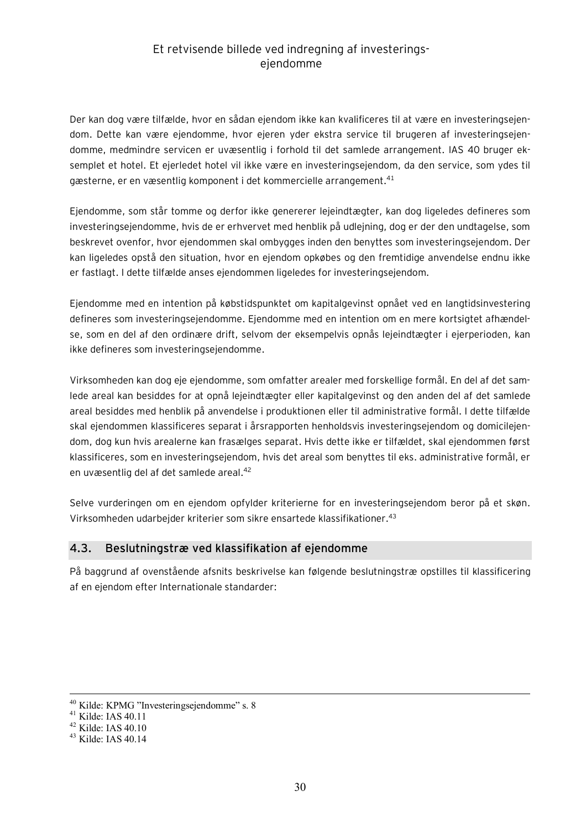Der kan dog være tilfælde, hvor en sådan ejendom ikke kan kvalificeres til at være en investeringsejendom. Dette kan være ejendomme, hvor ejeren yder ekstra service til brugeren af investeringsejendomme, medmindre servicen er uvæsentlig i forhold til det samlede arrangement. IAS 40 bruger eksemplet et hotel. Et ejerledet hotel vil ikke være en investeringsejendom, da den service, som ydes til gæsterne, er en væsentlig komponent i det kommercielle arrangement. $^\mathrm{41}$ 

Ejendomme, som står tomme og derfor ikke genererer lejeindtægter, kan dog ligeledes defineres som investeringsejendomme, hvis de er erhvervet med henblik på udlejning, dog er der den undtagelse, som beskrevet ovenfor, hvor ejendommen skal ombygges inden den benyttes som investeringsejendom. Der kan ligeledes opstå den situation, hvor en ejendom opkøbes og den fremtidige anvendelse endnu ikke er fastlagt. I dette tilfælde anses ejendommen ligeledes for investeringsejendom.

Ejendomme med en intention på købstidspunktet om kapitalgevinst opnået ved en langtidsinvestering defineres som investeringsejendomme. Ejendomme med en intention om en mere kortsigtet afhændelse, som en del af den ordinære drift, selvom der eksempelvis opnås lejeindtægter i ejerperioden, kan ikke defineres som investeringsejendomme.

Virksomheden kan dog eje ejendomme, som omfatter arealer med forskellige formål. En del af det samlede areal kan besiddes for at opnå lejeindtægter eller kapitalgevinst og den anden del af det samlede areal besiddes med henblik på anvendelse i produktionen eller til administrative formål. I dette tilfælde skal ejendommen klassificeres separat i årsrapporten henholdsvis investeringsejendom og domicilejendom, dog kun hvis arealerne kan frasælges separat. Hvis dette ikke er tilfældet, skal ejendommen først klassificeres, som en investeringsejendom, hvis det areal som benyttes til eks. administrative formål, er en uvæsentlig del af det samlede areal.<sup>42</sup>

Selve vurderingen om en ejendom opfylder kriterierne for en investeringsejendom beror på et skøn. Virksomheden udarbejder kriterier som sikre ensartede klassifikationer.<sup>43</sup>

## **4.3. Beslutningstræ ved klassifikation af ejendomme**

På baggrund af ovenstående afsnits beskrivelse kan følgende beslutningstræ opstilles til klassificering af en ejendom efter Internationale standarder:

<u>.</u>

<sup>&</sup>lt;sup>40</sup> Kilde: KPMG "Investeringsejendomme" s. 8

<sup>41</sup> Kilde: IAS 40.11

<sup>42</sup> Kilde: IAS 40.10

<sup>43</sup> Kilde: IAS 40.14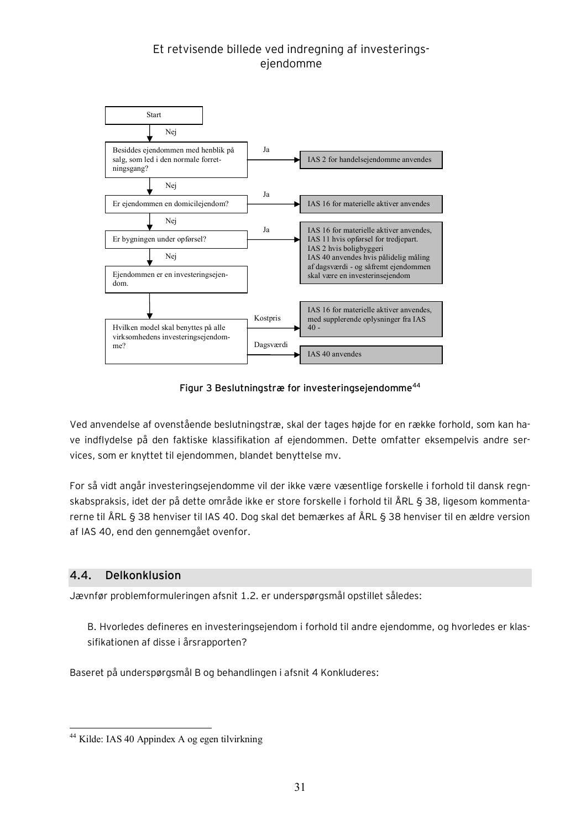

**Figur 3 Beslutningstræ for investeringsejendomme<sup>44</sup>**

Ved anvendelse af ovenstående beslutningstræ, skal der tages højde for en række forhold, som kan have indflydelse på den faktiske klassifikation af ejendommen. Dette omfatter eksempelvis andre services, som er knyttet til ejendommen, blandet benyttelse mv.

For så vidt angår investeringsejendomme vil der ikke være væsentlige forskelle i forhold til dansk regnskabspraksis, idet der på dette område ikke er store forskelle i forhold til ÅRL § 38, ligesom kommentarerne til ÅRL § 38 henviser til IAS 40. Dog skal det bemærkes af ÅRL § 38 henviser til en ældre version af IAS 40, end den gennemgået ovenfor.

#### **4.4. Delkonklusion**

 $\overline{a}$ 

Jævnfør problemformuleringen afsnit 1.2. er underspørgsmål opstillet således:

B. Hvorledes defineres en investeringsejendom i forhold til andre ejendomme, og hvorledes er klassifikationen af disse i årsrapporten?

Baseret på underspørgsmål B og behandlingen i afsnit 4 Konkluderes:

<sup>44</sup> Kilde: IAS 40 Appindex A og egen tilvirkning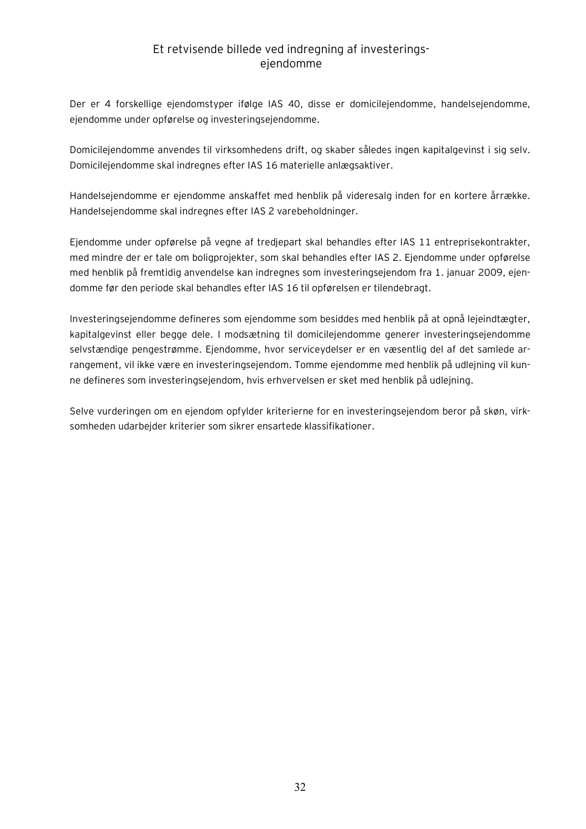Der er 4 forskellige ejendomstyper ifølge IAS 40, disse er domicilejendomme, handelsejendomme, ejendomme under opførelse og investeringsejendomme.

Domicilejendomme anvendes til virksomhedens drift, og skaber således ingen kapitalgevinst i sig selv. Domicilejendomme skal indregnes efter IAS 16 materielle anlægsaktiver.

Handelsejendomme er ejendomme anskaffet med henblik på videresalg inden for en kortere årrække. Handelsejendomme skal indregnes efter IAS 2 varebeholdninger.

Ejendomme under opførelse på vegne af tredjepart skal behandles efter IAS 11 entreprisekontrakter, med mindre der er tale om boligprojekter, som skal behandles efter IAS 2. Ejendomme under opførelse med henblik på fremtidig anvendelse kan indregnes som investeringsejendom fra 1. januar 2009, ejendomme før den periode skal behandles efter IAS 16 til opførelsen er tilendebragt.

Investeringsejendomme defineres som ejendomme som besiddes med henblik på at opnå lejeindtægter, kapitalgevinst eller begge dele. I modsætning til domicilejendomme generer investeringsejendomme selvstændige pengestrømme. Ejendomme, hvor serviceydelser er en væsentlig del af det samlede arrangement, vil ikke være en investeringsejendom. Tomme ejendomme med henblik på udlejning vil kunne defineres som investeringsejendom, hvis erhvervelsen er sket med henblik på udlejning.

Selve vurderingen om en ejendom opfylder kriterierne for en investeringsejendom beror på skøn, virksomheden udarbejder kriterier som sikrer ensartede klassifikationer.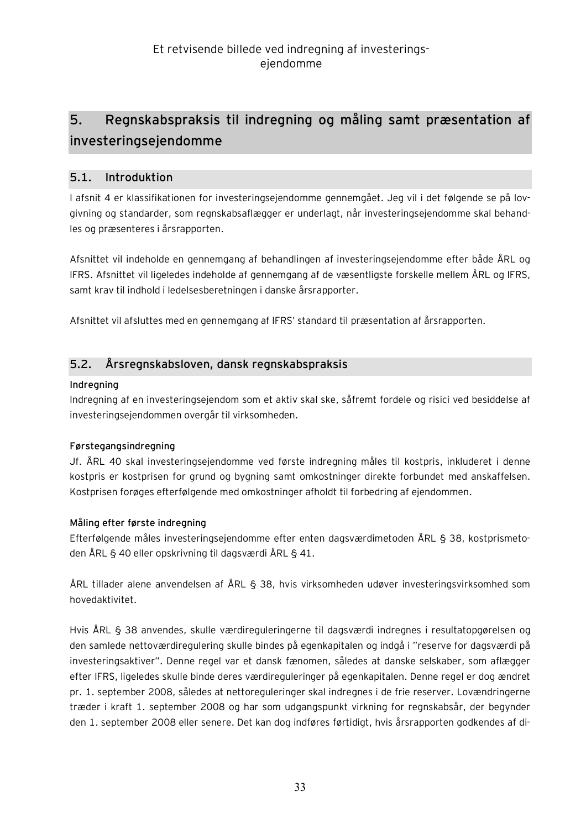## **5. Regnskabspraksis til indregning og måling samt præsentation af investeringsejendomme**

#### **5.1. Introduktion**

I afsnit 4 er klassifikationen for investeringsejendomme gennemgået. Jeg vil i det følgende se på lovgivning og standarder, som regnskabsaflægger er underlagt, når investeringsejendomme skal behandles og præsenteres i årsrapporten.

Afsnittet vil indeholde en gennemgang af behandlingen af investeringsejendomme efter både ÅRL og IFRS. Afsnittet vil ligeledes indeholde af gennemgang af de væsentligste forskelle mellem ÅRL og IFRS, samt krav til indhold i ledelsesberetningen i danske årsrapporter.

Afsnittet vil afsluttes med en gennemgang af IFRS' standard til præsentation af årsrapporten.

## **5.2. Årsregnskabsloven, dansk regnskabspraksis**

#### **Indregning**

Indregning af en investeringsejendom som et aktiv skal ske, såfremt fordele og risici ved besiddelse af investeringsejendommen overgår til virksomheden.

#### **Førstegangsindregning**

Jf. ÅRL 40 skal investeringsejendomme ved første indregning måles til kostpris, inkluderet i denne kostpris er kostprisen for grund og bygning samt omkostninger direkte forbundet med anskaffelsen. Kostprisen forøges efterfølgende med omkostninger afholdt til forbedring af ejendommen.

#### **Måling efter første indregning**

Efterfølgende måles investeringsejendomme efter enten dagsværdimetoden ÅRL § 38, kostprismetoden ÅRL § 40 eller opskrivning til dagsværdi ÅRL § 41.

ÅRL tillader alene anvendelsen af ÅRL § 38, hvis virksomheden udøver investeringsvirksomhed som hovedaktivitet.

Hvis ÅRL § 38 anvendes, skulle værdireguleringerne til dagsværdi indregnes i resultatopgørelsen og den samlede nettoværdiregulering skulle bindes på egenkapitalen og indgå i "reserve for dagsværdi på investeringsaktiver". Denne regel var et dansk fænomen, således at danske selskaber, som aflægger efter IFRS, ligeledes skulle binde deres værdireguleringer på egenkapitalen. Denne regel er dog ændret pr. 1. september 2008, således at nettoreguleringer skal indregnes i de frie reserver. Lovændringerne træder i kraft 1. september 2008 og har som udgangspunkt virkning for regnskabsår, der begynder den 1. september 2008 eller senere. Det kan dog indføres førtidigt, hvis årsrapporten godkendes af di-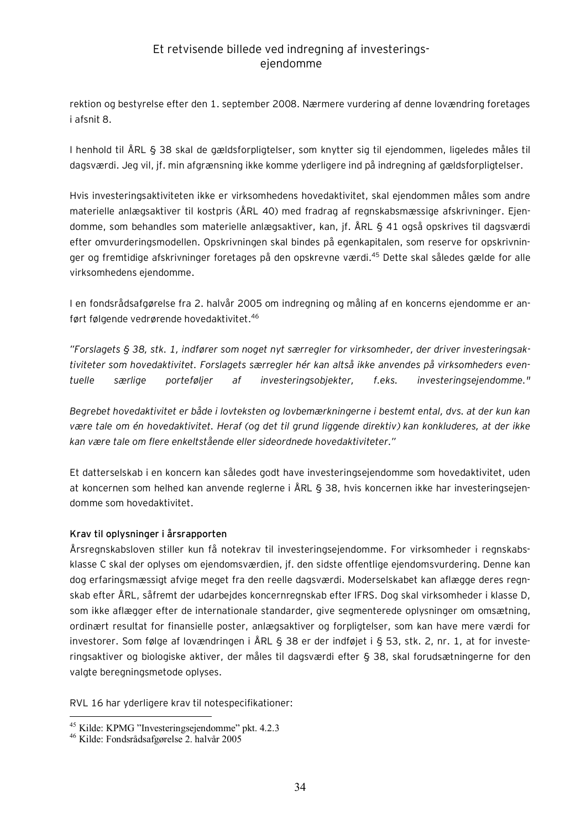rektion og bestyrelse efter den 1. september 2008. Nærmere vurdering af denne lovændring foretages i afsnit 8.

I henhold til ÅRL § 38 skal de gældsforpligtelser, som knytter sig til ejendommen, ligeledes måles til dagsværdi. Jeg vil, jf. min afgrænsning ikke komme yderligere ind på indregning af gældsforpligtelser.

Hvis investeringsaktiviteten ikke er virksomhedens hovedaktivitet, skal ejendommen måles som andre materielle anlægsaktiver til kostpris (ÅRL 40) med fradrag af regnskabsmæssige afskrivninger. Ejendomme, som behandles som materielle anlægsaktiver, kan, jf. ÅRL § 41 også opskrives til dagsværdi efter omvurderingsmodellen. Opskrivningen skal bindes på egenkapitalen, som reserve for opskrivninger og fremtidige afskrivninger foretages på den opskrevne værdi.<sup>45</sup> Dette skal således gælde for alle virksomhedens ejendomme.

I en fondsrådsafgørelse fra 2. halvår 2005 om indregning og måling af en koncerns ejendomme er anført følgende vedrørende hovedaktivitet.<sup>46</sup>

*"Forslagets § 38, stk. 1, indfører som noget nyt særregler for virksomheder, der driver investeringsaktiviteter som hovedaktivitet. Forslagets særregler hér kan altså ikke anvendes på virksomheders eventuelle særlige porteføljer af investeringsobjekter, f.eks. investeringsejendomme."* 

*Begrebet hovedaktivitet er både i lovteksten og lovbemærkningerne i bestemt ental, dvs. at der kun kan være tale om én hovedaktivitet. Heraf (og det til grund liggende direktiv) kan konkluderes, at der ikke kan være tale om flere enkeltstående eller sideordnede hovedaktiviteter."* 

Et datterselskab i en koncern kan således godt have investeringsejendomme som hovedaktivitet, uden at koncernen som helhed kan anvende reglerne i ÅRL § 38, hvis koncernen ikke har investeringsejendomme som hovedaktivitet.

#### **Krav til oplysninger i årsrapporten**

Årsregnskabsloven stiller kun få notekrav til investeringsejendomme. For virksomheder i regnskabsklasse C skal der oplyses om ejendomsværdien, jf. den sidste offentlige ejendomsvurdering. Denne kan dog erfaringsmæssigt afvige meget fra den reelle dagsværdi. Moderselskabet kan aflægge deres regnskab efter ÅRL, såfremt der udarbejdes koncernregnskab efter IFRS. Dog skal virksomheder i klasse D, som ikke aflægger efter de internationale standarder, give segmenterede oplysninger om omsætning, ordinært resultat for finansielle poster, anlægsaktiver og forpligtelser, som kan have mere værdi for investorer. Som følge af lovændringen i ÅRL § 38 er der indføjet i § 53, stk. 2, nr. 1, at for investeringsaktiver og biologiske aktiver, der måles til dagsværdi efter § 38, skal forudsætningerne for den valgte beregningsmetode oplyses.

RVL 16 har yderligere krav til notespecifikationer:

 $\overline{a}$ <sup>45</sup> Kilde: KPMG "Investeringsejendomme" pkt. 4.2.3

<sup>46</sup> Kilde: Fondsrådsafgørelse 2. halvår 2005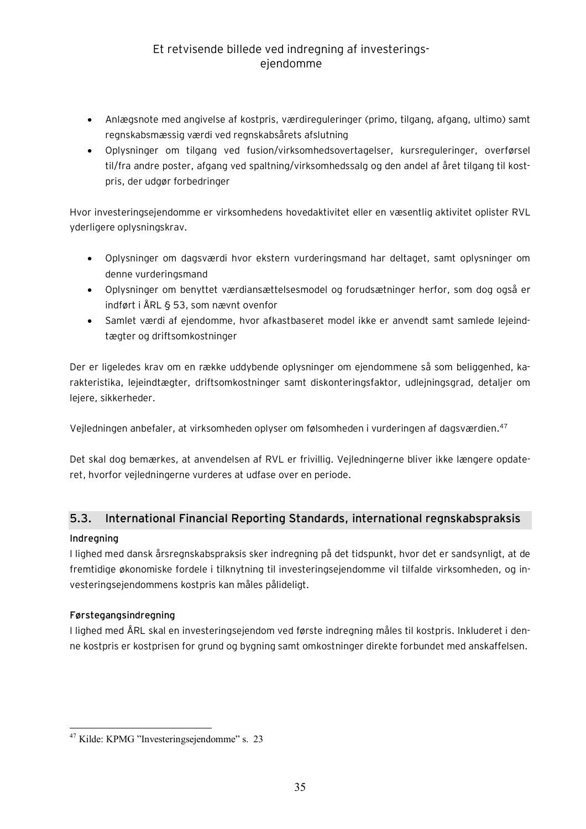- · Anlægsnote med angivelse af kostpris, værdireguleringer (primo, tilgang, afgang, ultimo) samt regnskabsmæssig værdi ved regnskabsårets afslutning
- · Oplysninger om tilgang ved fusion/virksomhedsovertagelser, kursreguleringer, overførsel til/fra andre poster, afgang ved spaltning/virksomhedssalg og den andel af året tilgang til kostpris, der udgør forbedringer

Hvor investeringsejendomme er virksomhedens hovedaktivitet eller en væsentlig aktivitet oplister RVL yderligere oplysningskrav.

- · Oplysninger om dagsværdi hvor ekstern vurderingsmand har deltaget, samt oplysninger om denne vurderingsmand
- · Oplysninger om benyttet værdiansættelsesmodel og forudsætninger herfor, som dog også er indført i ÅRL § 53, som nævnt ovenfor
- · Samlet værdi af ejendomme, hvor afkastbaseret model ikke er anvendt samt samlede lejeindtægter og driftsomkostninger

Der er ligeledes krav om en række uddybende oplysninger om ejendommene så som beliggenhed, karakteristika, lejeindtægter, driftsomkostninger samt diskonteringsfaktor, udlejningsgrad, detaljer om lejere, sikkerheder.

Vejledningen anbefaler, at virksomheden oplyser om følsomheden i vurderingen af dagsværdien.<sup>47</sup>

Det skal dog bemærkes, at anvendelsen af RVL er frivillig. Vejledningerne bliver ikke længere opdateret, hvorfor vejledningerne vurderes at udfase over en periode.

## **5.3. International Financial Reporting Standards, international regnskabspraksis**

#### **Indregning**

I lighed med dansk årsregnskabspraksis sker indregning på det tidspunkt, hvor det er sandsynligt, at de fremtidige økonomiske fordele i tilknytning til investeringsejendomme vil tilfalde virksomheden, og investeringsejendommens kostpris kan måles pålideligt.

#### **Førstegangsindregning**

I lighed med ÅRL skal en investeringsejendom ved første indregning måles til kostpris. Inkluderet i denne kostpris er kostprisen for grund og bygning samt omkostninger direkte forbundet med anskaffelsen.

 $\overline{a}$  $47$  Kilde: KPMG "Investeringsejendomme" s. 23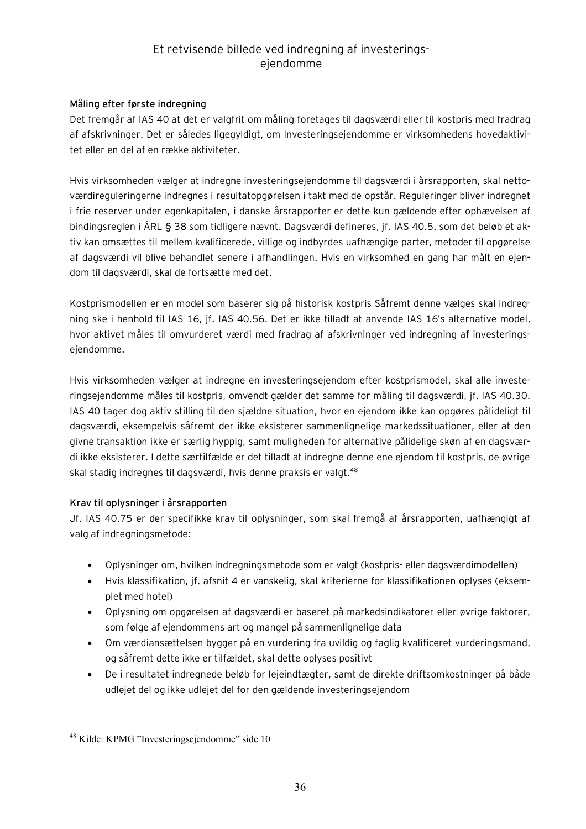#### **Måling efter første indregning**

Det fremgår af IAS 40 at det er valgfrit om måling foretages til dagsværdi eller til kostpris med fradrag af afskrivninger. Det er således ligegyldigt, om Investeringsejendomme er virksomhedens hovedaktivitet eller en del af en række aktiviteter.

Hvis virksomheden vælger at indregne investeringsejendomme til dagsværdi i årsrapporten, skal nettoværdireguleringerne indregnes i resultatopgørelsen i takt med de opstår. Reguleringer bliver indregnet i frie reserver under egenkapitalen, i danske årsrapporter er dette kun gældende efter ophævelsen af bindingsreglen i ÅRL § 38 som tidligere nævnt. Dagsværdi defineres, jf. IAS 40.5. som det beløb et aktiv kan omsættes til mellem kvalificerede, villige og indbyrdes uafhængige parter, metoder til opgørelse af dagsværdi vil blive behandlet senere i afhandlingen. Hvis en virksomhed en gang har målt en ejendom til dagsværdi, skal de fortsætte med det.

Kostprismodellen er en model som baserer sig på historisk kostpris Såfremt denne vælges skal indregning ske i henhold til IAS 16, jf. IAS 40.56. Det er ikke tilladt at anvende IAS 16's alternative model, hvor aktivet måles til omvurderet værdi med fradrag af afskrivninger ved indregning af investeringsejendomme.

Hvis virksomheden vælger at indregne en investeringsejendom efter kostprismodel, skal alle investeringsejendomme måles til kostpris, omvendt gælder det samme for måling til dagsværdi, jf. IAS 40.30. IAS 40 tager dog aktiv stilling til den sjældne situation, hvor en ejendom ikke kan opgøres pålideligt til dagsværdi, eksempelvis såfremt der ikke eksisterer sammenlignelige markedssituationer, eller at den givne transaktion ikke er særlig hyppig, samt muligheden for alternative pålidelige skøn af en dagsværdi ikke eksisterer. I dette særtilfælde er det tilladt at indregne denne ene ejendom til kostpris, de øvrige skal stadig indregnes til dagsværdi, hvis denne praksis er valgt. <sup>48</sup>

#### **Krav til oplysninger i årsrapporten**

Jf. IAS 40.75 er der specifikke krav til oplysninger, som skal fremgå af årsrapporten, uafhængigt af valg af indregningsmetode:

- · Oplysninger om, hvilken indregningsmetode som er valgt (kostpris- eller dagsværdimodellen)
- · Hvis klassifikation, jf. afsnit 4 er vanskelig, skal kriterierne for klassifikationen oplyses (eksemplet med hotel)
- · Oplysning om opgørelsen af dagsværdi er baseret på markedsindikatorer eller øvrige faktorer, som følge af ejendommens art og mangel på sammenlignelige data
- · Om værdiansættelsen bygger på en vurdering fra uvildig og faglig kvalificeret vurderingsmand, og såfremt dette ikke er tilfældet, skal dette oplyses positivt
- · De i resultatet indregnede beløb for lejeindtægter, samt de direkte driftsomkostninger på både udlejet del og ikke udlejet del for den gældende investeringsejendom

 $\overline{a}$ <sup>48</sup> Kilde: KPMG "Investeringsejendomme" side 10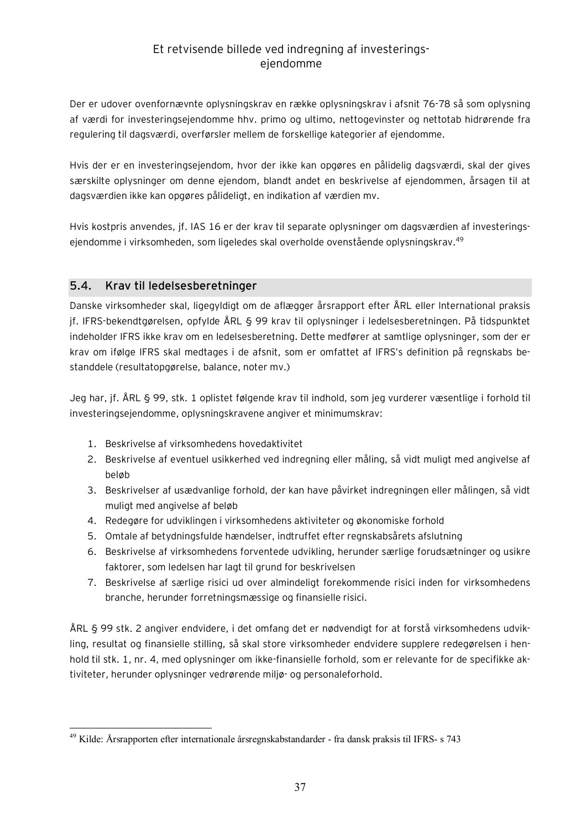Der er udover ovenfornævnte oplysningskrav en række oplysningskrav i afsnit 76-78 så som oplysning af værdi for investeringsejendomme hhv. primo og ultimo, nettogevinster og nettotab hidrørende fra regulering til dagsværdi, overførsler mellem de forskellige kategorier af ejendomme.

Hvis der er en investeringsejendom, hvor der ikke kan opgøres en pålidelig dagsværdi, skal der gives særskilte oplysninger om denne ejendom, blandt andet en beskrivelse af ejendommen, årsagen til at dagsværdien ikke kan opgøres pålideligt, en indikation af værdien mv.

Hvis kostpris anvendes, jf. IAS 16 er der krav til separate oplysninger om dagsværdien af investeringsejendomme i virksomheden, som ligeledes skal overholde ovenstående oplysningskrav.<sup>49</sup>

### **5.4. Krav til ledelsesberetninger**

Danske virksomheder skal, ligegyldigt om de aflægger årsrapport efter ÅRL eller International praksis jf. IFRS-bekendtgørelsen, opfylde ÅRL § 99 krav til oplysninger i ledelsesberetningen. På tidspunktet indeholder IFRS ikke krav om en ledelsesberetning. Dette medfører at samtlige oplysninger, som der er krav om ifølge IFRS skal medtages i de afsnit, som er omfattet af IFRS's definition på regnskabs bestanddele (resultatopgørelse, balance, noter mv.)

Jeg har, jf. ÅRL § 99, stk. 1 oplistet følgende krav til indhold, som jeg vurderer væsentlige i forhold til investeringsejendomme, oplysningskravene angiver et minimumskrav:

- 1. Beskrivelse af virksomhedens hovedaktivitet
- 2. Beskrivelse af eventuel usikkerhed ved indregning eller måling, så vidt muligt med angivelse af beløb
- 3. Beskrivelser af usædvanlige forhold, der kan have påvirket indregningen eller målingen, så vidt muligt med angivelse af beløb
- 4. Redegøre for udviklingen i virksomhedens aktiviteter og økonomiske forhold
- 5. Omtale af betydningsfulde hændelser, indtruffet efter regnskabsårets afslutning
- 6. Beskrivelse af virksomhedens forventede udvikling, herunder særlige forudsætninger og usikre faktorer, som ledelsen har lagt til grund for beskrivelsen
- 7. Beskrivelse af særlige risici ud over almindeligt forekommende risici inden for virksomhedens branche, herunder forretningsmæssige og finansielle risici.

ÅRL § 99 stk. 2 angiver endvidere, i det omfang det er nødvendigt for at forstå virksomhedens udvikling, resultat og finansielle stilling, så skal store virksomheder endvidere supplere redegørelsen i henhold til stk. 1, nr. 4, med oplysninger om ikke-finansielle forhold, som er relevante for de specifikke aktiviteter, herunder oplysninger vedrørende miljø- og personaleforhold.

 $\overline{a}$ <sup>49</sup> Kilde: Årsrapporten efter internationale årsregnskabstandarder - fra dansk praksis til IFRS- s 743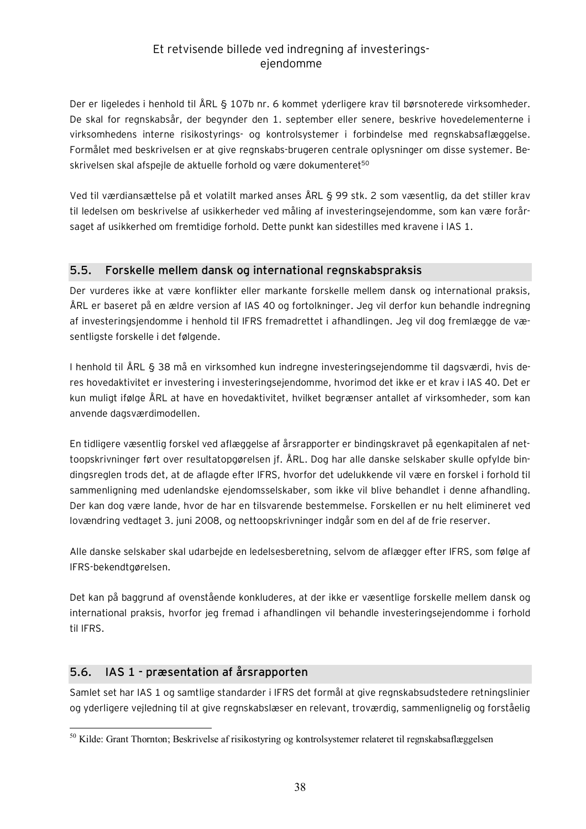Der er ligeledes i henhold til ÅRL § 107b nr. 6 kommet yderligere krav til børsnoterede virksomheder. De skal for regnskabsår, der begynder den 1. september eller senere, beskrive hovedelementerne i virksomhedens interne risikostyrings- og kontrolsystemer i forbindelse med regnskabsaflæggelse. Formålet med beskrivelsen er at give regnskabs-brugeren centrale oplysninger om disse systemer. Beskrivelsen skal afspejle de aktuelle forhold og være dokumenteret<sup>50</sup>

Ved til værdiansættelse på et volatilt marked anses ÅRL § 99 stk. 2 som væsentlig, da det stiller krav til ledelsen om beskrivelse af usikkerheder ved måling af investeringsejendomme, som kan være forårsaget af usikkerhed om fremtidige forhold. Dette punkt kan sidestilles med kravene i IAS 1.

## **5.5. Forskelle mellem dansk og international regnskabspraksis**

Der vurderes ikke at være konflikter eller markante forskelle mellem dansk og international praksis, ÅRL er baseret på en ældre version af IAS 40 og fortolkninger. Jeg vil derfor kun behandle indregning af investeringsjendomme i henhold til IFRS fremadrettet i afhandlingen. Jeg vil dog fremlægge de væsentligste forskelle i det følgende.

I henhold til ÅRL § 38 må en virksomhed kun indregne investeringsejendomme til dagsværdi, hvis deres hovedaktivitet er investering i investeringsejendomme, hvorimod det ikke er et krav i IAS 40. Det er kun muligt ifølge ÅRL at have en hovedaktivitet, hvilket begrænser antallet af virksomheder, som kan anvende dagsværdimodellen.

En tidligere væsentlig forskel ved aflæggelse af årsrapporter er bindingskravet på egenkapitalen af nettoopskrivninger ført over resultatopgørelsen jf. ÅRL. Dog har alle danske selskaber skulle opfylde bindingsreglen trods det, at de aflagde efter IFRS, hvorfor det udelukkende vil være en forskel i forhold til sammenligning med udenlandske ejendomsselskaber, som ikke vil blive behandlet i denne afhandling. Der kan dog være lande, hvor de har en tilsvarende bestemmelse. Forskellen er nu helt elimineret ved lovændring vedtaget 3. juni 2008, og nettoopskrivninger indgår som en del af de frie reserver.

Alle danske selskaber skal udarbejde en ledelsesberetning, selvom de aflægger efter IFRS, som følge af IFRS-bekendtgørelsen.

Det kan på baggrund af ovenstående konkluderes, at der ikke er væsentlige forskelle mellem dansk og international praksis, hvorfor jeg fremad i afhandlingen vil behandle investeringsejendomme i forhold til IFRS.

## **5.6. IAS 1 - præsentation af årsrapporten**

Samlet set har IAS 1 og samtlige standarder i IFRS det formål at give regnskabsudstedere retningslinier og yderligere vejledning til at give regnskabslæser en relevant, troværdig, sammenlignelig og forståelig

 $\overline{a}$ <sup>50</sup> Kilde: Grant Thornton; Beskrivelse af risikostyring og kontrolsystemer relateret til regnskabsaflæggelsen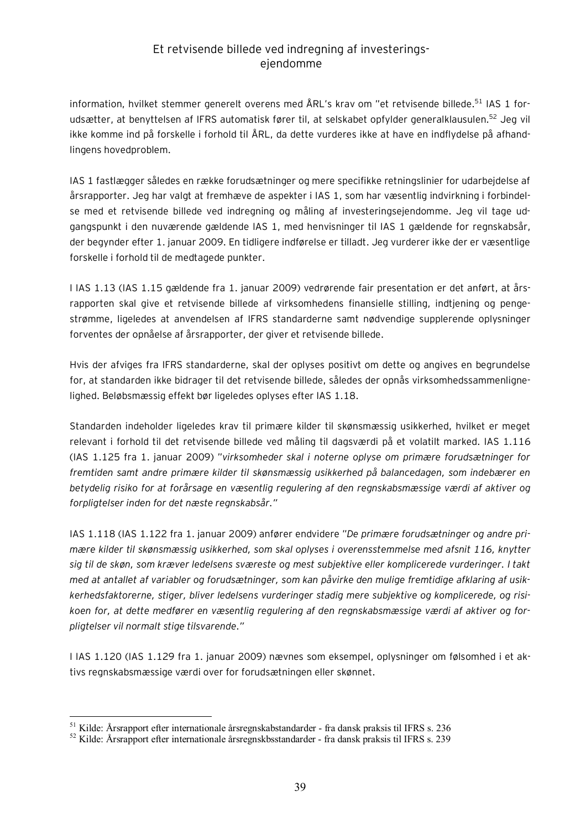information, hvilket stemmer generelt overens med ÅRL's krav om "et retvisende billede.<sup>51</sup> IAS 1 forudsætter, at benyttelsen af IFRS automatisk fører til, at selskabet opfylder generalklausulen.<sup>52</sup> Jeg vil ikke komme ind på forskelle i forhold til ÅRL, da dette vurderes ikke at have en indflydelse på afhandlingens hovedproblem.

IAS 1 fastlægger således en række forudsætninger og mere specifikke retningslinier for udarbejdelse af årsrapporter. Jeg har valgt at fremhæve de aspekter i IAS 1, som har væsentlig indvirkning i forbindelse med et retvisende billede ved indregning og måling af investeringsejendomme. Jeg vil tage udgangspunkt i den nuværende gældende IAS 1, med henvisninger til IAS 1 gældende for regnskabsår, der begynder efter 1. januar 2009. En tidligere indførelse er tilladt. Jeg vurderer ikke der er væsentlige forskelle i forhold til de medtagede punkter.

I IAS 1.13 (IAS 1.15 gældende fra 1. januar 2009) vedrørende fair presentation er det anført, at årsrapporten skal give et retvisende billede af virksomhedens finansielle stilling, indtjening og pengestrømme, ligeledes at anvendelsen af IFRS standarderne samt nødvendige supplerende oplysninger forventes der opnåelse af årsrapporter, der giver et retvisende billede.

Hvis der afviges fra IFRS standarderne, skal der oplyses positivt om dette og angives en begrundelse for, at standarden ikke bidrager til det retvisende billede, således der opnås virksomhedssammenlignelighed. Beløbsmæssig effekt bør ligeledes oplyses efter IAS 1.18.

Standarden indeholder ligeledes krav til primære kilder til skønsmæssig usikkerhed, hvilket er meget relevant i forhold til det retvisende billede ved måling til dagsværdi på et volatilt marked. IAS 1.116 (IAS 1.125 fra 1. januar 2009) "*virksomheder skal i noterne oplyse om primære forudsætninger for fremtiden samt andre primære kilder til skønsmæssig usikkerhed på balancedagen, som indebærer en betydelig risiko for at forårsage en væsentlig regulering af den regnskabsmæssige værdi af aktiver og forpligtelser inden for det næste regnskabsår."* 

IAS 1.118 (IAS 1.122 fra 1. januar 2009) anfører endvidere "*De primære forudsætninger og andre primære kilder til skønsmæssig usikkerhed, som skal oplyses i overensstemmelse med afsnit 116, knytter sig til de skøn, som kræver ledelsens sværeste og mest subjektive eller komplicerede vurderinger. I takt med at antallet af variabler og forudsætninger, som kan påvirke den mulige fremtidige afklaring af usikkerhedsfaktorerne, stiger, bliver ledelsens vurderinger stadig mere subjektive og komplicerede, og risikoen for, at dette medfører en væsentlig regulering af den regnskabsmæssige værdi af aktiver og forpligtelser vil normalt stige tilsvarende."*

I IAS 1.120 (IAS 1.129 fra 1. januar 2009) nævnes som eksempel, oplysninger om følsomhed i et aktivs regnskabsmæssige værdi over for forudsætningen eller skønnet.

<sup>51</sup> Kilde: Årsrapport efter internationale årsregnskabstandarder - fra dansk praksis til IFRS s. 236

<sup>52</sup> Kilde: Årsrapport efter internationale årsregnskbsstandarder - fra dansk praksis til IFRS s. 239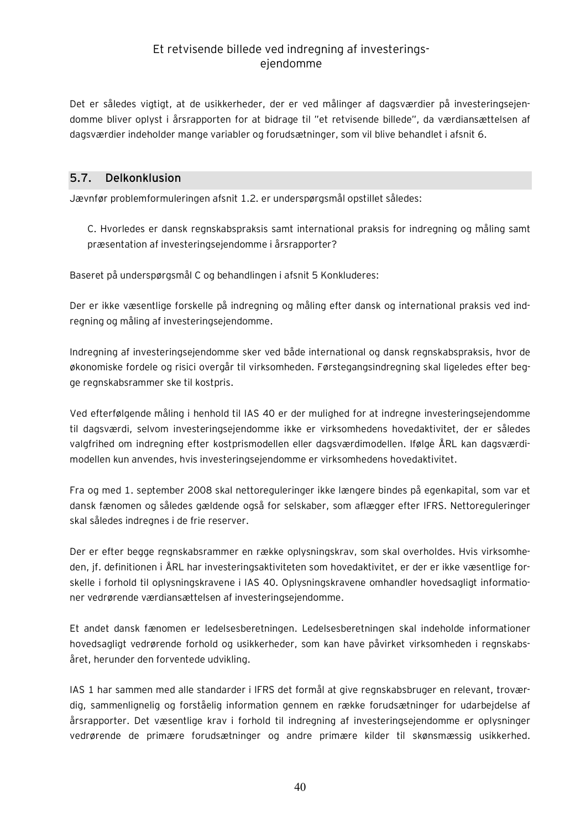Det er således vigtigt, at de usikkerheder, der er ved målinger af dagsværdier på investeringsejendomme bliver oplyst i årsrapporten for at bidrage til "et retvisende billede", da værdiansættelsen af dagsværdier indeholder mange variabler og forudsætninger, som vil blive behandlet i afsnit 6.

### **5.7. Delkonklusion**

Jævnfør problemformuleringen afsnit 1.2. er underspørgsmål opstillet således:

C. Hvorledes er dansk regnskabspraksis samt international praksis for indregning og måling samt præsentation af investeringsejendomme i årsrapporter?

Baseret på underspørgsmål C og behandlingen i afsnit 5 Konkluderes:

Der er ikke væsentlige forskelle på indregning og måling efter dansk og international praksis ved indregning og måling af investeringsejendomme.

Indregning af investeringsejendomme sker ved både international og dansk regnskabspraksis, hvor de økonomiske fordele og risici overgår til virksomheden. Førstegangsindregning skal ligeledes efter begge regnskabsrammer ske til kostpris.

Ved efterfølgende måling i henhold til IAS 40 er der mulighed for at indregne investeringsejendomme til dagsværdi, selvom investeringsejendomme ikke er virksomhedens hovedaktivitet, der er således valgfrihed om indregning efter kostprismodellen eller dagsværdimodellen. Ifølge ÅRL kan dagsværdimodellen kun anvendes, hvis investeringsejendomme er virksomhedens hovedaktivitet.

Fra og med 1. september 2008 skal nettoreguleringer ikke længere bindes på egenkapital, som var et dansk fænomen og således gældende også for selskaber, som aflægger efter IFRS. Nettoreguleringer skal således indregnes i de frie reserver.

Der er efter begge regnskabsrammer en række oplysningskrav, som skal overholdes. Hvis virksomheden, jf. definitionen i ÅRL har investeringsaktiviteten som hovedaktivitet, er der er ikke væsentlige forskelle i forhold til oplysningskravene i IAS 40. Oplysningskravene omhandler hovedsagligt informationer vedrørende værdiansættelsen af investeringsejendomme.

Et andet dansk fænomen er ledelsesberetningen. Ledelsesberetningen skal indeholde informationer hovedsagligt vedrørende forhold og usikkerheder, som kan have påvirket virksomheden i regnskabsåret, herunder den forventede udvikling.

IAS 1 har sammen med alle standarder i IFRS det formål at give regnskabsbruger en relevant, troværdig, sammenlignelig og forståelig information gennem en række forudsætninger for udarbejdelse af årsrapporter. Det væsentlige krav i forhold til indregning af investeringsejendomme er oplysninger vedrørende de primære forudsætninger og andre primære kilder til skønsmæssig usikkerhed.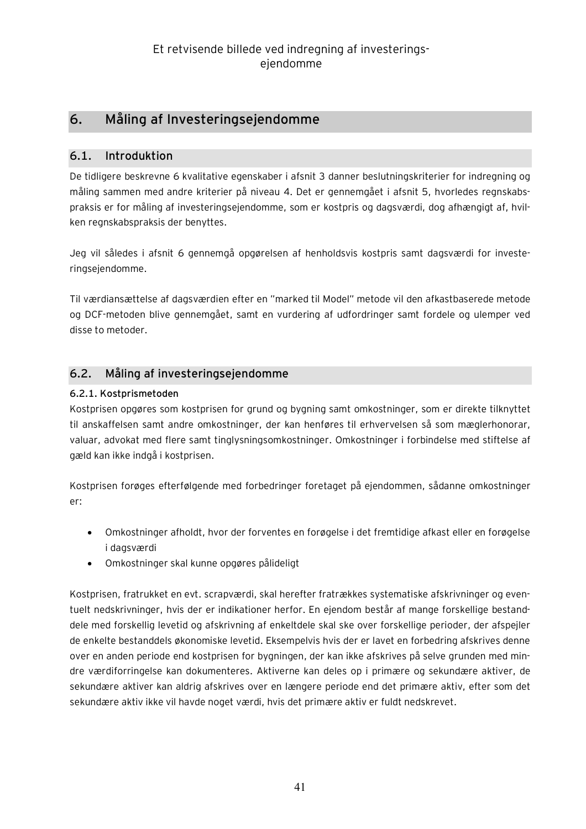# **6. Måling af Investeringsejendomme**

## **6.1. Introduktion**

De tidligere beskrevne 6 kvalitative egenskaber i afsnit 3 danner beslutningskriterier for indregning og måling sammen med andre kriterier på niveau 4. Det er gennemgået i afsnit 5, hvorledes regnskabspraksis er for måling af investeringsejendomme, som er kostpris og dagsværdi, dog afhængigt af, hvilken regnskabspraksis der benyttes.

Jeg vil således i afsnit 6 gennemgå opgørelsen af henholdsvis kostpris samt dagsværdi for investeringsejendomme.

Til værdiansættelse af dagsværdien efter en "marked til Model" metode vil den afkastbaserede metode og DCF-metoden blive gennemgået, samt en vurdering af udfordringer samt fordele og ulemper ved disse to metoder.

## **6.2. Måling af investeringsejendomme**

### **6.2.1. Kostprismetoden**

Kostprisen opgøres som kostprisen for grund og bygning samt omkostninger, som er direkte tilknyttet til anskaffelsen samt andre omkostninger, der kan henføres til erhvervelsen så som mæglerhonorar, valuar, advokat med flere samt tinglysningsomkostninger. Omkostninger i forbindelse med stiftelse af gæld kan ikke indgå i kostprisen.

Kostprisen forøges efterfølgende med forbedringer foretaget på ejendommen, sådanne omkostninger er:

- · Omkostninger afholdt, hvor der forventes en forøgelse i det fremtidige afkast eller en forøgelse i dagsværdi
- · Omkostninger skal kunne opgøres pålideligt

Kostprisen, fratrukket en evt. scrapværdi, skal herefter fratrækkes systematiske afskrivninger og eventuelt nedskrivninger, hvis der er indikationer herfor. En ejendom består af mange forskellige bestanddele med forskellig levetid og afskrivning af enkeltdele skal ske over forskellige perioder, der afspejler de enkelte bestanddels økonomiske levetid. Eksempelvis hvis der er lavet en forbedring afskrives denne over en anden periode end kostprisen for bygningen, der kan ikke afskrives på selve grunden med mindre værdiforringelse kan dokumenteres. Aktiverne kan deles op i primære og sekundære aktiver, de sekundære aktiver kan aldrig afskrives over en længere periode end det primære aktiv, efter som det sekundære aktiv ikke vil havde noget værdi, hvis det primære aktiv er fuldt nedskrevet.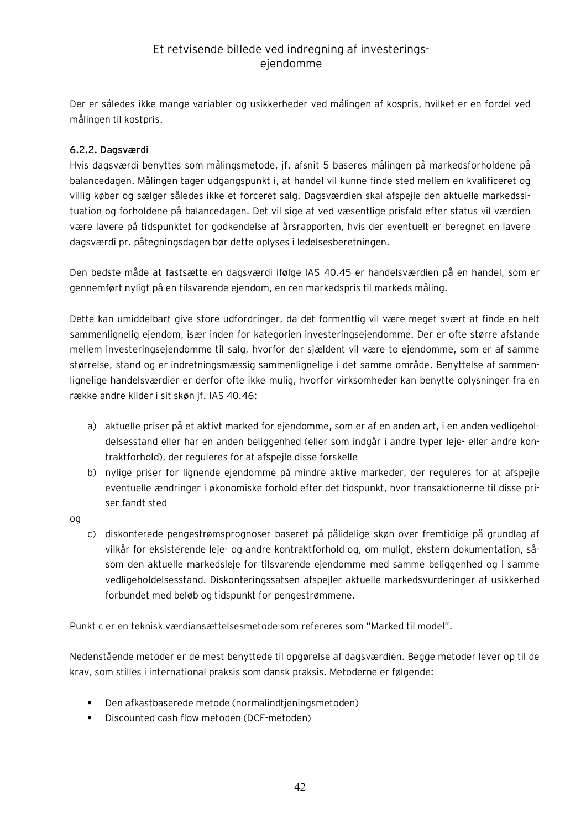Der er således ikke mange variabler og usikkerheder ved målingen af kospris, hvilket er en fordel ved målingen til kostpris.

### **6.2.2. Dagsværdi**

Hvis dagsværdi benyttes som målingsmetode, jf. afsnit 5 baseres målingen på markedsforholdene på balancedagen. Målingen tager udgangspunkt i, at handel vil kunne finde sted mellem en kvalificeret og villig køber og sælger således ikke et forceret salg. Dagsværdien skal afspejle den aktuelle markedssituation og forholdene på balancedagen. Det vil sige at ved væsentlige prisfald efter status vil værdien være lavere på tidspunktet for godkendelse af årsrapporten, hvis der eventuelt er beregnet en lavere dagsværdi pr. påtegningsdagen bør dette oplyses i ledelsesberetningen.

Den bedste måde at fastsætte en dagsværdi ifølge IAS 40.45 er handelsværdien på en handel, som er gennemført nyligt på en tilsvarende ejendom, en ren markedspris til markeds måling.

Dette kan umiddelbart give store udfordringer, da det formentlig vil være meget svært at finde en helt sammenlignelig ejendom, især inden for kategorien investeringsejendomme. Der er ofte større afstande mellem investeringsejendomme til salg, hvorfor der sjældent vil være to ejendomme, som er af samme størrelse, stand og er indretningsmæssig sammenlignelige i det samme område. Benyttelse af sammenlignelige handelsværdier er derfor ofte ikke mulig, hvorfor virksomheder kan benytte oplysninger fra en række andre kilder i sit skøn jf. IAS 40.46:

- a) aktuelle priser på et aktivt marked for ejendomme, som er af en anden art, i en anden vedligeholdelsesstand eller har en anden beliggenhed (eller som indgår i andre typer leje- eller andre kontraktforhold), der reguleres for at afspejle disse forskelle
- b) nylige priser for lignende ejendomme på mindre aktive markeder, der reguleres for at afspejle eventuelle ændringer i økonomiske forhold efter det tidspunkt, hvor transaktionerne til disse priser fandt sted

og

c) diskonterede pengestrømsprognoser baseret på pålidelige skøn over fremtidige på grundlag af vilkår for eksisterende leje- og andre kontraktforhold og, om muligt, ekstern dokumentation, såsom den aktuelle markedsleje for tilsvarende ejendomme med samme beliggenhed og i samme vedligeholdelsesstand. Diskonteringssatsen afspejler aktuelle markedsvurderinger af usikkerhed forbundet med beløb og tidspunkt for pengestrømmene.

Punkt c er en teknisk værdiansættelsesmetode som refereres som "Marked til model".

Nedenstående metoder er de mest benyttede til opgørelse af dagsværdien. Begge metoder lever op til de krav, som stilles i international praksis som dansk praksis. Metoderne er følgende:

- ß Den afkastbaserede metode (normalindtjeningsmetoden)
- **•** Discounted cash flow metoden (DCF-metoden)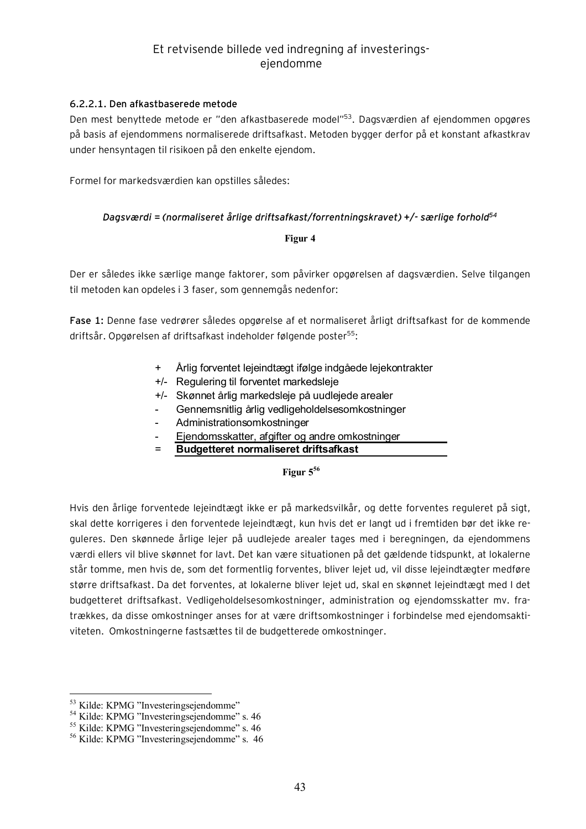#### **6.2.2.1. Den afkastbaserede metode**

Den mest benyttede metode er "den afkastbaserede model"<sup>53</sup> . Dagsværdien af ejendommen opgøres på basis af ejendommens normaliserede driftsafkast. Metoden bygger derfor på et konstant afkastkrav under hensyntagen til risikoen på den enkelte ejendom.

Formel for markedsværdien kan opstilles således:

#### *Dagsværdi = (normaliseret årlige driftsafkast/forrentningskravet) +/- særlige forhold<sup>54</sup>*

#### **Figur 4**

Der er således ikke særlige mange faktorer, som påvirker opgørelsen af dagsværdien. Selve tilgangen til metoden kan opdeles i 3 faser, som gennemgås nedenfor:

**Fase 1:** Denne fase vedrører således opgørelse af et normaliseret årligt driftsafkast for de kommende driftsår. Opgørelsen af driftsafkast indeholder følgende poster<sup>55</sup>:

- Årlig forventet lejeindtægt ifølge indgåede lejekontrakter
- +/- Regulering til forventet markedsleje
- +/- Skønnet årlig markedsleje på uudlejede arealer
- Gennemsnitlig årlig vedligeholdelsesomkostninger
- Administrationsomkostninger
- Ejendomsskatter, afgifter og andre omkostninger
- = **Budgetteret normaliseret driftsafkast**

### **Figur 5<sup>56</sup>**

Hvis den årlige forventede lejeindtægt ikke er på markedsvilkår, og dette forventes reguleret på sigt, skal dette korrigeres i den forventede lejeindtægt, kun hvis det er langt ud i fremtiden bør det ikke reguleres. Den skønnede årlige lejer på uudlejede arealer tages med i beregningen, da ejendommens værdi ellers vil blive skønnet for lavt. Det kan være situationen på det gældende tidspunkt, at lokalerne står tomme, men hvis de, som det formentlig forventes, bliver lejet ud, vil disse lejeindtægter medføre større driftsafkast. Da det forventes, at lokalerne bliver lejet ud, skal en skønnet lejeindtægt med I det budgetteret driftsafkast. Vedligeholdelsesomkostninger, administration og ejendomsskatter mv. fratrækkes, da disse omkostninger anses for at være driftsomkostninger i forbindelse med ejendomsaktiviteten. Omkostningerne fastsættes til de budgetterede omkostninger.

<sup>&</sup>lt;sup>53</sup> Kilde: KPMG "Investeringsejendomme"

<sup>&</sup>lt;sup>54</sup> Kilde: KPMG "Investeringsejendomme" s. 46

<sup>&</sup>lt;sup>55</sup> Kilde: KPMG "Investeringsejendomme" s. 46

<sup>56</sup> Kilde: KPMG "Investeringsejendomme" s. 46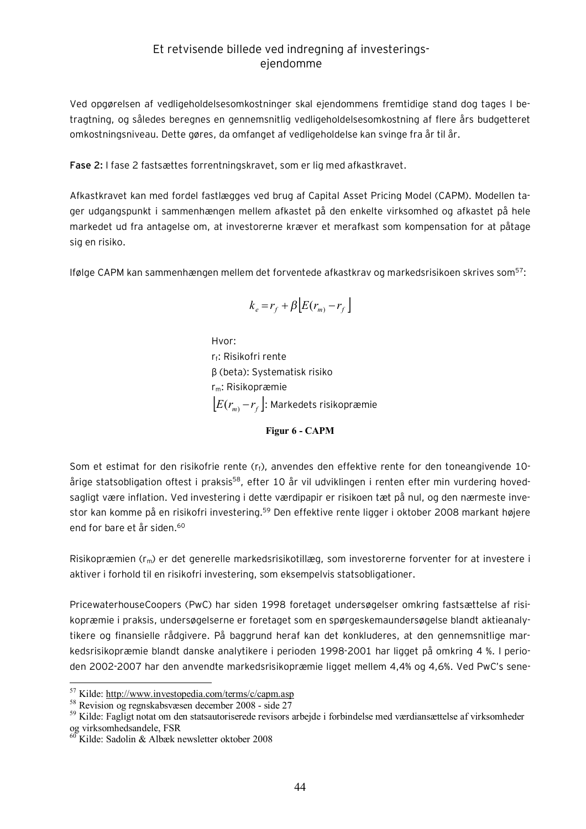Ved opgørelsen af vedligeholdelsesomkostninger skal ejendommens fremtidige stand dog tages I betragtning, og således beregnes en gennemsnitlig vedligeholdelsesomkostning af flere års budgetteret omkostningsniveau. Dette gøres, da omfanget af vedligeholdelse kan svinge fra år til år.

**Fase 2:** I fase 2 fastsættes forrentningskravet, som er lig med afkastkravet.

Afkastkravet kan med fordel fastlægges ved brug af Capital Asset Pricing Model (CAPM). Modellen tager udgangspunkt i sammenhængen mellem afkastet på den enkelte virksomhed og afkastet på hele markedet ud fra antagelse om, at investorerne kræver et merafkast som kompensation for at påtage sig en risiko.

Ifølge CAPM kan sammenhængen mellem det forventede afkastkrav og markedsrisikoen skrives som<sup>57</sup>:

$$
k_e = r_f + \beta \left[ E(r_m) - r_f \right]
$$

Hvor: r<sub>f</sub>: Risikofri rente β (beta): Systematisk risiko rm: Risikopræmie  $\left[ E(r_{_m )} \!-\! r_{_f}\right]$ : Markedets risikopræmie

**Figur 6 - CAPM** 

Som et estimat for den risikofrie rente  $(r_f)$ , anvendes den effektive rente for den toneangivende 10årige statsobligation oftest i praksis<sup>58</sup>, efter 10 år vil udviklingen i renten efter min vurdering hovedsagligt være inflation. Ved investering i dette værdipapir er risikoen tæt på nul, og den nærmeste investor kan komme på en risikofri investering.<sup>59</sup> Den effektive rente ligger i oktober 2008 markant højere end for bare et år siden.<sup>60</sup>

Risikopræmien (r<sub>m</sub>) er det generelle markedsrisikotillæg, som investorerne forventer for at investere i aktiver i forhold til en risikofri investering, som eksempelvis statsobligationer.

PricewaterhouseCoopers (PwC) har siden 1998 foretaget undersøgelser omkring fastsættelse af risikopræmie i praksis, undersøgelserne er foretaget som en spørgeskemaundersøgelse blandt aktieanalytikere og finansielle rådgivere. På baggrund heraf kan det konkluderes, at den gennemsnitlige markedsrisikopræmie blandt danske analytikere i perioden 1998-2001 har ligget på omkring 4 %. I perioden 2002-2007 har den anvendte markedsrisikopræmie ligget mellem 4,4% og 4,6%. Ved PwC's sene-

<sup>&</sup>lt;sup>57</sup> Kilde: <http://www.investopedia.com/terms/c/capm.asp>

<sup>58</sup> Revision og regnskabsvæsen december 2008 - side 27

<sup>59</sup> Kilde: Fagligt notat om den statsautoriserede revisors arbejde i forbindelse med værdiansættelse af virksomheder og virksomhedsandele, FSR

 $60$  Kilde: Sadolin & Albæk newsletter oktober 2008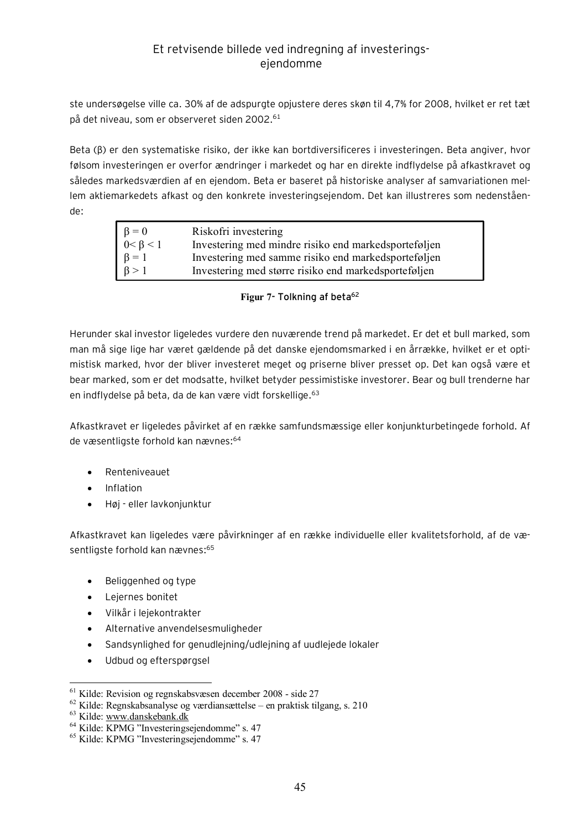ste undersøgelse ville ca. 30% af de adspurgte opjustere deres skøn til 4,7% for 2008, hvilket er ret tæt på det niveau, som er observeret siden 2002.<sup>61</sup>

Beta (β) er den systematiske risiko, der ikke kan bortdiversificeres i investeringen. Beta angiver, hvor følsom investeringen er overfor ændringer i markedet og har en direkte indflydelse på afkastkravet og således markedsværdien af en ejendom. Beta er baseret på historiske analyser af samvariationen mellem aktiemarkedets afkast og den konkrete investeringsejendom. Det kan illustreres som nedenstående:

| $\beta = 0$<br>$0 < \beta < 1$<br>$\beta = 1$<br>$\beta > 1$ | Riskofri investering                                 |
|--------------------------------------------------------------|------------------------------------------------------|
|                                                              | Investering med mindre risiko end markedsporteføljen |
|                                                              | Investering med samme risiko end markedsporteføljen  |
|                                                              | Investering med større risiko end markedsporteføljen |

### **Figur 7- Tolkning af beta<sup>62</sup>**

Herunder skal investor ligeledes vurdere den nuværende trend på markedet. Er det et bull marked, som man må sige lige har været gældende på det danske ejendomsmarked i en årrække, hvilket er et optimistisk marked, hvor der bliver investeret meget og priserne bliver presset op. Det kan også være et bear marked, som er det modsatte, hvilket betyder pessimistiske investorer. Bear og bull trenderne har en indflydelse på beta, da de kan være vidt forskellige.<sup>63</sup>

Afkastkravet er ligeledes påvirket af en række samfundsmæssige eller konjunkturbetingede forhold. Af de væsentligste forhold kan nævnes:<sup>64</sup>

- · Renteniveauet
- · Inflation
- · Høj eller lavkonjunktur

Afkastkravet kan ligeledes være påvirkninger af en række individuelle eller kvalitetsforhold, af de væsentligste forhold kan nævnes:<sup>65</sup>

- · Beliggenhed og type
- · Lejernes bonitet
- · Vilkår i lejekontrakter
- · Alternative anvendelsesmuligheder
- · Sandsynlighed for genudlejning/udlejning af uudlejede lokaler
- · Udbud og efterspørgsel

<sup>61</sup> Kilde: Revision og regnskabsvæsen december 2008 - side 27

<sup>62</sup> Kilde: Regnskabsanalyse og værdiansættelse – en praktisk tilgang, s. 210

<sup>63</sup> Kilde: [www.danskebank.dk](http://www.danskebank.dk)

<sup>&</sup>lt;sup>64</sup> Kilde: KPMG "Investeringsejendomme" s. 47

<sup>&</sup>lt;sup>65</sup> Kilde: KPMG "Investeringsejendomme" s. 47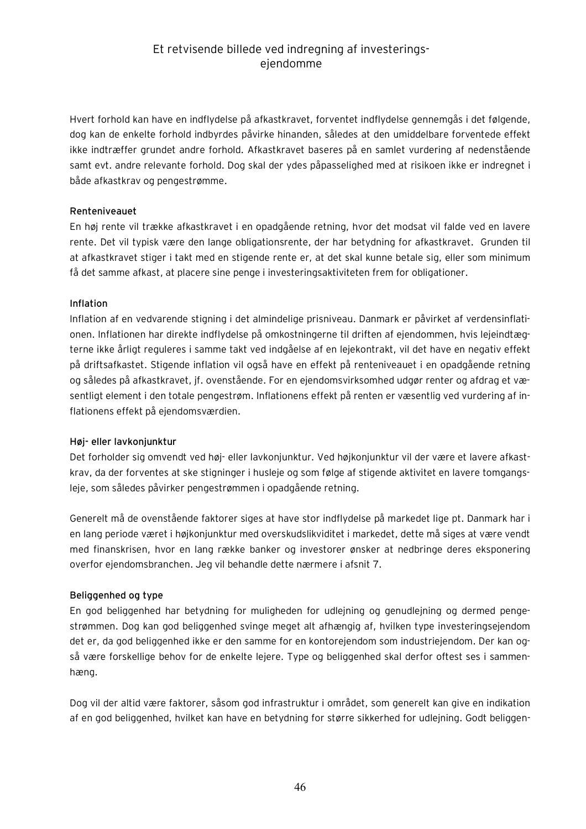Hvert forhold kan have en indflydelse på afkastkravet, forventet indflydelse gennemgås i det følgende, dog kan de enkelte forhold indbyrdes påvirke hinanden, således at den umiddelbare forventede effekt ikke indtræffer grundet andre forhold. Afkastkravet baseres på en samlet vurdering af nedenstående samt evt. andre relevante forhold. Dog skal der ydes påpasselighed med at risikoen ikke er indregnet i både afkastkrav og pengestrømme.

### **Renteniveauet**

En høj rente vil trække afkastkravet i en opadgående retning, hvor det modsat vil falde ved en lavere rente. Det vil typisk være den lange obligationsrente, der har betydning for afkastkravet. Grunden til at afkastkravet stiger i takt med en stigende rente er, at det skal kunne betale sig, eller som minimum få det samme afkast, at placere sine penge i investeringsaktiviteten frem for obligationer.

#### **Inflation**

Inflation af en vedvarende stigning i det almindelige prisniveau. Danmark er påvirket af verdensinflationen. Inflationen har direkte indflydelse på omkostningerne til driften af ejendommen, hvis lejeindtægterne ikke årligt reguleres i samme takt ved indgåelse af en lejekontrakt, vil det have en negativ effekt på driftsafkastet. Stigende inflation vil også have en effekt på renteniveauet i en opadgående retning og således på afkastkravet, jf. ovenstående. For en ejendomsvirksomhed udgør renter og afdrag et væsentligt element i den totale pengestrøm. Inflationens effekt på renten er væsentlig ved vurdering af inflationens effekt på ejendomsværdien.

### **Høj- eller lavkonjunktur**

Det forholder sig omvendt ved høj- eller lavkonjunktur. Ved højkonjunktur vil der være et lavere afkastkrav, da der forventes at ske stigninger i husleje og som følge af stigende aktivitet en lavere tomgangsleje, som således påvirker pengestrømmen i opadgående retning.

Generelt må de ovenstående faktorer siges at have stor indflydelse på markedet lige pt. Danmark har i en lang periode været i højkonjunktur med overskudslikviditet i markedet, dette må siges at være vendt med finanskrisen, hvor en lang række banker og investorer ønsker at nedbringe deres eksponering overfor ejendomsbranchen. Jeg vil behandle dette nærmere i afsnit 7.

### **Beliggenhed og type**

En god beliggenhed har betydning for muligheden for udlejning og genudlejning og dermed pengestrømmen. Dog kan god beliggenhed svinge meget alt afhængig af, hvilken type investeringsejendom det er, da god beliggenhed ikke er den samme for en kontorejendom som industriejendom. Der kan også være forskellige behov for de enkelte lejere. Type og beliggenhed skal derfor oftest ses i sammenhæng.

Dog vil der altid være faktorer, såsom god infrastruktur i området, som generelt kan give en indikation af en god beliggenhed, hvilket kan have en betydning for større sikkerhed for udlejning. Godt beliggen-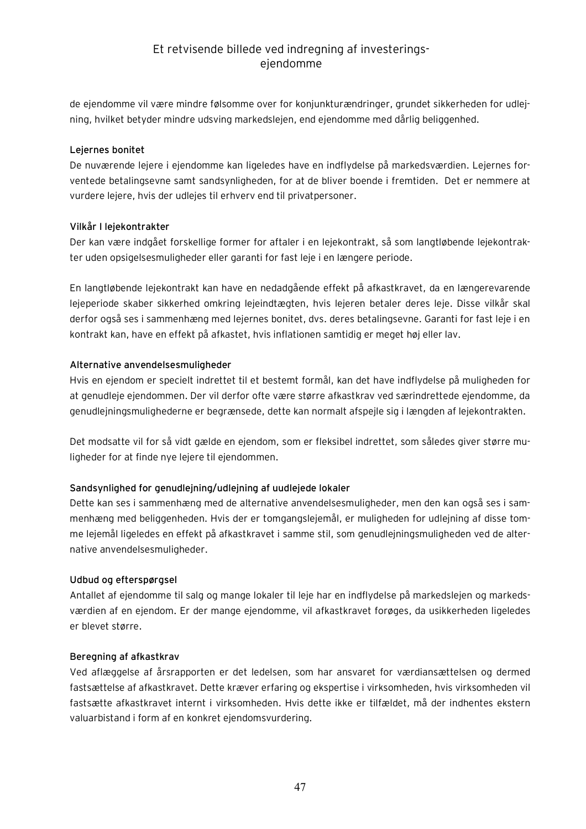de ejendomme vil være mindre følsomme over for konjunkturændringer, grundet sikkerheden for udlejning, hvilket betyder mindre udsving markedslejen, end ejendomme med dårlig beliggenhed.

### **Lejernes bonitet**

De nuværende lejere i ejendomme kan ligeledes have en indflydelse på markedsværdien. Lejernes forventede betalingsevne samt sandsynligheden, for at de bliver boende i fremtiden. Det er nemmere at vurdere lejere, hvis der udlejes til erhverv end til privatpersoner.

### **Vilkår I lejekontrakter**

Der kan være indgået forskellige former for aftaler i en lejekontrakt, så som langtløbende lejekontrakter uden opsigelsesmuligheder eller garanti for fast leje i en længere periode.

En langtløbende lejekontrakt kan have en nedadgående effekt på afkastkravet, da en længerevarende lejeperiode skaber sikkerhed omkring lejeindtægten, hvis lejeren betaler deres leje. Disse vilkår skal derfor også ses i sammenhæng med lejernes bonitet, dvs. deres betalingsevne. Garanti for fast leje i en kontrakt kan, have en effekt på afkastet, hvis inflationen samtidig er meget høj eller lav.

#### **Alternative anvendelsesmuligheder**

Hvis en ejendom er specielt indrettet til et bestemt formål, kan det have indflydelse på muligheden for at genudleje ejendommen. Der vil derfor ofte være større afkastkrav ved særindrettede ejendomme, da genudlejningsmulighederne er begrænsede, dette kan normalt afspejle sig i længden af lejekontrakten.

Det modsatte vil for så vidt gælde en ejendom, som er fleksibel indrettet, som således giver større muligheder for at finde nye lejere til ejendommen.

### **Sandsynlighed for genudlejning/udlejning af uudlejede lokaler**

Dette kan ses i sammenhæng med de alternative anvendelsesmuligheder, men den kan også ses i sammenhæng med beliggenheden. Hvis der er tomgangslejemål, er muligheden for udlejning af disse tomme lejemål ligeledes en effekt på afkastkravet i samme stil, som genudlejningsmuligheden ved de alternative anvendelsesmuligheder.

#### **Udbud og efterspørgsel**

Antallet af ejendomme til salg og mange lokaler til leje har en indflydelse på markedslejen og markedsværdien af en ejendom. Er der mange ejendomme, vil afkastkravet forøges, da usikkerheden ligeledes er blevet større.

#### **Beregning af afkastkrav**

Ved aflæggelse af årsrapporten er det ledelsen, som har ansvaret for værdiansættelsen og dermed fastsættelse af afkastkravet. Dette kræver erfaring og ekspertise i virksomheden, hvis virksomheden vil fastsætte afkastkravet internt i virksomheden. Hvis dette ikke er tilfældet, må der indhentes ekstern valuarbistand i form af en konkret ejendomsvurdering.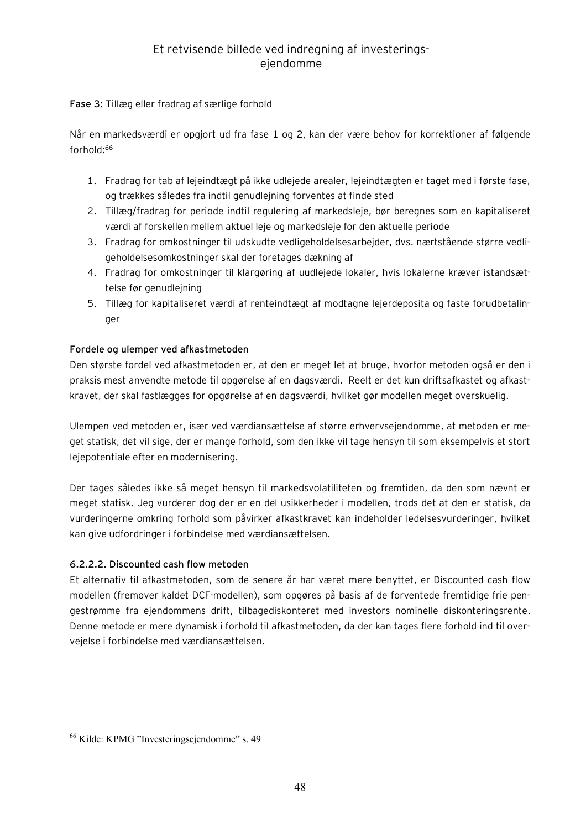### **Fase 3:** Tillæg eller fradrag af særlige forhold

Når en markedsværdi er opgjort ud fra fase 1 og 2, kan der være behov for korrektioner af følgende forhold:<sup>66</sup>

- 1. Fradrag for tab af lejeindtægt på ikke udlejede arealer, lejeindtægten er taget med i første fase, og trækkes således fra indtil genudlejning forventes at finde sted
- 2. Tillæg/fradrag for periode indtil regulering af markedsleje, bør beregnes som en kapitaliseret værdi af forskellen mellem aktuel leje og markedsleje for den aktuelle periode
- 3. Fradrag for omkostninger til udskudte vedligeholdelsesarbejder, dvs. nærtstående større vedligeholdelsesomkostninger skal der foretages dækning af
- 4. Fradrag for omkostninger til klargøring af uudlejede lokaler, hvis lokalerne kræver istandsættelse før genudlejning
- 5. Tillæg for kapitaliseret værdi af renteindtægt af modtagne lejerdeposita og faste forudbetalinger

### **Fordele og ulemper ved afkastmetoden**

Den største fordel ved afkastmetoden er, at den er meget let at bruge, hvorfor metoden også er den i praksis mest anvendte metode til opgørelse af en dagsværdi. Reelt er det kun driftsafkastet og afkastkravet, der skal fastlægges for opgørelse af en dagsværdi, hvilket gør modellen meget overskuelig.

Ulempen ved metoden er, især ved værdiansættelse af større erhvervsejendomme, at metoden er meget statisk, det vil sige, der er mange forhold, som den ikke vil tage hensyn til som eksempelvis et stort lejepotentiale efter en modernisering.

Der tages således ikke så meget hensyn til markedsvolatiliteten og fremtiden, da den som nævnt er meget statisk. Jeg vurderer dog der er en del usikkerheder i modellen, trods det at den er statisk, da vurderingerne omkring forhold som påvirker afkastkravet kan indeholder ledelsesvurderinger, hvilket kan give udfordringer i forbindelse med værdiansættelsen.

### **6.2.2.2. Discounted cash flow metoden**

Et alternativ til afkastmetoden, som de senere år har været mere benyttet, er Discounted cash flow modellen (fremover kaldet DCF-modellen), som opgøres på basis af de forventede fremtidige frie pengestrømme fra ejendommens drift, tilbagediskonteret med investors nominelle diskonteringsrente. Denne metode er mere dynamisk i forhold til afkastmetoden, da der kan tages flere forhold ind til overvejelse i forbindelse med værdiansættelsen.

 $\overline{a}$ <sup>66</sup> Kilde: KPMG "Investeringsejendomme" s. 49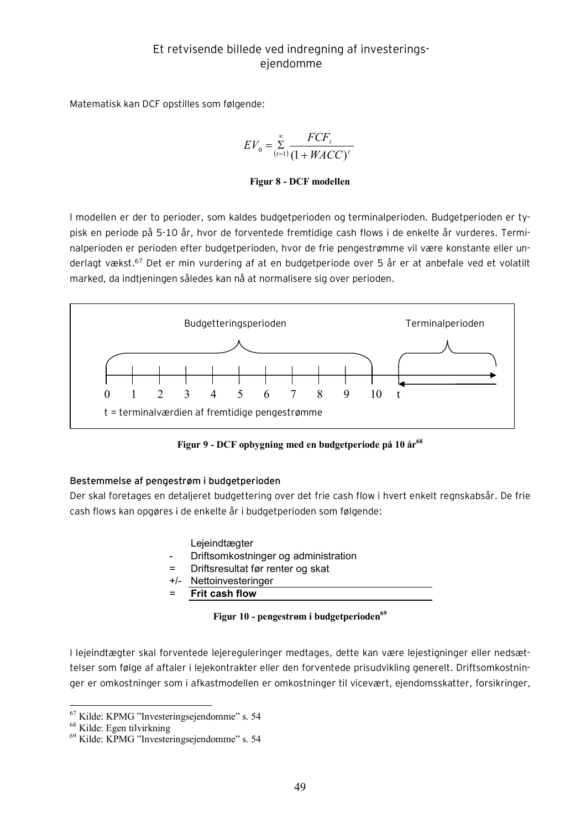Matematisk kan DCF opstilles som følgende:

$$
EV_0 = \sum_{t=1}^{\infty} \frac{FCF_t}{(1 + WACC)^t}
$$

#### **Figur 8 - DCF modellen**

I modellen er der to perioder, som kaldes budgetperioden og terminalperioden. Budgetperioden er typisk en periode på 5-10 år, hvor de forventede fremtidige cash flows i de enkelte år vurderes. Terminalperioden er perioden efter budgetperioden, hvor de frie pengestrømme vil være konstante eller underlagt vækst.<sup>67</sup> Det er min vurdering af at en budgetperiode over 5 år er at anbefale ved et volatilt marked, da indtjeningen således kan nå at normalisere sig over perioden.



**Figur 9 - DCF opbygning med en budgetperiode på 10 år<sup>68</sup>**

### **Bestemmelse af pengestrøm i budgetperioden**

Der skal foretages en detaljeret budgettering over det frie cash flow i hvert enkelt regnskabsår. De frie cash flows kan opgøres i de enkelte år i budgetperioden som følgende:

- Lejeindtægter
- Driftsomkostninger og administration
- Driftsresultat før renter og skat
- +/- Nettoinvesteringer
- = **Frit cash flow**

**Figur 10 - pengestrøm i budgetperioden<sup>69</sup>**

I lejeindtægter skal forventede lejereguleringer medtages, dette kan være lejestigninger eller nedsættelser som følge af aftaler i lejekontrakter eller den forventede prisudvikling generelt. Driftsomkostninger er omkostninger som i afkastmodellen er omkostninger til vicevært, ejendomsskatter, forsikringer,

<sup>67</sup> Kilde: KPMG "Investeringsejendomme" s. 54

<sup>68</sup> Kilde: Egen tilvirkning

<sup>69</sup> Kilde: KPMG "Investeringsejendomme" s. 54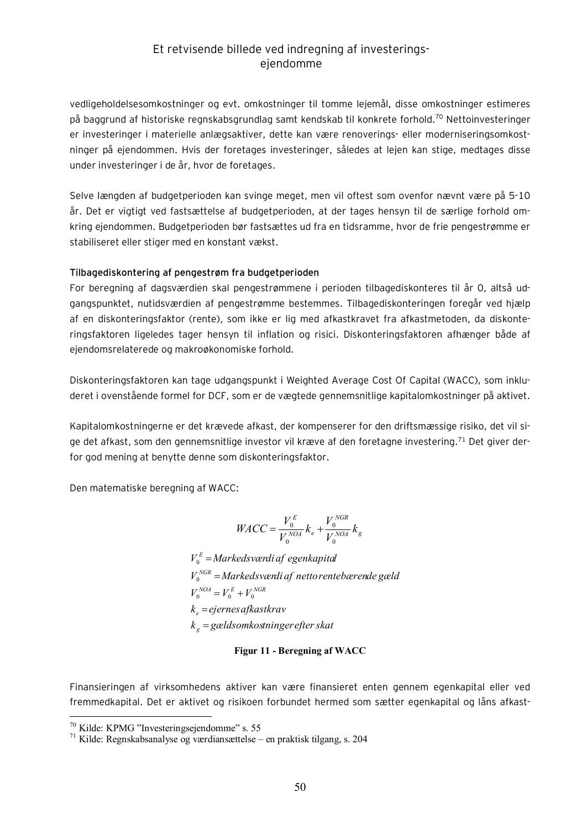vedligeholdelsesomkostninger og evt. omkostninger til tomme lejemål, disse omkostninger estimeres på baggrund af historiske regnskabsgrundlag samt kendskab til konkrete forhold.<sup>70</sup> Nettoinvesteringer er investeringer i materielle anlægsaktiver, dette kan være renoverings- eller moderniseringsomkostninger på ejendommen. Hvis der foretages investeringer, således at lejen kan stige, medtages disse under investeringer i de år, hvor de foretages.

Selve længden af budgetperioden kan svinge meget, men vil oftest som ovenfor nævnt være på 5-10 år. Det er vigtigt ved fastsættelse af budgetperioden, at der tages hensyn til de særlige forhold omkring ejendommen. Budgetperioden bør fastsættes ud fra en tidsramme, hvor de frie pengestrømme er stabiliseret eller stiger med en konstant vækst.

#### **Tilbagediskontering af pengestrøm fra budgetperioden**

For beregning af dagsværdien skal pengestrømmene i perioden tilbagediskonteres til år 0, altså udgangspunktet, nutidsværdien af pengestrømme bestemmes. Tilbagediskonteringen foregår ved hjælp af en diskonteringsfaktor (rente), som ikke er lig med afkastkravet fra afkastmetoden, da diskonteringsfaktoren ligeledes tager hensyn til inflation og risici. Diskonteringsfaktoren afhænger både af ejendomsrelaterede og makroøkonomiske forhold.

Diskonteringsfaktoren kan tage udgangspunkt i Weighted Average Cost Of Capital (WACC), som inkluderet i ovenstående formel for DCF, som er de vægtede gennemsnitlige kapitalomkostninger på aktivet.

Kapitalomkostningerne er det krævede afkast, der kompenserer for den driftsmæssige risiko, det vil sige det afkast, som den gennemsnitlige investor vil kræve af den foretagne investering.<sup>71</sup> Det giver derfor god mening at benytte denne som diskonteringsfaktor.

Den matematiske beregning af WACC:

$$
WACC = \frac{V_0^E}{V_0^{NOA}} k_e + \frac{V_0^{NGR}}{V_0^{NOA}} k_g
$$

*k gældsomkostningerefterskat g* = *k ejernesafkastkrav e* =  $V_0^{NOA} = V_0^E + V_0^{NGR}$  $V_0^{NGR}$  = Markedsværdi af nettorentebærende gæld  $V_0^E =$ Markedsværdi af egenkapital

#### **Figur 11 - Beregning af WACC**

Finansieringen af virksomhedens aktiver kan være finansieret enten gennem egenkapital eller ved fremmedkapital. Det er aktivet og risikoen forbundet hermed som sætter egenkapital og låns afkast-

 $70$  Kilde: KPMG "Investeringsejendomme" s. 55

<sup>71</sup> Kilde: Regnskabsanalyse og værdiansættelse – en praktisk tilgang, s. 204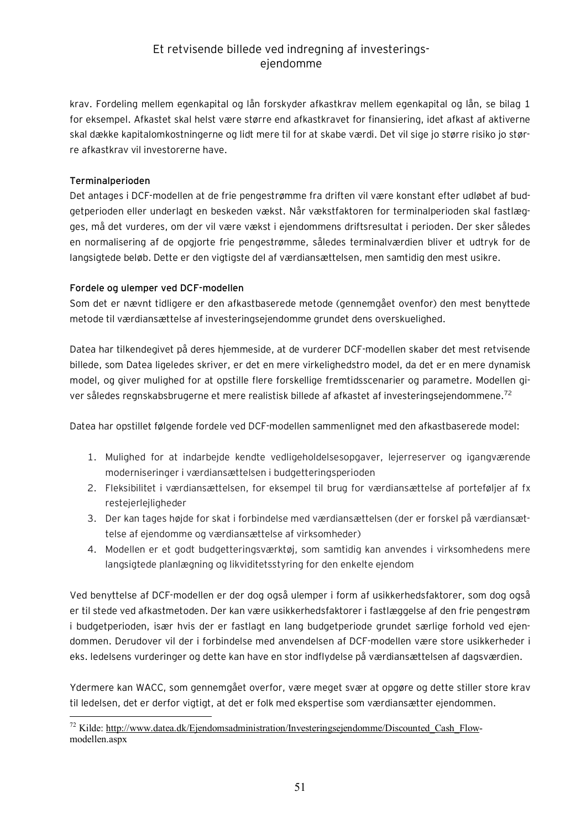krav. Fordeling mellem egenkapital og lån forskyder afkastkrav mellem egenkapital og lån, se bilag 1 for eksempel. Afkastet skal helst være større end afkastkravet for finansiering, idet afkast af aktiverne skal dække kapitalomkostningerne og lidt mere til for at skabe værdi. Det vil sige jo større risiko jo større afkastkrav vil investorerne have.

### **Terminalperioden**

 $\overline{a}$ 

Det antages i DCF-modellen at de frie pengestrømme fra driften vil være konstant efter udløbet af budgetperioden eller underlagt en beskeden vækst. Når vækstfaktoren for terminalperioden skal fastlægges, må det vurderes, om der vil være vækst i ejendommens driftsresultat i perioden. Der sker således en normalisering af de opgjorte frie pengestrømme, således terminalværdien bliver et udtryk for de langsigtede beløb. Dette er den vigtigste del af værdiansættelsen, men samtidig den mest usikre.

### **Fordele og ulemper ved DCF-modellen**

Som det er nævnt tidligere er den afkastbaserede metode (gennemgået ovenfor) den mest benyttede metode til værdiansættelse af investeringsejendomme grundet dens overskuelighed.

Datea har tilkendegivet på deres hjemmeside, at de vurderer DCF-modellen skaber det mest retvisende billede, som Datea ligeledes skriver, er det en mere virkelighedstro model, da det er en mere dynamisk model, og giver mulighed for at opstille flere forskellige fremtidsscenarier og parametre. Modellen giver således regnskabsbrugerne et mere realistisk billede af afkastet af investeringsejendommene.<sup>72</sup>

Datea har opstillet følgende fordele ved DCF-modellen sammenlignet med den afkastbaserede model:

- 1. Mulighed for at indarbejde kendte vedligeholdelsesopgaver, lejerreserver og igangværende moderniseringer i værdiansættelsen i budgetteringsperioden
- 2. Fleksibilitet i værdiansættelsen, for eksempel til brug for værdiansættelse af porteføljer af fx restejerlejligheder
- 3. Der kan tages højde for skat i forbindelse med værdiansættelsen (der er forskel på værdiansættelse af ejendomme og værdiansættelse af virksomheder)
- 4. Modellen er et godt budgetteringsværktøj, som samtidig kan anvendes i virksomhedens mere langsigtede planlægning og likviditetsstyring for den enkelte ejendom

Ved benyttelse af DCF-modellen er der dog også ulemper i form af usikkerhedsfaktorer, som dog også er til stede ved afkastmetoden. Der kan være usikkerhedsfaktorer i fastlæggelse af den frie pengestrøm i budgetperioden, især hvis der er fastlagt en lang budgetperiode grundet særlige forhold ved ejendommen. Derudover vil der i forbindelse med anvendelsen af DCF-modellen være store usikkerheder i eks. ledelsens vurderinger og dette kan have en stor indflydelse på værdiansættelsen af dagsværdien.

Ydermere kan WACC, som gennemgået overfor, være meget svær at opgøre og dette stiller store krav til ledelsen, det er derfor vigtigt, at det er folk med ekspertise som værdiansætter ejendommen.

<sup>&</sup>lt;sup>72</sup> Kilde: [http://www.datea.dk/Ejendomsadministration/Investeringsejendomme/Discounted\\_Cash\\_Flow](http://www.datea.dk/Ejendomsadministration/Investeringsejendomme/Discounted_Cash_Flow)modellen.aspx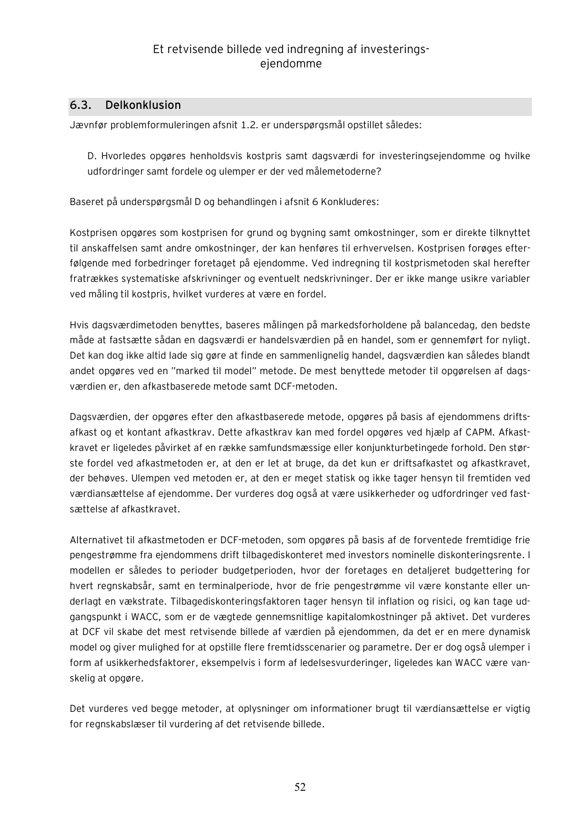### **6.3. Delkonklusion**

Jævnfør problemformuleringen afsnit 1.2. er underspørgsmål opstillet således:

D. Hvorledes opgøres henholdsvis kostpris samt dagsværdi for investeringsejendomme og hvilke udfordringer samt fordele og ulemper er der ved målemetoderne?

Baseret på underspørgsmål D og behandlingen i afsnit 6 Konkluderes:

Kostprisen opgøres som kostprisen for grund og bygning samt omkostninger, som er direkte tilknyttet til anskaffelsen samt andre omkostninger, der kan henføres til erhvervelsen. Kostprisen forøges efterfølgende med forbedringer foretaget på ejendomme. Ved indregning til kostprismetoden skal herefter fratrækkes systematiske afskrivninger og eventuelt nedskrivninger. Der er ikke mange usikre variabler ved måling til kostpris, hvilket vurderes at være en fordel.

Hvis dagsværdimetoden benyttes, baseres målingen på markedsforholdene på balancedag, den bedste måde at fastsætte sådan en dagsværdi er handelsværdien på en handel, som er gennemført for nyligt. Det kan dog ikke altid lade sig gøre at finde en sammenlignelig handel, dagsværdien kan således blandt andet opgøres ved en "marked til model" metode. De mest benyttede metoder til opgørelsen af dagsværdien er, den afkastbaserede metode samt DCF-metoden.

Dagsværdien, der opgøres efter den afkastbaserede metode, opgøres på basis af ejendommens driftsafkast og et kontant afkastkrav. Dette afkastkrav kan med fordel opgøres ved hjælp af CAPM. Afkastkravet er ligeledes påvirket af en række samfundsmæssige eller konjunkturbetingede forhold. Den største fordel ved afkastmetoden er, at den er let at bruge, da det kun er driftsafkastet og afkastkravet, der behøves. Ulempen ved metoden er, at den er meget statisk og ikke tager hensyn til fremtiden ved værdiansættelse af ejendomme. Der vurderes dog også at være usikkerheder og udfordringer ved fastsættelse af afkastkravet.

Alternativet til afkastmetoden er DCF-metoden, som opgøres på basis af de forventede fremtidige frie pengestrømme fra ejendommens drift tilbagediskonteret med investors nominelle diskonteringsrente. I modellen er således to perioder budgetperioden, hvor der foretages en detaljeret budgettering for hvert regnskabsår, samt en terminalperiode, hvor de frie pengestrømme vil være konstante eller underlagt en vækstrate. Tilbagediskonteringsfaktoren tager hensyn til inflation og risici, og kan tage udgangspunkt i WACC, som er de vægtede gennemsnitlige kapitalomkostninger på aktivet. Det vurderes at DCF vil skabe det mest retvisende billede af værdien på ejendommen, da det er en mere dynamisk model og giver mulighed for at opstille flere fremtidsscenarier og parametre. Der er dog også ulemper i form af usikkerhedsfaktorer, eksempelvis i form af ledelsesvurderinger, ligeledes kan WACC være vanskelig at opgøre.

Det vurderes ved begge metoder, at oplysninger om informationer brugt til værdiansættelse er vigtig for regnskabslæser til vurdering af det retvisende billede.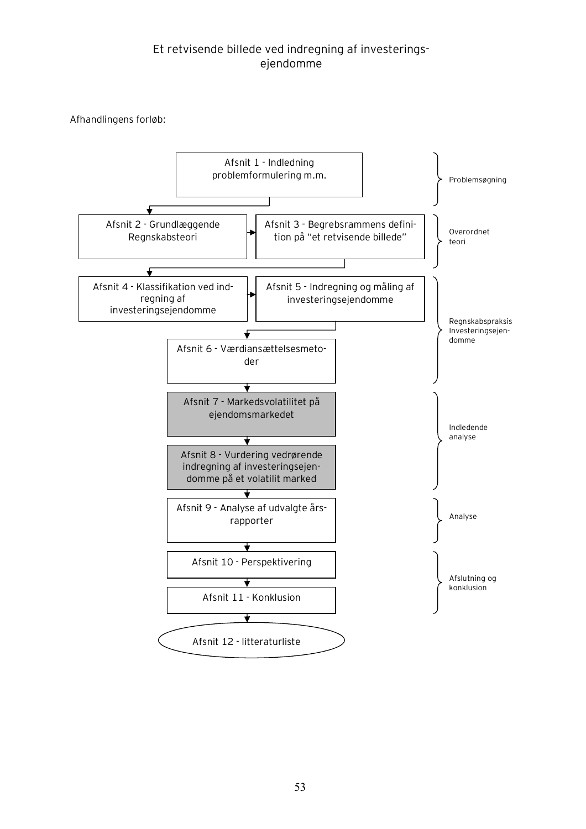Afhandlingens forløb:

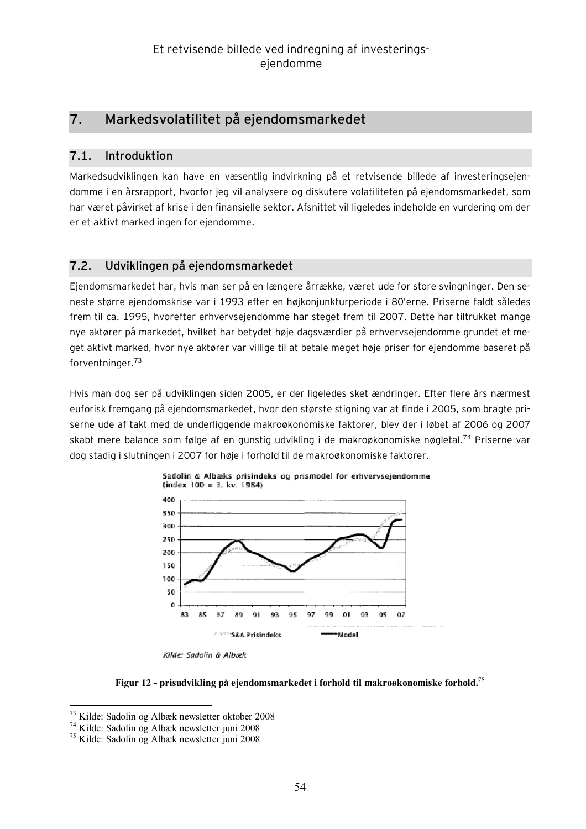# **7. Markedsvolatilitet på ejendomsmarkedet**

### **7.1. Introduktion**

Markedsudviklingen kan have en væsentlig indvirkning på et retvisende billede af investeringsejendomme i en årsrapport, hvorfor jeg vil analysere og diskutere volatiliteten på ejendomsmarkedet, som har været påvirket af krise i den finansielle sektor. Afsnittet vil ligeledes indeholde en vurdering om der er et aktivt marked ingen for ejendomme.

## **7.2. Udviklingen på ejendomsmarkedet**

Ejendomsmarkedet har, hvis man ser på en længere årrække, været ude for store svingninger. Den seneste større ejendomskrise var i 1993 efter en højkonjunkturperiode i 80'erne. Priserne faldt således frem til ca. 1995, hvorefter erhvervsejendomme har steget frem til 2007. Dette har tiltrukket mange nye aktører på markedet, hvilket har betydet høje dagsværdier på erhvervsejendomme grundet et meget aktivt marked, hvor nye aktører var villige til at betale meget høje priser for ejendomme baseret på forventninger.<sup>73</sup>

Hvis man dog ser på udviklingen siden 2005, er der ligeledes sket ændringer. Efter flere års nærmest euforisk fremgang på ejendomsmarkedet, hvor den største stigning var at finde i 2005, som bragte priserne ude af takt med de underliggende makroøkonomiske faktorer, blev der i løbet af 2006 og 2007 skabt mere balance som følge af en gunstig udvikling i de makroøkonomiske nøgletal.<sup>74</sup> Priserne var dog stadig i slutningen i 2007 for høje i forhold til de makroøkonomiske faktorer.





Kilde: Sadolin & Albæk

**Figur 12 - prisudvikling på ejendomsmarkedet i forhold til makroøkonomiske forhold.<sup>75</sup>**

<sup>73</sup> <sup>73</sup> Kilde: Sadolin og Albæk newsletter oktober 2008

<sup>74</sup> Kilde: Sadolin og Albæk newsletter juni 2008

<sup>75</sup> Kilde: Sadolin og Albæk newsletter juni 2008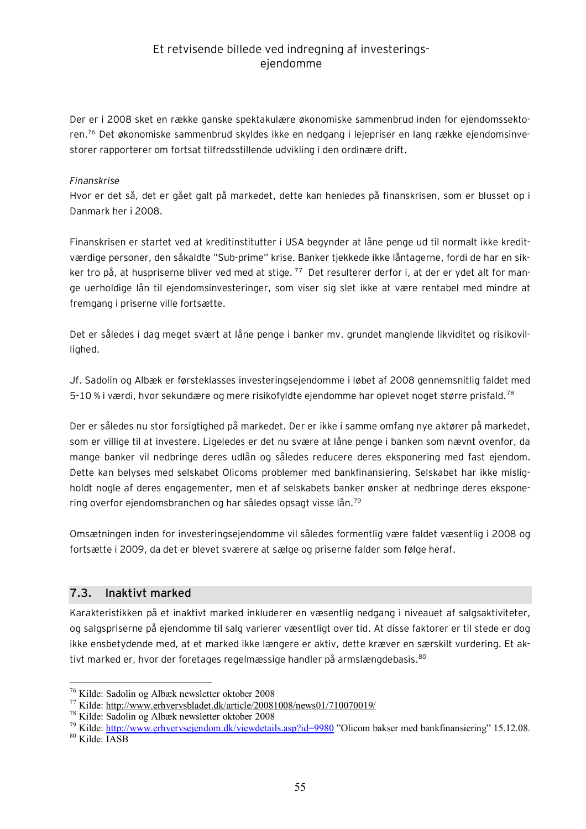Der er i 2008 sket en række ganske spektakulære økonomiske sammenbrud inden for ejendomssektoren.<sup>76</sup> Det økonomiske sammenbrud skyldes ikke en nedgang i lejepriser en lang række ejendomsinvestorer rapporterer om fortsat tilfredsstillende udvikling i den ordinære drift.

### *Finanskrise*

Hvor er det så, det er gået galt på markedet, dette kan henledes på finanskrisen, som er blusset op i Danmark her i 2008.

Finanskrisen er startet ved at kreditinstitutter i USA begynder at låne penge ud til normalt ikke kreditværdige personer, den såkaldte "Sub-prime" krise. Banker tjekkede ikke låntagerne, fordi de har en sikker tro på, at huspriserne bliver ved med at stige. <sup>77</sup> Det resulterer derfor i, at der er ydet alt for mange uerholdige lån til ejendomsinvesteringer, som viser sig slet ikke at være rentabel med mindre at fremgang i priserne ville fortsætte.

Det er således i dag meget svært at låne penge i banker mv. grundet manglende likviditet og risikovillighed.

Jf. Sadolin og Albæk er førsteklasses investeringsejendomme i løbet af 2008 gennemsnitlig faldet med 5-10 % i værdi, hvor sekundære og mere risikofyldte ejendomme har oplevet noget større prisfald.<sup>78</sup>

Der er således nu stor forsigtighed på markedet. Der er ikke i samme omfang nye aktører på markedet, som er villige til at investere. Ligeledes er det nu svære at låne penge i banken som nævnt ovenfor, da mange banker vil nedbringe deres udlån og således reducere deres eksponering med fast ejendom. Dette kan belyses med selskabet Olicoms problemer med bankfinansiering. Selskabet har ikke misligholdt nogle af deres engagementer, men et af selskabets banker ønsker at nedbringe deres eksponering overfor ejendomsbranchen og har således opsagt visse lån.<sup>79</sup>

Omsætningen inden for investeringsejendomme vil således formentlig være faldet væsentlig i 2008 og fortsætte i 2009, da det er blevet sværere at sælge og priserne falder som følge heraf.

### **7.3. Inaktivt marked**

Karakteristikken på et inaktivt marked inkluderer en væsentlig nedgang i niveauet af salgsaktiviteter, og salgspriserne på ejendomme til salg varierer væsentligt over tid. At disse faktorer er til stede er dog ikke ensbetydende med, at et marked ikke længere er aktiv, dette kræver en særskilt vurdering. Et aktivt marked er, hvor der foretages regelmæssige handler på armslængdebasis.<sup>80</sup>

<sup>80</sup> Kilde: IASB

<sup>76</sup> Kilde: Sadolin og Albæk newsletter oktober 2008

<sup>77</sup> Kilde: <http://www.erhvervsbladet.dk/article/20081008/news01/710070019/>

<sup>78</sup> Kilde: Sadolin og Albæk newsletter oktober 2008

<sup>&</sup>lt;sup>79</sup> Kilde: <http://www.erhvervsejendom.dk/viewdetails.asp?id=9980> "Olicom bakser med bankfinansiering" 15.12.08.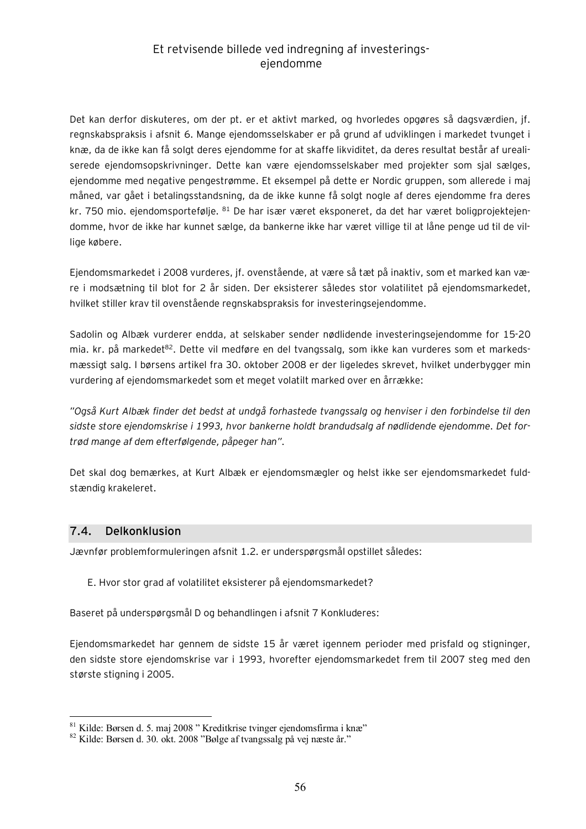Det kan derfor diskuteres, om der pt. er et aktivt marked, og hvorledes opgøres så dagsværdien, jf. regnskabspraksis i afsnit 6. Mange ejendomsselskaber er på grund af udviklingen i markedet tvunget i knæ, da de ikke kan få solgt deres ejendomme for at skaffe likviditet, da deres resultat består af urealiserede ejendomsopskrivninger. Dette kan være ejendomsselskaber med projekter som sjal sælges, ejendomme med negative pengestrømme. Et eksempel på dette er Nordic gruppen, som allerede i maj måned, var gået i betalingsstandsning, da de ikke kunne få solgt nogle af deres ejendomme fra deres kr. 750 mio. ejendomsportefølje. <sup>81</sup> De har især været eksponeret, da det har været boligprojektejendomme, hvor de ikke har kunnet sælge, da bankerne ikke har været villige til at låne penge ud til de villige købere.

Ejendomsmarkedet i 2008 vurderes, jf. ovenstående, at være så tæt på inaktiv, som et marked kan være i modsætning til blot for 2 år siden. Der eksisterer således stor volatilitet på ejendomsmarkedet, hvilket stiller krav til ovenstående regnskabspraksis for investeringsejendomme.

Sadolin og Albæk vurderer endda, at selskaber sender nødlidende investeringsejendomme for 15-20 mia. kr. på markedet<sup>82</sup>. Dette vil medføre en del tvangssalg, som ikke kan vurderes som et markedsmæssigt salg. I børsens artikel fra 30. oktober 2008 er der ligeledes skrevet, hvilket underbygger min vurdering af ejendomsmarkedet som et meget volatilt marked over en årrække:

*"Også Kurt Albæk finder det bedst at undgå forhastede tvangssalg og henviser i den forbindelse til den sidste store ejendomskrise i 1993, hvor bankerne holdt brandudsalg af nødlidende ejendomme. Det fortrød mange af dem efterfølgende, påpeger han".* 

Det skal dog bemærkes, at Kurt Albæk er ejendomsmægler og helst ikke ser ejendomsmarkedet fuldstændig krakeleret.

### **7.4. Delkonklusion**

 $\overline{a}$ 

Jævnfør problemformuleringen afsnit 1.2. er underspørgsmål opstillet således:

E. Hvor stor grad af volatilitet eksisterer på ejendomsmarkedet?

Baseret på underspørgsmål D og behandlingen i afsnit 7 Konkluderes:

Ejendomsmarkedet har gennem de sidste 15 år været igennem perioder med prisfald og stigninger, den sidste store ejendomskrise var i 1993, hvorefter ejendomsmarkedet frem til 2007 steg med den største stigning i 2005.

 $81$  Kilde: Børsen d. 5. maj 2008 " Kreditkrise tvinger ejendomsfirma i knæ"

<sup>82</sup> Kilde: Børsen d. 30. okt. 2008 "Bølge af tvangssalg på vej næste år."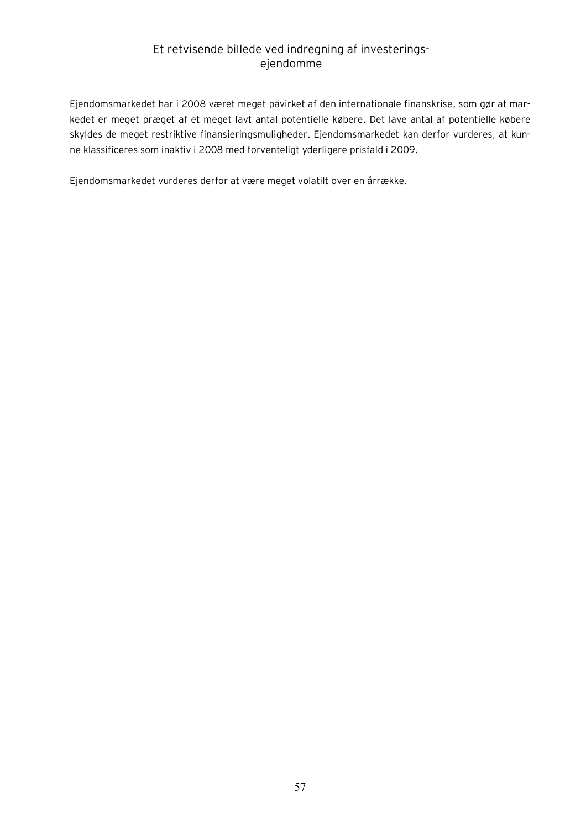Ejendomsmarkedet har i 2008 været meget påvirket af den internationale finanskrise, som gør at markedet er meget præget af et meget lavt antal potentielle købere. Det lave antal af potentielle købere skyldes de meget restriktive finansieringsmuligheder. Ejendomsmarkedet kan derfor vurderes, at kunne klassificeres som inaktiv i 2008 med forventeligt yderligere prisfald i 2009.

Ejendomsmarkedet vurderes derfor at være meget volatilt over en årrække.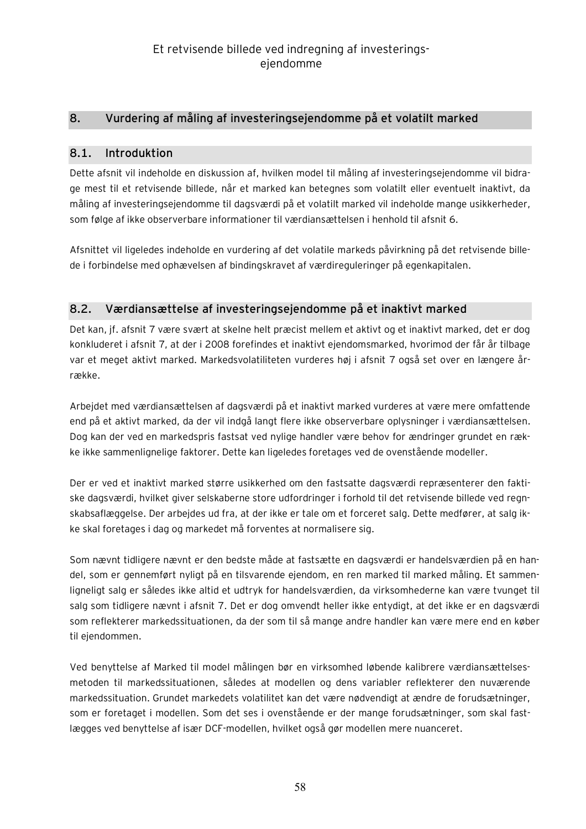## **8. Vurdering af måling af investeringsejendomme på et volatilt marked**

### **8.1. Introduktion**

Dette afsnit vil indeholde en diskussion af, hvilken model til måling af investeringsejendomme vil bidrage mest til et retvisende billede, når et marked kan betegnes som volatilt eller eventuelt inaktivt, da måling af investeringsejendomme til dagsværdi på et volatilt marked vil indeholde mange usikkerheder, som følge af ikke observerbare informationer til værdiansættelsen i henhold til afsnit 6.

Afsnittet vil ligeledes indeholde en vurdering af det volatile markeds påvirkning på det retvisende billede i forbindelse med ophævelsen af bindingskravet af værdireguleringer på egenkapitalen.

## **8.2. Værdiansættelse af investeringsejendomme på et inaktivt marked**

Det kan, jf. afsnit 7 være svært at skelne helt præcist mellem et aktivt og et inaktivt marked, det er dog konkluderet i afsnit 7, at der i 2008 forefindes et inaktivt ejendomsmarked, hvorimod der får år tilbage var et meget aktivt marked. Markedsvolatiliteten vurderes høj i afsnit 7 også set over en længere årrække.

Arbejdet med værdiansættelsen af dagsværdi på et inaktivt marked vurderes at være mere omfattende end på et aktivt marked, da der vil indgå langt flere ikke observerbare oplysninger i værdiansættelsen. Dog kan der ved en markedspris fastsat ved nylige handler være behov for ændringer grundet en række ikke sammenlignelige faktorer. Dette kan ligeledes foretages ved de ovenstående modeller.

Der er ved et inaktivt marked større usikkerhed om den fastsatte dagsværdi repræsenterer den faktiske dagsværdi, hvilket giver selskaberne store udfordringer i forhold til det retvisende billede ved regnskabsaflæggelse. Der arbejdes ud fra, at der ikke er tale om et forceret salg. Dette medfører, at salg ikke skal foretages i dag og markedet må forventes at normalisere sig.

Som nævnt tidligere nævnt er den bedste måde at fastsætte en dagsværdi er handelsværdien på en handel, som er gennemført nyligt på en tilsvarende ejendom, en ren marked til marked måling. Et sammenligneligt salg er således ikke altid et udtryk for handelsværdien, da virksomhederne kan være tvunget til salg som tidligere nævnt i afsnit 7. Det er dog omvendt heller ikke entydigt, at det ikke er en dagsværdi som reflekterer markedssituationen, da der som til så mange andre handler kan være mere end en køber til ejendommen.

Ved benyttelse af Marked til model målingen bør en virksomhed løbende kalibrere værdiansættelsesmetoden til markedssituationen, således at modellen og dens variabler reflekterer den nuværende markedssituation. Grundet markedets volatilitet kan det være nødvendigt at ændre de forudsætninger, som er foretaget i modellen. Som det ses i ovenstående er der mange forudsætninger, som skal fastlægges ved benyttelse af især DCF-modellen, hvilket også gør modellen mere nuanceret.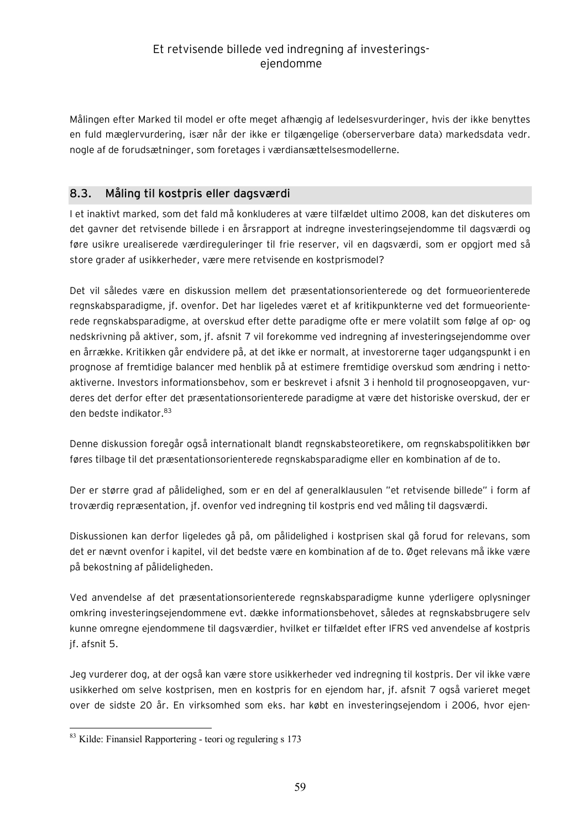Målingen efter Marked til model er ofte meget afhængig af ledelsesvurderinger, hvis der ikke benyttes en fuld mæglervurdering, især når der ikke er tilgængelige (oberserverbare data) markedsdata vedr. nogle af de forudsætninger, som foretages i værdiansættelsesmodellerne.

### **8.3. Måling til kostpris eller dagsværdi**

I et inaktivt marked, som det fald må konkluderes at være tilfældet ultimo 2008, kan det diskuteres om det gavner det retvisende billede i en årsrapport at indregne investeringsejendomme til dagsværdi og føre usikre urealiserede værdireguleringer til frie reserver, vil en dagsværdi, som er opgjort med så store grader af usikkerheder, være mere retvisende en kostprismodel?

Det vil således være en diskussion mellem det præsentationsorienterede og det formueorienterede regnskabsparadigme, jf. ovenfor. Det har ligeledes været et af kritikpunkterne ved det formueorienterede regnskabsparadigme, at overskud efter dette paradigme ofte er mere volatilt som følge af op- og nedskrivning på aktiver, som, jf. afsnit 7 vil forekomme ved indregning af investeringsejendomme over en årrække. Kritikken går endvidere på, at det ikke er normalt, at investorerne tager udgangspunkt i en prognose af fremtidige balancer med henblik på at estimere fremtidige overskud som ændring i nettoaktiverne. Investors informationsbehov, som er beskrevet i afsnit 3 i henhold til prognoseopgaven, vurderes det derfor efter det præsentationsorienterede paradigme at være det historiske overskud, der er den bedste indikator.<sup>83</sup>

Denne diskussion foregår også internationalt blandt regnskabsteoretikere, om regnskabspolitikken bør føres tilbage til det præsentationsorienterede regnskabsparadigme eller en kombination af de to.

Der er større grad af pålidelighed, som er en del af generalklausulen "et retvisende billede" i form af troværdig repræsentation, jf. ovenfor ved indregning til kostpris end ved måling til dagsværdi.

Diskussionen kan derfor ligeledes gå på, om pålidelighed i kostprisen skal gå forud for relevans, som det er nævnt ovenfor i kapitel, vil det bedste være en kombination af de to. Øget relevans må ikke være på bekostning af pålideligheden.

Ved anvendelse af det præsentationsorienterede regnskabsparadigme kunne yderligere oplysninger omkring investeringsejendommene evt. dække informationsbehovet, således at regnskabsbrugere selv kunne omregne ejendommene til dagsværdier, hvilket er tilfældet efter IFRS ved anvendelse af kostpris jf. afsnit 5.

Jeg vurderer dog, at der også kan være store usikkerheder ved indregning til kostpris. Der vil ikke være usikkerhed om selve kostprisen, men en kostpris for en ejendom har, jf. afsnit 7 også varieret meget over de sidste 20 år. En virksomhed som eks. har købt en investeringsejendom i 2006, hvor ejen-

<sup>83</sup> Kilde: Finansiel Rapportering - teori og regulering s 173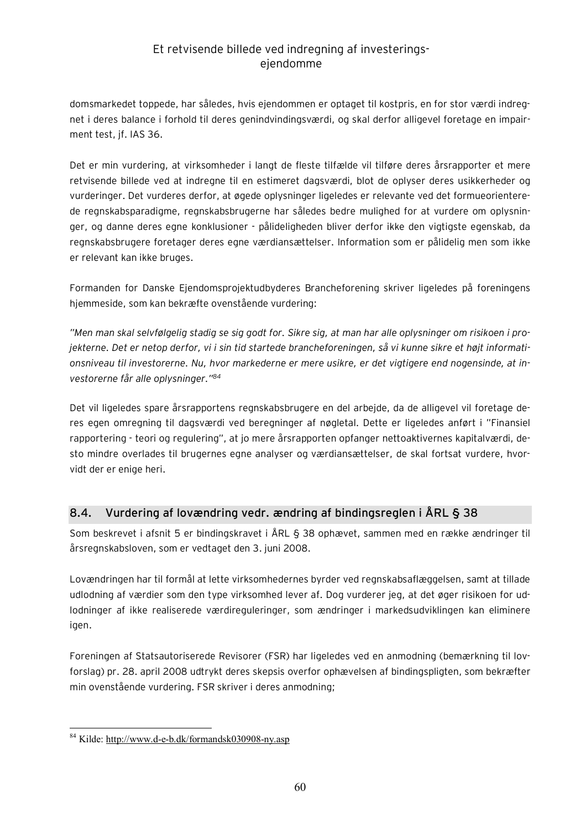domsmarkedet toppede, har således, hvis ejendommen er optaget til kostpris, en for stor værdi indregnet i deres balance i forhold til deres genindvindingsværdi, og skal derfor alligevel foretage en impairment test, jf. IAS 36.

Det er min vurdering, at virksomheder i langt de fleste tilfælde vil tilføre deres årsrapporter et mere retvisende billede ved at indregne til en estimeret dagsværdi, blot de oplyser deres usikkerheder og vurderinger. Det vurderes derfor, at øgede oplysninger ligeledes er relevante ved det formueorienterede regnskabsparadigme, regnskabsbrugerne har således bedre mulighed for at vurdere om oplysninger, og danne deres egne konklusioner - pålideligheden bliver derfor ikke den vigtigste egenskab, da regnskabsbrugere foretager deres egne værdiansættelser. Information som er pålidelig men som ikke er relevant kan ikke bruges.

Formanden for Danske Ejendomsprojektudbyderes Brancheforening skriver ligeledes på foreningens hjemmeside, som kan bekræfte ovenstående vurdering:

"Men man skal selvfølgelig stadig se sig godt for. Sikre sig, at man har alle oplysninger om risikoen i pro*jekterne. Det er netop derfor, vi i sin tid startede brancheforeningen, så vi kunne sikre et højt informationsniveau til investorerne. Nu, hvor markederne er mere usikre, er det vigtigere end nogensinde, at investorerne får alle oplysninger."<sup>84</sup>*

Det vil ligeledes spare årsrapportens regnskabsbrugere en del arbejde, da de alligevel vil foretage deres egen omregning til dagsværdi ved beregninger af nøgletal. Dette er ligeledes anført i "Finansiel rapportering - teori og regulering", at jo mere årsrapporten opfanger nettoaktivernes kapitalværdi, desto mindre overlades til brugernes egne analyser og værdiansættelser, de skal fortsat vurdere, hvorvidt der er enige heri.

## **8.4. Vurdering af lovændring vedr. ændring af bindingsreglen i ÅRL § 38**

Som beskrevet i afsnit 5 er bindingskravet i ÅRL § 38 ophævet, sammen med en række ændringer til årsregnskabsloven, som er vedtaget den 3. juni 2008.

Lovændringen har til formål at lette virksomhedernes byrder ved regnskabsaflæggelsen, samt at tillade udlodning af værdier som den type virksomhed lever af. Dog vurderer jeg, at det øger risikoen for udlodninger af ikke realiserede værdireguleringer, som ændringer i markedsudviklingen kan eliminere igen.

Foreningen af Statsautoriserede Revisorer (FSR) har ligeledes ved en anmodning (bemærkning til lovforslag) pr. 28. april 2008 udtrykt deres skepsis overfor ophævelsen af bindingspligten, som bekræfter min ovenstående vurdering. FSR skriver i deres anmodning;

 $\overline{a}$ <sup>84</sup> Kilde: <http://www.d-e-b.dk/formandsk030908-ny.asp>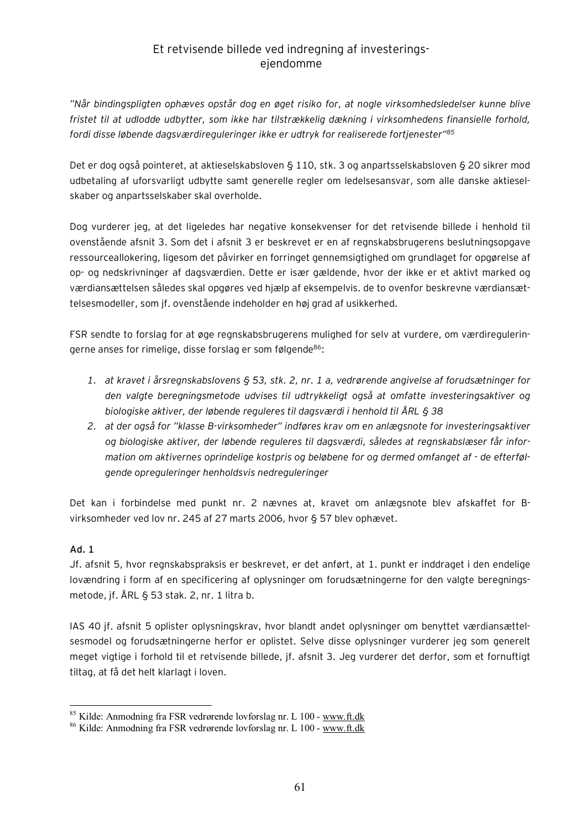*"Når bindingspligten ophæves opstår dog en øget risiko for, at nogle virksomhedsledelser kunne blive fristet til at udlodde udbytter, som ikke har tilstrækkelig dækning i virksomhedens finansielle forhold, fordi disse løbende dagsværdireguleringer ikke er udtryk for realiserede fortjenester"<sup>85</sup>*

Det er dog også pointeret, at aktieselskabsloven § 110, stk. 3 og anpartsselskabsloven § 20 sikrer mod udbetaling af uforsvarligt udbytte samt generelle regler om ledelsesansvar, som alle danske aktieselskaber og anpartsselskaber skal overholde.

Dog vurderer jeg, at det ligeledes har negative konsekvenser for det retvisende billede i henhold til ovenstående afsnit 3. Som det i afsnit 3 er beskrevet er en af regnskabsbrugerens beslutningsopgave ressourceallokering, ligesom det påvirker en forringet gennemsigtighed om grundlaget for opgørelse af op- og nedskrivninger af dagsværdien. Dette er især gældende, hvor der ikke er et aktivt marked og værdiansættelsen således skal opgøres ved hjælp af eksempelvis. de to ovenfor beskrevne værdiansættelsesmodeller, som jf. ovenstående indeholder en høj grad af usikkerhed.

FSR sendte to forslag for at øge regnskabsbrugerens mulighed for selv at vurdere, om værdireguleringerne anses for rimelige, disse forslag er som følgende<sup>86</sup>:

- *1. at kravet i årsregnskabslovens § 53, stk. 2, nr. 1 a, vedrørende angivelse af forudsætninger for den valgte beregningsmetode udvises til udtrykkeligt også at omfatte investeringsaktiver og biologiske aktiver, der løbende reguleres til dagsværdi i henhold til ÅRL § 38*
- *2. at der også for "klasse B-virksomheder" indføres krav om en anlægsnote for investeringsaktiver og biologiske aktiver, der løbende reguleres til dagsværdi, således at regnskabslæser får information om aktivernes oprindelige kostpris og beløbene for og dermed omfanget af - de efterfølgende opreguleringer henholdsvis nedreguleringer*

Det kan i forbindelse med punkt nr. 2 nævnes at, kravet om anlægsnote blev afskaffet for Bvirksomheder ved lov nr. 245 af 27 marts 2006, hvor § 57 blev ophævet.

### **Ad. 1**

 $\overline{a}$ 

Jf. afsnit 5, hvor regnskabspraksis er beskrevet, er det anført, at 1. punkt er inddraget i den endelige lovændring i form af en specificering af oplysninger om forudsætningerne for den valgte beregningsmetode, jf. ÅRL § 53 stak. 2, nr. 1 litra b.

IAS 40 jf. afsnit 5 oplister oplysningskrav, hvor blandt andet oplysninger om benyttet værdiansættelsesmodel og forudsætningerne herfor er oplistet. Selve disse oplysninger vurderer jeg som generelt meget vigtige i forhold til et retvisende billede, jf. afsnit 3. Jeg vurderer det derfor, som et fornuftigt tiltag, at få det helt klarlagt i loven.

<sup>85</sup> Kilde: Anmodning fra FSR vedrørende lovforslag nr. L 100 - [www.ft.dk](http://www.ft.dk)

<sup>86</sup> Kilde: Anmodning fra FSR vedrørende lovforslag nr. L 100 - [www.ft.dk](http://www.ft.dk)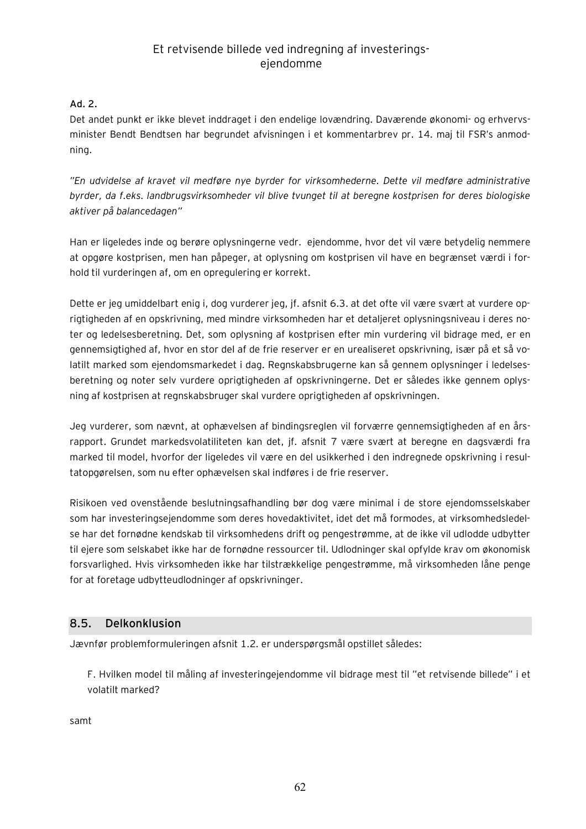### **Ad. 2.**

Det andet punkt er ikke blevet inddraget i den endelige lovændring. Daværende økonomi- og erhvervsminister Bendt Bendtsen har begrundet afvisningen i et kommentarbrev pr. 14. maj til FSR's anmodning.

*"En udvidelse af kravet vil medføre nye byrder for virksomhederne. Dette vil medføre administrative byrder, da f.eks. landbrugsvirksomheder vil blive tvunget til at beregne kostprisen for deres biologiske aktiver på balancedagen"* 

Han er ligeledes inde og berøre oplysningerne vedr. ejendomme, hvor det vil være betydelig nemmere at opgøre kostprisen, men han påpeger, at oplysning om kostprisen vil have en begrænset værdi i forhold til vurderingen af, om en opregulering er korrekt.

Dette er jeg umiddelbart enig i, dog vurderer jeg, jf. afsnit 6.3. at det ofte vil være svært at vurdere oprigtigheden af en opskrivning, med mindre virksomheden har et detaljeret oplysningsniveau i deres noter og ledelsesberetning. Det, som oplysning af kostprisen efter min vurdering vil bidrage med, er en gennemsigtighed af, hvor en stor del af de frie reserver er en urealiseret opskrivning, især på et så volatilt marked som ejendomsmarkedet i dag. Regnskabsbrugerne kan så gennem oplysninger i ledelsesberetning og noter selv vurdere oprigtigheden af opskrivningerne. Det er således ikke gennem oplysning af kostprisen at regnskabsbruger skal vurdere oprigtigheden af opskrivningen.

Jeg vurderer, som nævnt, at ophævelsen af bindingsreglen vil forværre gennemsigtigheden af en årsrapport. Grundet markedsvolatiliteten kan det, jf. afsnit 7 være svært at beregne en dagsværdi fra marked til model, hvorfor der ligeledes vil være en del usikkerhed i den indregnede opskrivning i resultatopgørelsen, som nu efter ophævelsen skal indføres i de frie reserver.

Risikoen ved ovenstående beslutningsafhandling bør dog være minimal i de store ejendomsselskaber som har investeringsejendomme som deres hovedaktivitet, idet det må formodes, at virksomhedsledelse har det fornødne kendskab til virksomhedens drift og pengestrømme, at de ikke vil udlodde udbytter til ejere som selskabet ikke har de fornødne ressourcer til. Udlodninger skal opfylde krav om økonomisk forsvarlighed. Hvis virksomheden ikke har tilstrækkelige pengestrømme, må virksomheden låne penge for at foretage udbytteudlodninger af opskrivninger.

### **8.5. Delkonklusion**

Jævnfør problemformuleringen afsnit 1.2. er underspørgsmål opstillet således:

F. Hvilken model til måling af investeringejendomme vil bidrage mest til "et retvisende billede" i et volatilt marked?

samt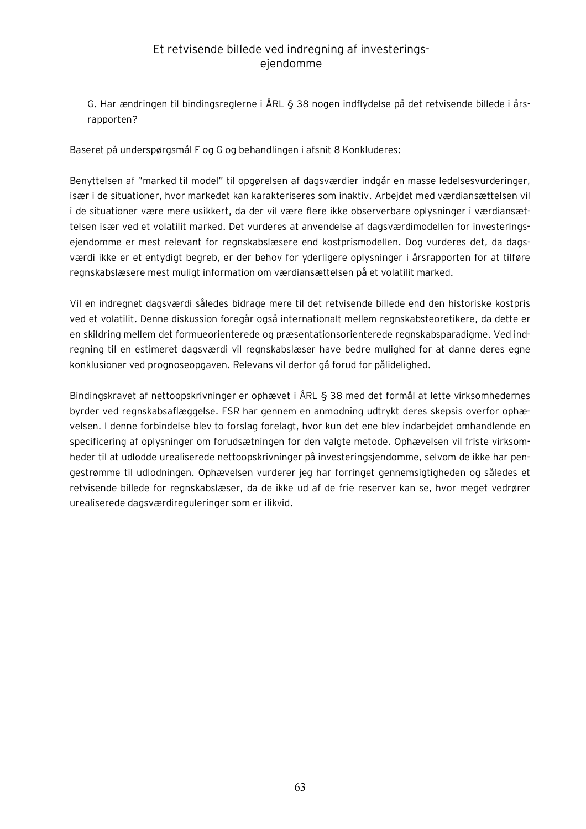G. Har ændringen til bindingsreglerne i ÅRL § 38 nogen indflydelse på det retvisende billede i årsrapporten?

Baseret på underspørgsmål F og G og behandlingen i afsnit 8 Konkluderes:

Benyttelsen af "marked til model" til opgørelsen af dagsværdier indgår en masse ledelsesvurderinger, især i de situationer, hvor markedet kan karakteriseres som inaktiv. Arbejdet med værdiansættelsen vil i de situationer være mere usikkert, da der vil være flere ikke observerbare oplysninger i værdiansættelsen især ved et volatilit marked. Det vurderes at anvendelse af dagsværdimodellen for investeringsejendomme er mest relevant for regnskabslæsere end kostprismodellen. Dog vurderes det, da dagsværdi ikke er et entydigt begreb, er der behov for yderligere oplysninger i årsrapporten for at tilføre regnskabslæsere mest muligt information om værdiansættelsen på et volatilit marked.

Vil en indregnet dagsværdi således bidrage mere til det retvisende billede end den historiske kostpris ved et volatilit. Denne diskussion foregår også internationalt mellem regnskabsteoretikere, da dette er en skildring mellem det formueorienterede og præsentationsorienterede regnskabsparadigme. Ved indregning til en estimeret dagsværdi vil regnskabslæser have bedre mulighed for at danne deres egne konklusioner ved prognoseopgaven. Relevans vil derfor gå forud for pålidelighed.

Bindingskravet af nettoopskrivninger er ophævet i ÅRL § 38 med det formål at lette virksomhedernes byrder ved regnskabsaflæggelse. FSR har gennem en anmodning udtrykt deres skepsis overfor ophævelsen. I denne forbindelse blev to forslag forelagt, hvor kun det ene blev indarbejdet omhandlende en specificering af oplysninger om forudsætningen for den valgte metode. Ophævelsen vil friste virksomheder til at udlodde urealiserede nettoopskrivninger på investeringsjendomme, selvom de ikke har pengestrømme til udlodningen. Ophævelsen vurderer jeg har forringet gennemsigtigheden og således et retvisende billede for regnskabslæser, da de ikke ud af de frie reserver kan se, hvor meget vedrører urealiserede dagsværdireguleringer som er ilikvid.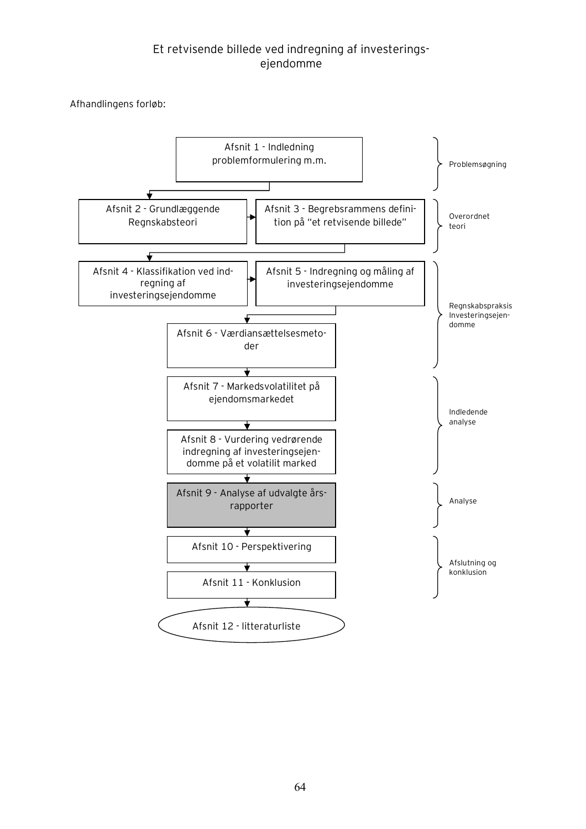Afhandlingens forløb:

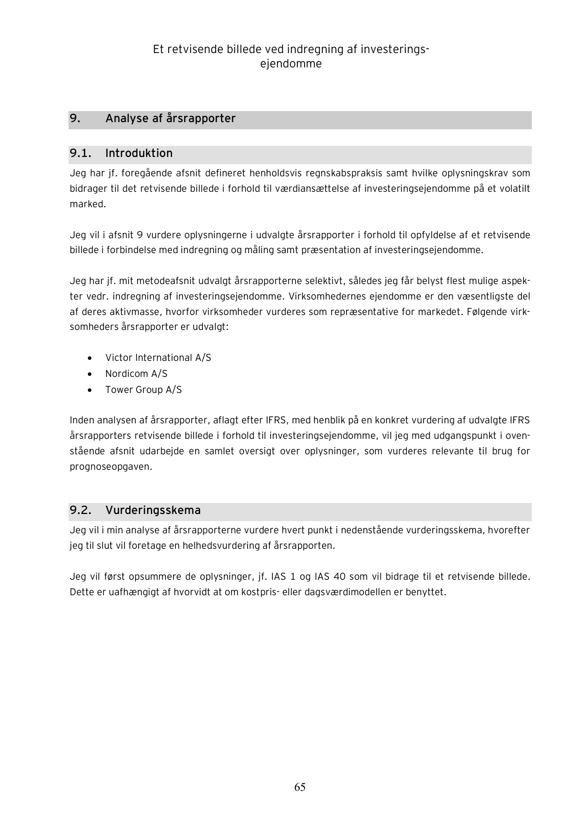## **9. Analyse af årsrapporter**

### **9.1. Introduktion**

Jeg har jf. foregående afsnit defineret henholdsvis regnskabspraksis samt hvilke oplysningskrav som bidrager til det retvisende billede i forhold til værdiansættelse af investeringsejendomme på et volatilt marked.

Jeg vil i afsnit 9 vurdere oplysningerne i udvalgte årsrapporter i forhold til opfyldelse af et retvisende billede i forbindelse med indregning og måling samt præsentation af investeringsejendomme.

Jeg har jf. mit metodeafsnit udvalgt årsrapporterne selektivt, således jeg får belyst flest mulige aspekter vedr. indregning af investeringsejendomme. Virksomhedernes ejendomme er den væsentligste del af deres aktivmasse, hvorfor virksomheder vurderes som repræsentative for markedet. Følgende virksomheders årsrapporter er udvalgt:

- · Victor International A/S
- · Nordicom A/S
- · Tower Group A/S

Inden analysen af årsrapporter, aflagt efter IFRS, med henblik på en konkret vurdering af udvalgte IFRS årsrapporters retvisende billede i forhold til investeringsejendomme, vil jeg med udgangspunkt i ovenstående afsnit udarbejde en samlet oversigt over oplysninger, som vurderes relevante til brug for prognoseopgaven.

### **9.2. Vurderingsskema**

Jeg vil i min analyse af årsrapporterne vurdere hvert punkt i nedenstående vurderingsskema, hvorefter jeg til slut vil foretage en helhedsvurdering af årsrapporten.

Jeg vil først opsummere de oplysninger, jf. IAS 1 og IAS 40 som vil bidrage til et retvisende billede. Dette er uafhængigt af hvorvidt at om kostpris- eller dagsværdimodellen er benyttet.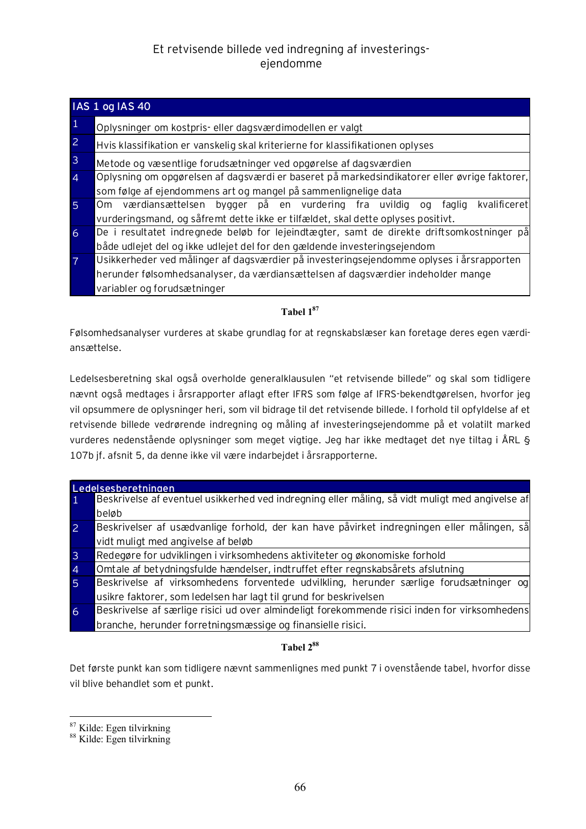|                | <b>IAS 1 og IAS 40</b>                                                                       |  |  |  |
|----------------|----------------------------------------------------------------------------------------------|--|--|--|
|                | Oplysninger om kostpris- eller dagsværdimodellen er valgt                                    |  |  |  |
| $\overline{2}$ | Hvis klassifikation er vanskelig skal kriterierne for klassifikationen oplyses               |  |  |  |
| $\overline{3}$ | Metode og væsentlige forudsætninger ved opgørelse af dagsværdien                             |  |  |  |
|                | Oplysning om opgørelsen af dagsværdi er baseret på markedsindikatorer eller øvrige faktorer, |  |  |  |
|                | som følge af ejendommens art og mangel på sammenlignelige data                               |  |  |  |
| 5              | værdiansættelsen bygger på en vurdering fra uvildig<br>kvalificeret<br>faglig<br>Om<br>oa    |  |  |  |
|                | vurderingsmand, og såfremt dette ikke er tilfældet, skal dette oplyses positivt.             |  |  |  |
| 6              | De i resultatet indregnede beløb for lejeindtægter, samt de direkte driftsomkostninger på    |  |  |  |
|                | både udlejet del og ikke udlejet del for den gældende investeringsejendom                    |  |  |  |
|                | Usikkerheder ved målinger af dagsværdier på investeringsejendomme oplyses i årsrapporten     |  |  |  |
|                | herunder følsomhedsanalyser, da værdiansættelsen af dagsværdier indeholder mange             |  |  |  |
|                | variabler og forudsætninger                                                                  |  |  |  |

### **Tabel 1<sup>87</sup>**

Følsomhedsanalyser vurderes at skabe grundlag for at regnskabslæser kan foretage deres egen værdiansættelse.

Ledelsesberetning skal også overholde generalklausulen "et retvisende billede" og skal som tidligere nævnt også medtages i årsrapporter aflagt efter IFRS som følge af IFRS-bekendtgørelsen, hvorfor jeg vil opsummere de oplysninger heri, som vil bidrage til det retvisende billede. I forhold til opfyldelse af et retvisende billede vedrørende indregning og måling af investeringsejendomme på et volatilt marked vurderes nedenstående oplysninger som meget vigtige. Jeg har ikke medtaget det nye tiltag i ÅRL § 107b jf. afsnit 5, da denne ikke vil være indarbejdet i årsrapporterne.

| Ledelsesberetningen |                                                                                                 |  |  |  |
|---------------------|-------------------------------------------------------------------------------------------------|--|--|--|
|                     | Beskrivelse af eventuel usikkerhed ved indregning eller måling, så vidt muligt med angivelse af |  |  |  |
|                     | beløb                                                                                           |  |  |  |
| 2                   | Beskrivelser af usædvanlige forhold, der kan have påvirket indregningen eller målingen, så      |  |  |  |
|                     | vidt muligt med angivelse af beløb                                                              |  |  |  |
| 3                   | Redegøre for udviklingen i virksomhedens aktiviteter og økonomiske forhold                      |  |  |  |
| $\overline{4}$      | Omtale af betydningsfulde hændelser, indtruffet efter regnskabsårets afslutning                 |  |  |  |
| $\overline{5}$      | Beskrivelse af virksomhedens forventede udvilkling, herunder særlige forudsætninger og          |  |  |  |
|                     | usikre faktorer, som ledelsen har lagt til grund for beskrivelsen                               |  |  |  |
| 6                   | Beskrivelse af særlige risici ud over almindeligt forekommende risici inden for virksomhedens   |  |  |  |
|                     | branche, herunder forretningsmæssige og finansielle risici.                                     |  |  |  |

### **Tabel 2<sup>88</sup>**

Det første punkt kan som tidligere nævnt sammenlignes med punkt 7 i ovenstående tabel, hvorfor disse vil blive behandlet som et punkt.

 $87$  Kilde: Egen tilvirkning

<sup>88</sup> Kilde: Egen tilvirkning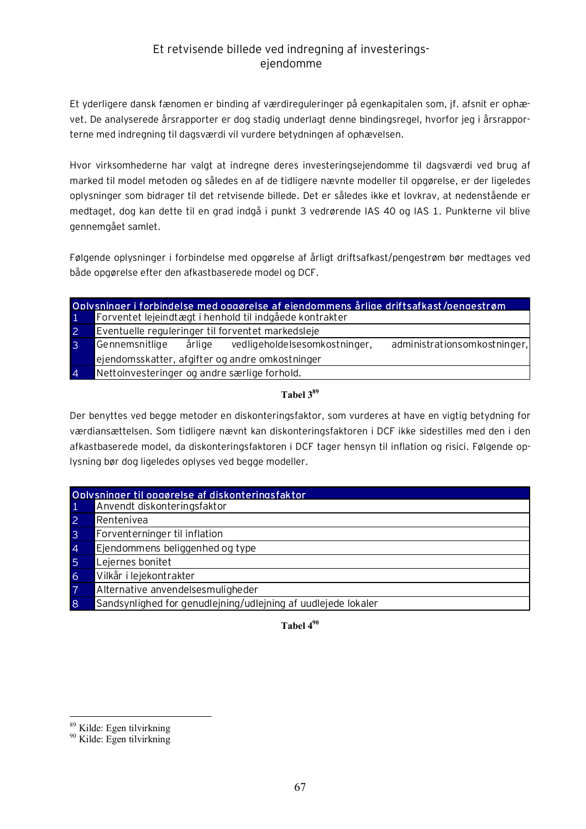Et yderligere dansk fænomen er binding af værdireguleringer på egenkapitalen som, jf. afsnit er ophævet. De analyserede årsrapporter er dog stadig underlagt denne bindingsregel, hvorfor jeg i årsrapporterne med indregning til dagsværdi vil vurdere betydningen af ophævelsen.

Hvor virksomhederne har valgt at indregne deres investeringsejendomme til dagsværdi ved brug af marked til model metoden og således en af de tidligere nævnte modeller til opgørelse, er der ligeledes oplysninger som bidrager til det retvisende billede. Det er således ikke et lovkrav, at nedenstående er medtaget, dog kan dette til en grad indgå i punkt 3 vedrørende IAS 40 og IAS 1. Punkterne vil blive gennemgået samlet.

Følgende oplysninger i forbindelse med opgørelse af årligt driftsafkast/pengestrøm bør medtages ved både opgørelse efter den afkastbaserede model og DCF.

| Oplysninger i forbindelse med opgørelse af ejendommens årlige driftsafkast/pengestrøm |                                                         |        |                               |                              |
|---------------------------------------------------------------------------------------|---------------------------------------------------------|--------|-------------------------------|------------------------------|
|                                                                                       | Forventet lejeindtægt i henhold til indgåede kontrakter |        |                               |                              |
| 2                                                                                     | Eventuelle reguleringer til forventet markedsleje       |        |                               |                              |
|                                                                                       | Gennemsnitlige                                          | årlige | vedligeholdelsesomkostninger, | administrationsomkostninger, |
|                                                                                       | ejendomsskatter, afgifter og andre omkostninger         |        |                               |                              |
| $\overline{A}$                                                                        | Nettoinvesteringer og andre særlige forhold.            |        |                               |                              |

### **Tabel 3<sup>89</sup>**

Der benyttes ved begge metoder en diskonteringsfaktor, som vurderes at have en vigtig betydning for værdiansættelsen. Som tidligere nævnt kan diskonteringsfaktoren i DCF ikke sidestilles med den i den afkastbaserede model, da diskonteringsfaktoren i DCF tager hensyn til inflation og risici. Følgende oplysning bør dog ligeledes oplyses ved begge modeller.

| Oplysninger til opgørelse af diskonteringsfaktor |                                                               |  |  |
|--------------------------------------------------|---------------------------------------------------------------|--|--|
| -1                                               | Anvendt diskonteringsfaktor                                   |  |  |
| $\overline{2}$                                   | Rentenivea                                                    |  |  |
| $\overline{3}$                                   | Forventerninger til inflation                                 |  |  |
| $\overline{4}$                                   | Ejendommens beliggenhed og type                               |  |  |
| $\overline{5}$                                   | Lejernes bonitet                                              |  |  |
| 6                                                | Vilkår i lejekontrakter                                       |  |  |
| $\overline{7}$                                   | Alternative anvendelsesmuligheder                             |  |  |
| 8                                                | Sandsynlighed for genudlejning/udlejning af uudlejede lokaler |  |  |

**Tabel 4<sup>90</sup>**

<sup>89</sup> Kilde: Egen tilvirkning

<sup>90</sup> Kilde: Egen tilvirkning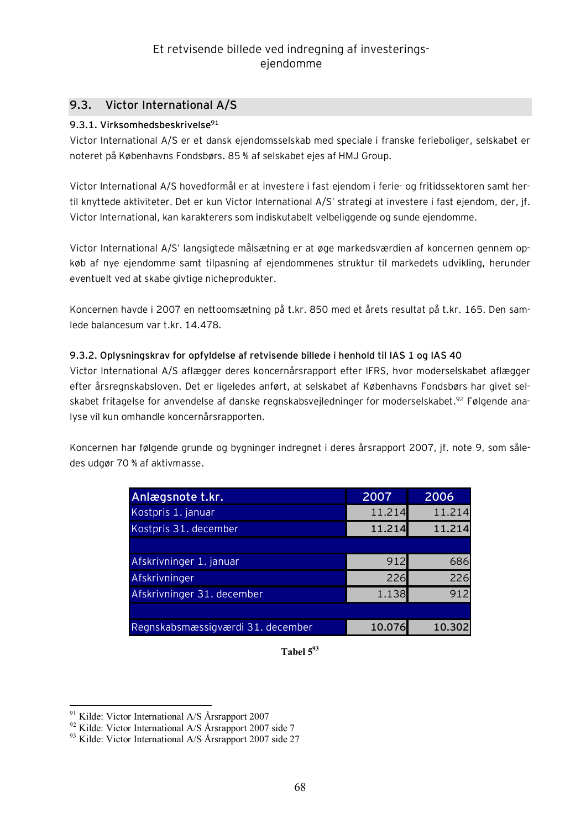### **9.3. Victor International A/S**

### **9.3.1. Virksomhedsbeskrivelse<sup>91</sup>**

Victor International A/S er et dansk ejendomsselskab med speciale i franske ferieboliger, selskabet er noteret på Københavns Fondsbørs. 85 % af selskabet ejes af HMJ Group.

Victor International A/S hovedformål er at investere i fast ejendom i ferie- og fritidssektoren samt hertil knyttede aktiviteter. Det er kun Victor International A/S' strategi at investere i fast ejendom, der, jf. Victor International, kan karakterers som indiskutabelt velbeliggende og sunde ejendomme.

Victor International A/S' langsigtede målsætning er at øge markedsværdien af koncernen gennem opkøb af nye ejendomme samt tilpasning af ejendommenes struktur til markedets udvikling, herunder eventuelt ved at skabe givtige nicheprodukter.

Koncernen havde i 2007 en nettoomsætning på t.kr. 850 med et årets resultat på t.kr. 165. Den samlede balancesum var t.kr. 14.478.

### **9.3.2. Oplysningskrav for opfyldelse af retvisende billede i henhold til IAS 1 og IAS 40**

Victor International A/S aflægger deres koncernårsrapport efter IFRS, hvor moderselskabet aflægger efter årsregnskabsloven. Det er ligeledes anført, at selskabet af Københavns Fondsbørs har givet selskabet fritagelse for anvendelse af danske regnskabsvejledninger for moderselskabet.<sup>92</sup> Følgende analyse vil kun omhandle koncernårsrapporten.

Koncernen har følgende grunde og bygninger indregnet i deres årsrapport 2007, jf. note 9, som således udgør 70 % af aktivmasse.

| Anlægsnote t.kr.                  | 2007   | 2006   |
|-----------------------------------|--------|--------|
| Kostpris 1. januar                | 11.214 | 11.214 |
| Kostpris 31. december             | 11.214 | 11.214 |
|                                   |        |        |
| Afskrivninger 1. januar           | 912    | 686    |
| Afskrivninger                     | 226    | 226    |
| Afskrivninger 31. december        | 1.138  | 912    |
|                                   |        |        |
| Regnskabsmæssigværdi 31. december | 10.076 | 10.302 |

**Tabel 5<sup>93</sup>**

 $\overline{a}$ <sup>91</sup> Kilde: Victor International A/S Årsrapport 2007

<sup>&</sup>lt;sup>92</sup> Kilde: Victor International A/S Årsrapport 2007 side 7

 $93$  Kilde: Victor International A/S Årsrapport 2007 side 27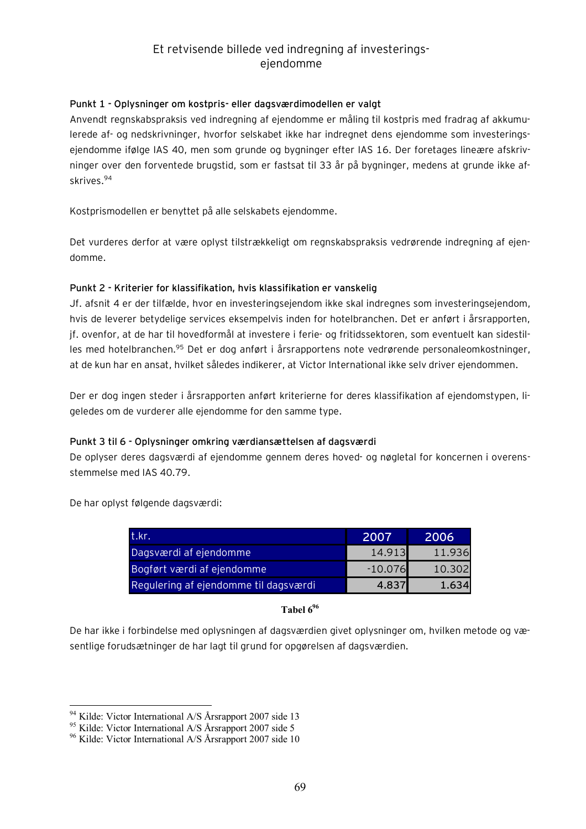### **Punkt 1 - Oplysninger om kostpris- eller dagsværdimodellen er valgt**

Anvendt regnskabspraksis ved indregning af ejendomme er måling til kostpris med fradrag af akkumulerede af- og nedskrivninger, hvorfor selskabet ikke har indregnet dens ejendomme som investeringsejendomme ifølge IAS 40, men som grunde og bygninger efter IAS 16. Der foretages lineære afskrivninger over den forventede brugstid, som er fastsat til 33 år på bygninger, medens at grunde ikke afskrives.<sup>94</sup>

Kostprismodellen er benyttet på alle selskabets ejendomme.

Det vurderes derfor at være oplyst tilstrækkeligt om regnskabspraksis vedrørende indregning af ejendomme.

#### **Punkt 2 - Kriterier for klassifikation, hvis klassifikation er vanskelig**

Jf. afsnit 4 er der tilfælde, hvor en investeringsejendom ikke skal indregnes som investeringsejendom, hvis de leverer betydelige services eksempelvis inden for hotelbranchen. Det er anført i årsrapporten, jf. ovenfor, at de har til hovedformål at investere i ferie- og fritidssektoren, som eventuelt kan sidestilles med hotelbranchen.<sup>95</sup> Det er dog anført i årsrapportens note vedrørende personaleomkostninger, at de kun har en ansat, hvilket således indikerer, at Victor International ikke selv driver ejendommen.

Der er dog ingen steder i årsrapporten anført kriterierne for deres klassifikation af ejendomstypen, ligeledes om de vurderer alle ejendomme for den samme type.

#### **Punkt 3 til 6 - Oplysninger omkring værdiansættelsen af dagsværdi**

De oplyser deres dagsværdi af ejendomme gennem deres hoved- og nøgletal for koncernen i overensstemmelse med IAS 40.79.

De har oplyst følgende dagsværdi:

| .t.kr                                 | 2007      | 2006   |
|---------------------------------------|-----------|--------|
| Dagsværdi af ejendomme                | 14.913    | 11.936 |
| Bogført værdi af ejendomme            | $-10.076$ | 10.302 |
| Regulering af ejendomme til dagsværdi | 4.837     | 1 6341 |

### **Tabel 6<sup>96</sup>**

De har ikke i forbindelse med oplysningen af dagsværdien givet oplysninger om, hvilken metode og væsentlige forudsætninger de har lagt til grund for opgørelsen af dagsværdien.

<sup>94</sup> Kilde: Victor International A/S Årsrapport 2007 side 13

<sup>95</sup> Kilde: Victor International A/S Årsrapport 2007 side 5

<sup>&</sup>lt;sup>96</sup> Kilde: Victor International A/S Årsrapport 2007 side 10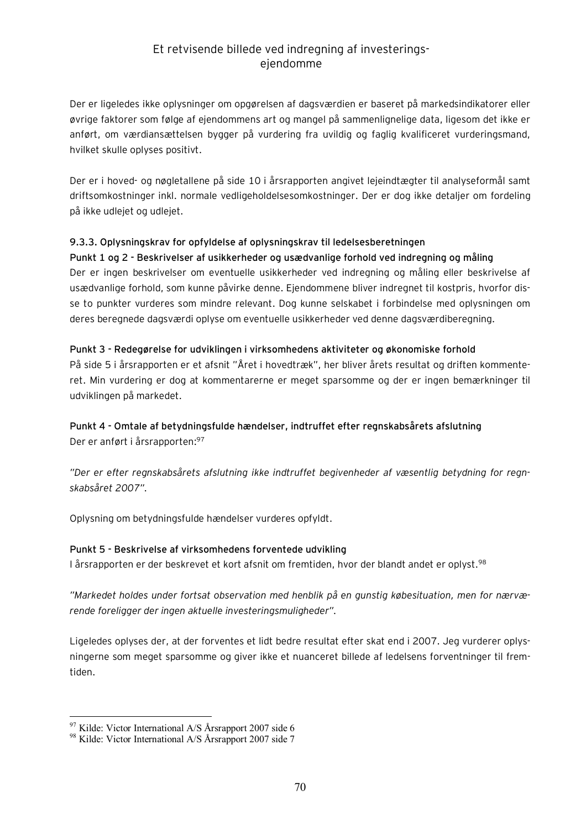Der er ligeledes ikke oplysninger om opgørelsen af dagsværdien er baseret på markedsindikatorer eller øvrige faktorer som følge af ejendommens art og mangel på sammenlignelige data, ligesom det ikke er anført, om værdiansættelsen bygger på vurdering fra uvildig og faglig kvalificeret vurderingsmand, hvilket skulle oplyses positivt.

Der er i hoved- og nøgletallene på side 10 i årsrapporten angivet lejeindtægter til analyseformål samt driftsomkostninger inkl. normale vedligeholdelsesomkostninger. Der er dog ikke detaljer om fordeling på ikke udlejet og udlejet.

### **9.3.3. Oplysningskrav for opfyldelse af oplysningskrav til ledelsesberetningen**

**Punkt 1 og 2 - Beskrivelser af usikkerheder og usædvanlige forhold ved indregning og måling**  Der er ingen beskrivelser om eventuelle usikkerheder ved indregning og måling eller beskrivelse af usædvanlige forhold, som kunne påvirke denne. Ejendommene bliver indregnet til kostpris, hvorfor disse to punkter vurderes som mindre relevant. Dog kunne selskabet i forbindelse med oplysningen om deres beregnede dagsværdi oplyse om eventuelle usikkerheder ved denne dagsværdiberegning.

#### **Punkt 3 - Redegørelse for udviklingen i virksomhedens aktiviteter og økonomiske forhold**

På side 5 i årsrapporten er et afsnit "Året i hovedtræk", her bliver årets resultat og driften kommenteret. Min vurdering er dog at kommentarerne er meget sparsomme og der er ingen bemærkninger til udviklingen på markedet.

# **Punkt 4 - Omtale af betydningsfulde hændelser, indtruffet efter regnskabsårets afslutning**

Der er anført i årsrapporten:<sup>97</sup>

*"Der er efter regnskabsårets afslutning ikke indtruffet begivenheder af væsentlig betydning for regnskabsåret 2007".* 

Oplysning om betydningsfulde hændelser vurderes opfyldt.

### **Punkt 5 - Beskrivelse af virksomhedens forventede udvikling**

I årsrapporten er der beskrevet et kort afsnit om fremtiden, hvor der blandt andet er oplyst.<sup>98</sup>

*"Markedet holdes under fortsat observation med henblik på en gunstig købesituation, men for nærværende foreligger der ingen aktuelle investeringsmuligheder".* 

Ligeledes oplyses der, at der forventes et lidt bedre resultat efter skat end i 2007. Jeg vurderer oplysningerne som meget sparsomme og giver ikke et nuanceret billede af ledelsens forventninger til fremtiden.

 $97$  Kilde: Victor International A/S Årsrapport 2007 side 6

<sup>98</sup> Kilde: Victor International A/S Årsrapport 2007 side 7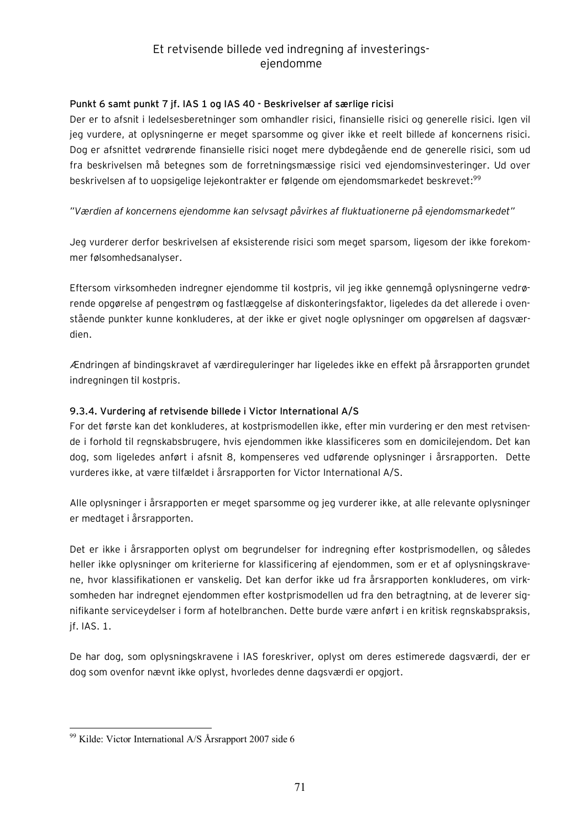### **Punkt 6 samt punkt 7 jf. IAS 1 og IAS 40 - Beskrivelser af særlige ricisi**

Der er to afsnit i ledelsesberetninger som omhandler risici, finansielle risici og generelle risici. Igen vil jeg vurdere, at oplysningerne er meget sparsomme og giver ikke et reelt billede af koncernens risici. Dog er afsnittet vedrørende finansielle risici noget mere dybdegående end de generelle risici, som ud fra beskrivelsen må betegnes som de forretningsmæssige risici ved ejendomsinvesteringer. Ud over beskrivelsen af to uopsigelige lejekontrakter er følgende om ejendomsmarkedet beskrevet:<sup>99</sup>

### *"Værdien af koncernens ejendomme kan selvsagt påvirkes af fluktuationerne på ejendomsmarkedet"*

Jeg vurderer derfor beskrivelsen af eksisterende risici som meget sparsom, ligesom der ikke forekommer følsomhedsanalyser.

Eftersom virksomheden indregner ejendomme til kostpris, vil jeg ikke gennemgå oplysningerne vedrørende opgørelse af pengestrøm og fastlæggelse af diskonteringsfaktor, ligeledes da det allerede i ovenstående punkter kunne konkluderes, at der ikke er givet nogle oplysninger om opgørelsen af dagsværdien.

Ændringen af bindingskravet af værdireguleringer har ligeledes ikke en effekt på årsrapporten grundet indregningen til kostpris.

### **9.3.4. Vurdering af retvisende billede i Victor International A/S**

For det første kan det konkluderes, at kostprismodellen ikke, efter min vurdering er den mest retvisende i forhold til regnskabsbrugere, hvis ejendommen ikke klassificeres som en domicilejendom. Det kan dog, som ligeledes anført i afsnit 8, kompenseres ved udførende oplysninger i årsrapporten. Dette vurderes ikke, at være tilfældet i årsrapporten for Victor International A/S.

Alle oplysninger i årsrapporten er meget sparsomme og jeg vurderer ikke, at alle relevante oplysninger er medtaget i årsrapporten.

Det er ikke i årsrapporten oplyst om begrundelser for indregning efter kostprismodellen, og således heller ikke oplysninger om kriterierne for klassificering af ejendommen, som er et af oplysningskravene, hvor klassifikationen er vanskelig. Det kan derfor ikke ud fra årsrapporten konkluderes, om virksomheden har indregnet ejendommen efter kostprismodellen ud fra den betragtning, at de leverer signifikante serviceydelser i form af hotelbranchen. Dette burde være anført i en kritisk regnskabspraksis, jf. IAS. 1.

De har dog, som oplysningskravene i IAS foreskriver, oplyst om deres estimerede dagsværdi, der er dog som ovenfor nævnt ikke oplyst, hvorledes denne dagsværdi er opgjort.

 $\overline{a}$ <sup>99</sup> Kilde: Victor International A/S Årsrapport 2007 side 6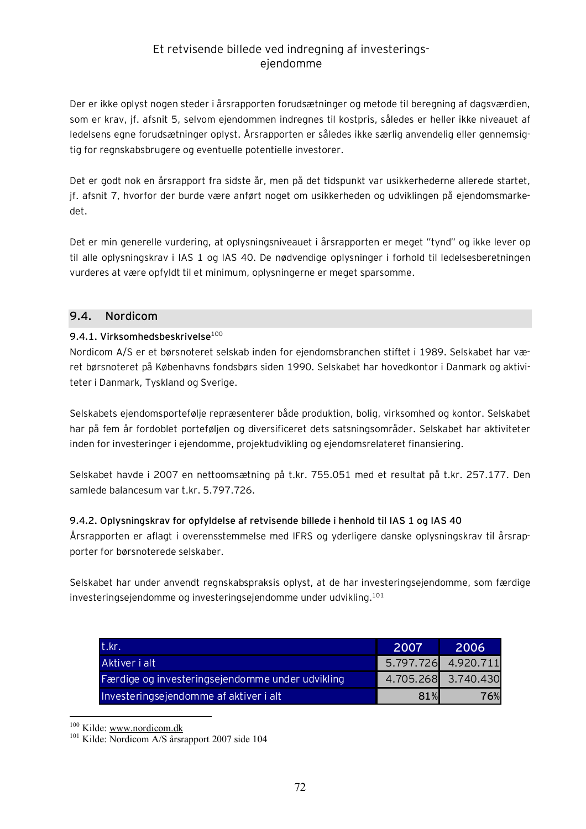Der er ikke oplyst nogen steder i årsrapporten forudsætninger og metode til beregning af dagsværdien, som er krav, jf. afsnit 5, selvom ejendommen indregnes til kostpris, således er heller ikke niveauet af ledelsens egne forudsætninger oplyst. Årsrapporten er således ikke særlig anvendelig eller gennemsigtig for regnskabsbrugere og eventuelle potentielle investorer.

Det er godt nok en årsrapport fra sidste år, men på det tidspunkt var usikkerhederne allerede startet, jf. afsnit 7, hvorfor der burde være anført noget om usikkerheden og udviklingen på ejendomsmarkedet.

Det er min generelle vurdering, at oplysningsniveauet i årsrapporten er meget "tynd" og ikke lever op til alle oplysningskrav i IAS 1 og IAS 40. De nødvendige oplysninger i forhold til ledelsesberetningen vurderes at være opfyldt til et minimum, oplysningerne er meget sparsomme.

### **9.4. Nordicom**

### **9.4.1. Virksomhedsbeskrivelse**<sup>100</sup>

Nordicom A/S er et børsnoteret selskab inden for ejendomsbranchen stiftet i 1989. Selskabet har været børsnoteret på Københavns fondsbørs siden 1990. Selskabet har hovedkontor i Danmark og aktiviteter i Danmark, Tyskland og Sverige.

Selskabets ejendomsportefølje repræsenterer både produktion, bolig, virksomhed og kontor. Selskabet har på fem år fordoblet porteføljen og diversificeret dets satsningsområder. Selskabet har aktiviteter inden for investeringer i ejendomme, projektudvikling og ejendomsrelateret finansiering.

Selskabet havde i 2007 en nettoomsætning på t.kr. 755.051 med et resultat på t.kr. 257.177. Den samlede balancesum var t.kr. 5.797.726.

### **9.4.2. Oplysningskrav for opfyldelse af retvisende billede i henhold til IAS 1 og IAS 40**

Årsrapporten er aflagt i overensstemmelse med IFRS og yderligere danske oplysningskrav til årsrapporter for børsnoterede selskaber.

Selskabet har under anvendt regnskabspraksis oplyst, at de har investeringsejendomme, som færdige investeringsejendomme og investeringsejendomme under udvikling.<sup>101</sup>

| t.kr.                                            | 2007 | 2006                |
|--------------------------------------------------|------|---------------------|
| Aktiver i alt                                    |      | 5.797.726 4.920.711 |
| Færdige og investeringsejendomme under udvikling |      | 4.705.268 3.740.430 |
| Investeringsejendomme af aktiver i alt           | 81%  | 76%                 |

<sup>100</sup> Kilde: [www.nordicom.dk](http://www.nordicom.dk)

<sup>&</sup>lt;sup>101</sup> Kilde: Nordicom A/S årsrapport 2007 side 104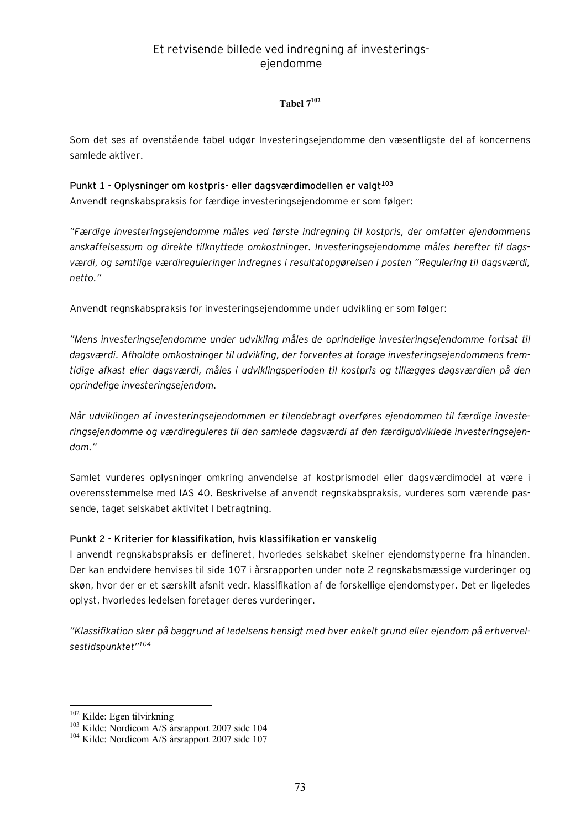#### **Tabel 7<sup>102</sup>**

Som det ses af ovenstående tabel udgør Investeringsejendomme den væsentligste del af koncernens samlede aktiver.

### **Punkt 1 - Oplysninger om kostpris- eller dagsværdimodellen er valgt<sup>103</sup>**

Anvendt regnskabspraksis for færdige investeringsejendomme er som følger:

*"Færdige investeringsejendomme måles ved første indregning til kostpris, der omfatter ejendommens anskaffelsessum og direkte tilknyttede omkostninger. Investeringsejendomme måles herefter til dagsværdi, og samtlige værdireguleringer indregnes i resultatopgørelsen i posten "Regulering til dagsværdi, netto."* 

Anvendt regnskabspraksis for investeringsejendomme under udvikling er som følger:

*"Mens investeringsejendomme under udvikling måles de oprindelige investeringsejendomme fortsat til dagsværdi. Afholdte omkostninger til udvikling, der forventes at forøge investeringsejendommens fremtidige afkast eller dagsværdi, måles i udviklingsperioden til kostpris og tillægges dagsværdien på den oprindelige investeringsejendom.* 

*Når udviklingen af investeringsejendommen er tilendebragt overføres ejendommen til færdige investeringsejendomme og værdireguleres til den samlede dagsværdi af den færdigudviklede investeringsejendom."* 

Samlet vurderes oplysninger omkring anvendelse af kostprismodel eller dagsværdimodel at være i overensstemmelse med IAS 40. Beskrivelse af anvendt regnskabspraksis, vurderes som værende passende, taget selskabet aktivitet I betragtning.

#### **Punkt 2 - Kriterier for klassifikation, hvis klassifikation er vanskelig**

I anvendt regnskabspraksis er defineret, hvorledes selskabet skelner ejendomstyperne fra hinanden. Der kan endvidere henvises til side 107 i årsrapporten under note 2 regnskabsmæssige vurderinger og skøn, hvor der er et særskilt afsnit vedr. klassifikation af de forskellige ejendomstyper. Det er ligeledes oplyst, hvorledes ledelsen foretager deres vurderinger.

*"Klassifikation sker på baggrund af ledelsens hensigt med hver enkelt grund eller ejendom på erhvervelsestidspunktet"<sup>104</sup>*

 $\overline{a}$ 

<sup>&</sup>lt;sup>102</sup> Kilde: Egen tilvirkning

<sup>&</sup>lt;sup>103</sup> Kilde: Nordicom A/S årsrapport 2007 side 104

<sup>104</sup> Kilde: Nordicom A/S årsrapport 2007 side 107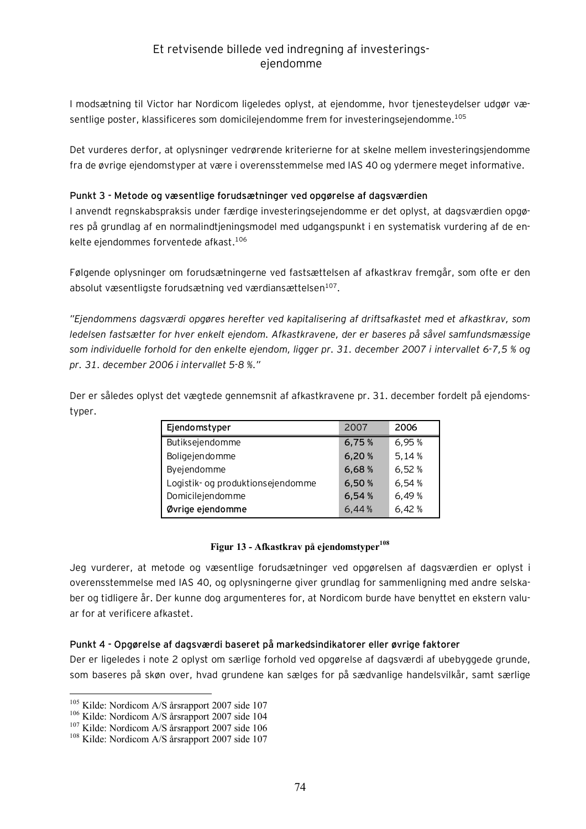I modsætning til Victor har Nordicom ligeledes oplyst, at ejendomme, hvor tjenesteydelser udgør væsentlige poster, klassificeres som domicilejendomme frem for investeringsejendomme.<sup>105</sup>

Det vurderes derfor, at oplysninger vedrørende kriterierne for at skelne mellem investeringsjendomme fra de øvrige ejendomstyper at være i overensstemmelse med IAS 40 og ydermere meget informative.

#### **Punkt 3 - Metode og væsentlige forudsætninger ved opgørelse af dagsværdien**

I anvendt regnskabspraksis under færdige investeringsejendomme er det oplyst, at dagsværdien opgøres på grundlag af en normalindtjeningsmodel med udgangspunkt i en systematisk vurdering af de enkelte ejendommes forventede afkast.<sup>106</sup>

Følgende oplysninger om forudsætningerne ved fastsættelsen af afkastkrav fremgår, som ofte er den absolut væsentligste forudsætning ved værdiansættelsen<sup>107</sup>.

*"Ejendommens dagsværdi opgøres herefter ved kapitalisering af driftsafkastet med et afkastkrav, som ledelsen fastsætter for hver enkelt ejendom. Afkastkravene, der er baseres på såvel samfundsmæssige som individuelle forhold for den enkelte ejendom, ligger pr. 31. december 2007 i intervallet 6-7,5 % og pr. 31. december 2006 i intervallet 5-8 %."* 

Der er således oplyst det vægtede gennemsnit af afkastkravene pr. 31. december fordelt på ejendomstyper.

| Ejendomstyper                     | 2007  | 2006  |
|-----------------------------------|-------|-------|
| Butiksejendomme                   | 6,75% | 6,95% |
| Boligejendomme                    | 6,20% | 5,14% |
| Byejendomme                       | 6,68% | 6,52% |
| Logistik- og produktionsejendomme | 6.50% | 6,54% |
| Domicilejendomme                  | 6,54% | 6,49% |
| Øvrige ejendomme                  | 6,44% | 6,42% |

#### **Figur 13 - Afkastkrav på ejendomstyper<sup>108</sup>**

Jeg vurderer, at metode og væsentlige forudsætninger ved opgørelsen af dagsværdien er oplyst i overensstemmelse med IAS 40, og oplysningerne giver grundlag for sammenligning med andre selskaber og tidligere år. Der kunne dog argumenteres for, at Nordicom burde have benyttet en ekstern valuar for at verificere afkastet.

#### **Punkt 4 - Opgørelse af dagsværdi baseret på markedsindikatorer eller øvrige faktorer**

Der er ligeledes i note 2 oplyst om særlige forhold ved opgørelse af dagsværdi af ubebyggede grunde, som baseres på skøn over, hvad grundene kan sælges for på sædvanlige handelsvilkår, samt særlige

 $\overline{a}$ 

<sup>&</sup>lt;sup>105</sup> Kilde: Nordicom A/S årsrapport 2007 side 107

<sup>106</sup> Kilde: Nordicom A/S årsrapport 2007 side 104

<sup>&</sup>lt;sup>107</sup> Kilde: Nordicom A/S årsrapport 2007 side 106

<sup>108</sup> Kilde: Nordicom A/S årsrapport 2007 side 107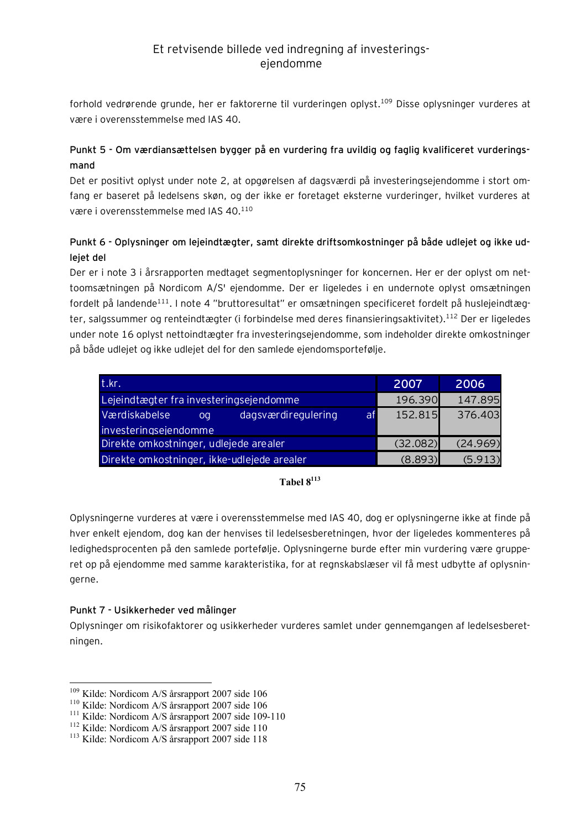forhold vedrørende grunde, her er faktorerne til vurderingen oplyst.<sup>109</sup> Disse oplysninger vurderes at være i overensstemmelse med IAS 40.

### **Punkt 5 - Om værdiansættelsen bygger på en vurdering fra uvildig og faglig kvalificeret vurderingsmand**

Det er positivt oplyst under note 2, at opgørelsen af dagsværdi på investeringsejendomme i stort omfang er baseret på ledelsens skøn, og der ikke er foretaget eksterne vurderinger, hvilket vurderes at være i overensstemmelse med IAS 40.<sup>110</sup>

### **Punkt 6 - Oplysninger om lejeindtægter, samt direkte driftsomkostninger på både udlejet og ikke udlejet del**

Der er i note 3 i årsrapporten medtaget segmentoplysninger for koncernen. Her er der oplyst om nettoomsætningen på Nordicom A/S' ejendomme. Der er ligeledes i en undernote oplyst omsætningen fordelt på landende<sup>111</sup>. I note 4 "bruttoresultat" er omsætningen specificeret fordelt på huslejeindtægter, salgssummer og renteindtægter (i forbindelse med deres finansieringsaktivitet).<sup>112</sup> Der er ligeledes under note 16 oplyst nettoindtægter fra investeringsejendomme, som indeholder direkte omkostninger på både udlejet og ikke udlejet del for den samlede ejendomsportefølje.

| t.kr.                                            | 2007     | 2006     |
|--------------------------------------------------|----------|----------|
| Lejeindtægter fra investeringsejendomme          | 196.390  | 147.895  |
| Værdiskabelse<br>dagsværdiregulering<br>af<br>oa | 152.815  | 376.403  |
| investeringsejendomme                            |          |          |
| Direkte omkostninger, udlejede arealer           | (32.082) | (24.969) |
| Direkte omkostninger, ikke-udlejede arealer      | (8.893)  | (5.913)  |

#### **Tabel 8<sup>113</sup>**

Oplysningerne vurderes at være i overensstemmelse med IAS 40, dog er oplysningerne ikke at finde på hver enkelt ejendom, dog kan der henvises til ledelsesberetningen, hvor der ligeledes kommenteres på ledighedsprocenten på den samlede portefølje. Oplysningerne burde efter min vurdering være grupperet op på ejendomme med samme karakteristika, for at regnskabslæser vil få mest udbytte af oplysningerne.

### **Punkt 7 - Usikkerheder ved målinger**

 $\overline{a}$ 

Oplysninger om risikofaktorer og usikkerheder vurderes samlet under gennemgangen af ledelsesberetningen.

<sup>109</sup> Kilde: Nordicom A/S årsrapport 2007 side 106

<sup>110</sup> Kilde: Nordicom A/S årsrapport 2007 side 106

<sup>111</sup> Kilde: Nordicom A/S årsrapport 2007 side 109-110

<sup>&</sup>lt;sup>112</sup> Kilde: Nordicom A/S årsrapport 2007 side 110

<sup>&</sup>lt;sup>113</sup> Kilde: Nordicom A/S årsrapport 2007 side 118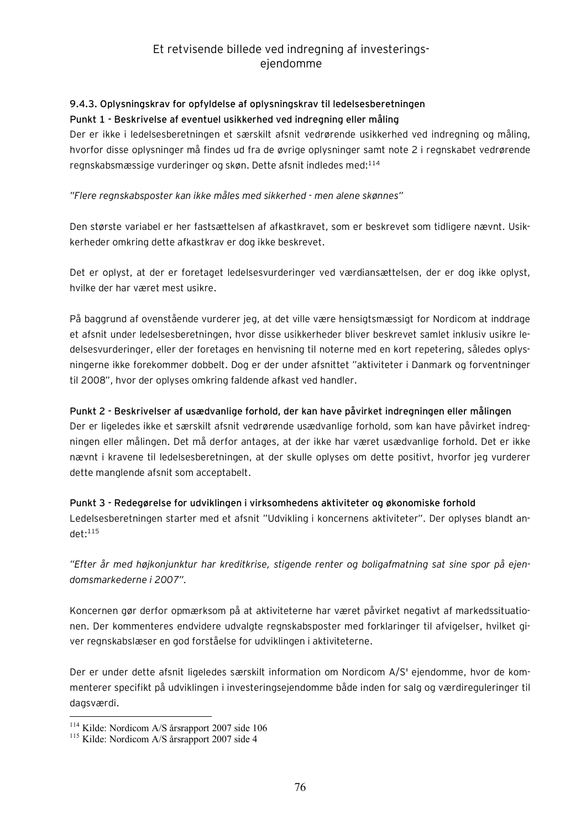# **9.4.3. Oplysningskrav for opfyldelse af oplysningskrav til ledelsesberetningen**

### **Punkt 1 - Beskrivelse af eventuel usikkerhed ved indregning eller måling**

Der er ikke i ledelsesberetningen et særskilt afsnit vedrørende usikkerhed ved indregning og måling, hvorfor disse oplysninger må findes ud fra de øvrige oplysninger samt note 2 i regnskabet vedrørende regnskabsmæssige vurderinger og skøn. Dette afsnit indledes med:<sup>114</sup>

### *"Flere regnskabsposter kan ikke måles med sikkerhed - men alene skønnes"*

Den største variabel er her fastsættelsen af afkastkravet, som er beskrevet som tidligere nævnt. Usikkerheder omkring dette afkastkrav er dog ikke beskrevet.

Det er oplyst, at der er foretaget ledelsesvurderinger ved værdiansættelsen, der er dog ikke oplyst, hvilke der har været mest usikre.

På baggrund af ovenstående vurderer jeg, at det ville være hensigtsmæssigt for Nordicom at inddrage et afsnit under ledelsesberetningen, hvor disse usikkerheder bliver beskrevet samlet inklusiv usikre ledelsesvurderinger, eller der foretages en henvisning til noterne med en kort repetering, således oplysningerne ikke forekommer dobbelt. Dog er der under afsnittet "aktiviteter i Danmark og forventninger til 2008", hvor der oplyses omkring faldende afkast ved handler.

#### **Punkt 2 - Beskrivelser af usædvanlige forhold, der kan have påvirket indregningen eller målingen**

Der er ligeledes ikke et særskilt afsnit vedrørende usædvanlige forhold, som kan have påvirket indregningen eller målingen. Det må derfor antages, at der ikke har været usædvanlige forhold. Det er ikke nævnt i kravene til ledelsesberetningen, at der skulle oplyses om dette positivt, hvorfor jeg vurderer dette manglende afsnit som acceptabelt.

### **Punkt 3 - Redegørelse for udviklingen i virksomhedens aktiviteter og økonomiske forhold**  Ledelsesberetningen starter med et afsnit "Udvikling i koncernens aktiviteter". Der oplyses blandt an $det:$ <sup>115</sup>

*"Efter år med højkonjunktur har kreditkrise, stigende renter og boligafmatning sat sine spor på ejendomsmarkederne i 2007".* 

Koncernen gør derfor opmærksom på at aktiviteterne har været påvirket negativt af markedssituationen. Der kommenteres endvidere udvalgte regnskabsposter med forklaringer til afvigelser, hvilket giver regnskabslæser en god forståelse for udviklingen i aktiviteterne.

Der er under dette afsnit ligeledes særskilt information om Nordicom A/S' ejendomme, hvor de kommenterer specifikt på udviklingen i investeringsejendomme både inden for salg og værdireguleringer til dagsværdi.

 $\overline{a}$ 

<sup>&</sup>lt;sup>114</sup> Kilde: Nordicom A/S årsrapport 2007 side 106

<sup>&</sup>lt;sup>115</sup> Kilde: Nordicom A/S årsrapport 2007 side 4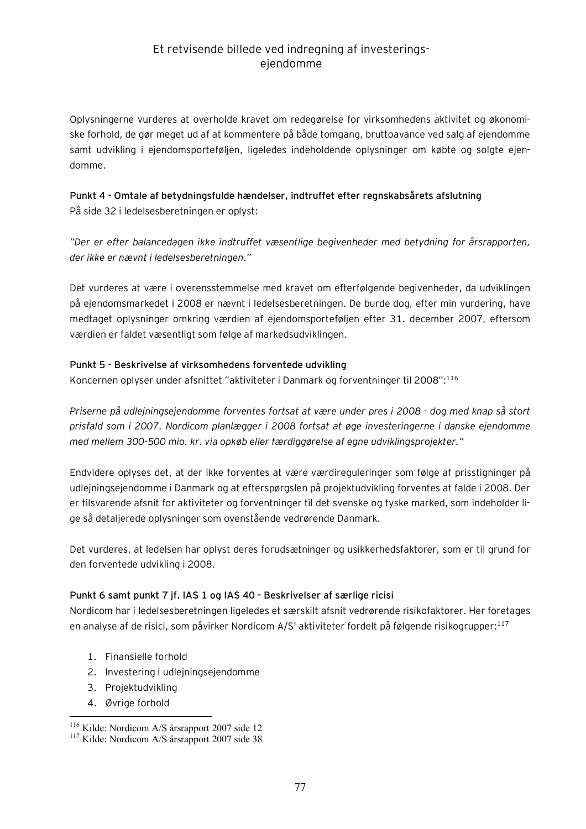Oplysningerne vurderes at overholde kravet om redegørelse for virksomhedens aktivitet og økonomiske forhold, de gør meget ud af at kommentere på både tomgang, bruttoavance ved salg af ejendomme samt udvikling i ejendomsporteføljen, ligeledes indeholdende oplysninger om købte og solgte ejendomme.

### **Punkt 4 - Omtale af betydningsfulde hændelser, indtruffet efter regnskabsårets afslutning**  På side 32 i ledelsesberetningen er oplyst:

*"Der er efter balancedagen ikke indtruffet væsentlige begivenheder med betydning for årsrapporten, der ikke er nævnt i ledelsesberetningen."* 

Det vurderes at være i overensstemmelse med kravet om efterfølgende begivenheder, da udviklingen på ejendomsmarkedet i 2008 er nævnt i ledelsesberetningen. De burde dog, efter min vurdering, have medtaget oplysninger omkring værdien af ejendomsporteføljen efter 31. december 2007, eftersom værdien er faldet væsentligt som følge af markedsudviklingen.

#### **Punkt 5 - Beskrivelse af virksomhedens forventede udvikling**

Koncernen oplyser under afsnittet "aktiviteter i Danmark og forventninger til 2008":<sup>116</sup>

*Priserne på udlejningsejendomme forventes fortsat at være under pres i 2008 - dog med knap så stort prisfald som i 2007. Nordicom planlægger i 2008 fortsat at øge investeringerne i danske ejendomme med mellem 300-500 mio. kr. via opkøb eller færdiggørelse af egne udviklingsprojekter."* 

Endvidere oplyses det, at der ikke forventes at være værdireguleringer som følge af prisstigninger på udlejningsejendomme i Danmark og at efterspørgslen på projektudvikling forventes at falde i 2008. Der er tilsvarende afsnit for aktiviteter og forventninger til det svenske og tyske marked, som indeholder lige så detaljerede oplysninger som ovenstående vedrørende Danmark.

Det vurderes, at ledelsen har oplyst deres forudsætninger og usikkerhedsfaktorer, som er til grund for den forventede udvikling i 2008.

### **Punkt 6 samt punkt 7 jf. IAS 1 og IAS 40 - Beskrivelser af særlige ricisi**

Nordicom har i ledelsesberetningen ligeledes et særskilt afsnit vedrørende risikofaktorer. Her foretages en analyse af de risici, som påvirker Nordicom A/S' aktiviteter fordelt på følgende risikogrupper:<sup>117</sup>

- 1. Finansielle forhold
- 2. Investering i udlejningsejendomme
- 3. Projektudvikling
- 4. Øvrige forhold

 $\overline{a}$ <sup>116</sup> Kilde: Nordicom A/S årsrapport 2007 side 12

<sup>&</sup>lt;sup>117</sup> Kilde: Nordicom A/S årsrapport 2007 side 38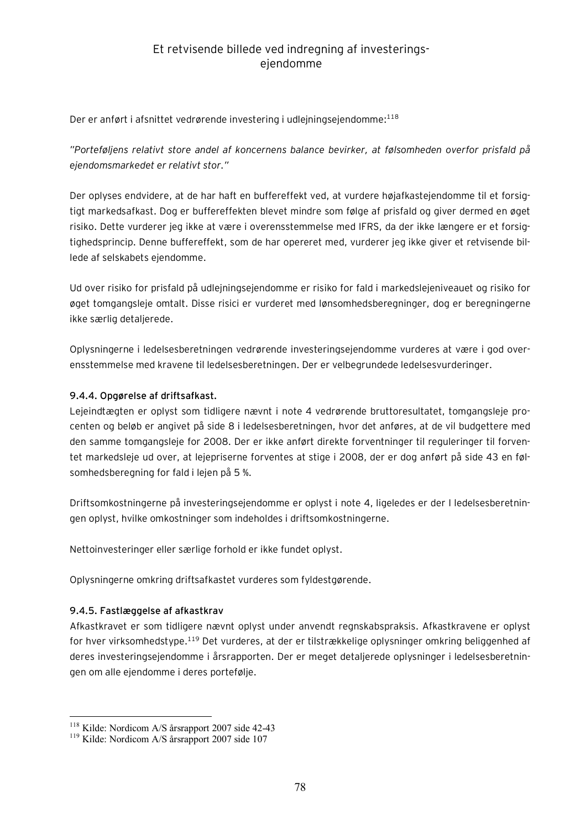Der er anført i afsnittet vedrørende investering i udlejningsejendomme:<sup>118</sup>

*"Porteføljens relativt store andel af koncernens balance bevirker, at følsomheden overfor prisfald på ejendomsmarkedet er relativt stor."* 

Der oplyses endvidere, at de har haft en buffereffekt ved, at vurdere højafkastejendomme til et forsigtigt markedsafkast. Dog er buffereffekten blevet mindre som følge af prisfald og giver dermed en øget risiko. Dette vurderer jeg ikke at være i overensstemmelse med IFRS, da der ikke længere er et forsigtighedsprincip. Denne buffereffekt, som de har opereret med, vurderer jeg ikke giver et retvisende billede af selskabets ejendomme.

Ud over risiko for prisfald på udlejningsejendomme er risiko for fald i markedslejeniveauet og risiko for øget tomgangsleje omtalt. Disse risici er vurderet med lønsomhedsberegninger, dog er beregningerne ikke særlig detaljerede.

Oplysningerne i ledelsesberetningen vedrørende investeringsejendomme vurderes at være i god overensstemmelse med kravene til ledelsesberetningen. Der er velbegrundede ledelsesvurderinger.

### **9.4.4. Opgørelse af driftsafkast.**

Lejeindtægten er oplyst som tidligere nævnt i note 4 vedrørende bruttoresultatet, tomgangsleje procenten og beløb er angivet på side 8 i ledelsesberetningen, hvor det anføres, at de vil budgettere med den samme tomgangsleje for 2008. Der er ikke anført direkte forventninger til reguleringer til forventet markedsleje ud over, at lejepriserne forventes at stige i 2008, der er dog anført på side 43 en følsomhedsberegning for fald i lejen på 5 %.

Driftsomkostningerne på investeringsejendomme er oplyst i note 4, ligeledes er der I ledelsesberetningen oplyst, hvilke omkostninger som indeholdes i driftsomkostningerne.

Nettoinvesteringer eller særlige forhold er ikke fundet oplyst.

Oplysningerne omkring driftsafkastet vurderes som fyldestgørende.

### **9.4.5. Fastlæggelse af afkastkrav**

 $\overline{a}$ 

Afkastkravet er som tidligere nævnt oplyst under anvendt regnskabspraksis. Afkastkravene er oplyst for hver virksomhedstype.<sup>119</sup> Det vurderes, at der er tilstrækkelige oplysninger omkring beliggenhed af deres investeringsejendomme i årsrapporten. Der er meget detaljerede oplysninger i ledelsesberetningen om alle ejendomme i deres portefølje.

<sup>&</sup>lt;sup>118</sup> Kilde: Nordicom A/S årsrapport 2007 side 42-43

<sup>119</sup> Kilde: Nordicom A/S årsrapport 2007 side 107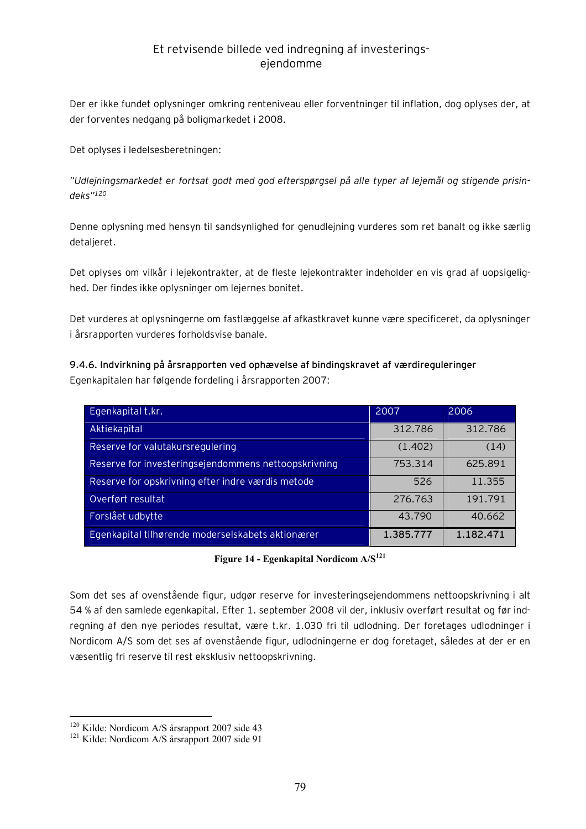Der er ikke fundet oplysninger omkring renteniveau eller forventninger til inflation, dog oplyses der, at der forventes nedgang på boligmarkedet i 2008.

Det oplyses i ledelsesberetningen:

*"Udlejningsmarkedet er fortsat godt med god efterspørgsel på alle typer af lejemål og stigende prisindeks"<sup>120</sup>*

Denne oplysning med hensyn til sandsynlighed for genudlejning vurderes som ret banalt og ikke særlig detaljeret.

Det oplyses om vilkår i lejekontrakter, at de fleste lejekontrakter indeholder en vis grad af uopsigelighed. Der findes ikke oplysninger om lejernes bonitet.

Det vurderes at oplysningerne om fastlæggelse af afkastkravet kunne være specificeret, da oplysninger i årsrapporten vurderes forholdsvise banale.

**9.4.6. Indvirkning på årsrapporten ved ophævelse af bindingskravet af værdireguleringer**  Egenkapitalen har følgende fordeling i årsrapporten 2007:

| Egenkapital t.kr.                                    | 2007      | 2006      |
|------------------------------------------------------|-----------|-----------|
| Aktiekapital                                         | 312.786   | 312.786   |
| Reserve for valutakursregulering                     | (1.402)   | (14)      |
| Reserve for investeringsejendommens nettoopskrivning | 753.314   | 625.891   |
| Reserve for opskrivning efter indre værdis metode    | 526       | 11.355    |
| Overført resultat                                    | 276.763   | 191.791   |
| Forslået udbytte                                     | 43.790    | 40.662    |
| Egenkapital tilhørende moderselskabets aktionærer    | 1.385.777 | 1.182.471 |

**Figure 14 - Egenkapital Nordicom A/S<sup>121</sup>**

Som det ses af ovenstående figur, udgør reserve for investeringsejendommens nettoopskrivning i alt 54 % af den samlede egenkapital. Efter 1. september 2008 vil der, inklusiv overført resultat og før indregning af den nye periodes resultat, være t.kr. 1.030 fri til udlodning. Der foretages udlodninger i Nordicom A/S som det ses af ovenstående figur, udlodningerne er dog foretaget, således at der er en væsentlig fri reserve til rest eksklusiv nettoopskrivning.

 $\overline{a}$ 

<sup>&</sup>lt;sup>120</sup> Kilde: Nordicom A/S årsrapport 2007 side 43

<sup>&</sup>lt;sup>121</sup> Kilde: Nordicom A/S årsrapport 2007 side 91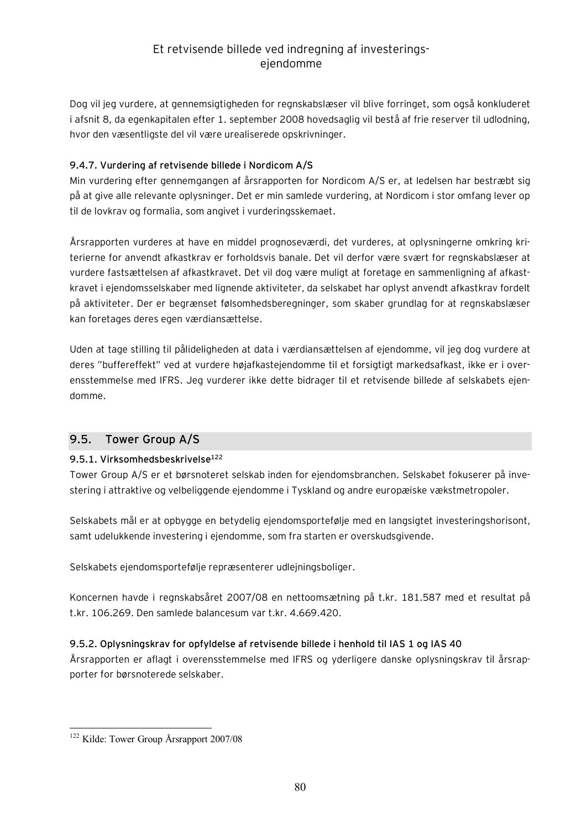Dog vil jeg vurdere, at gennemsigtigheden for regnskabslæser vil blive forringet, som også konkluderet i afsnit 8, da egenkapitalen efter 1. september 2008 hovedsaglig vil bestå af frie reserver til udlodning, hvor den væsentligste del vil være urealiserede opskrivninger.

#### **9.4.7. Vurdering af retvisende billede i Nordicom A/S**

Min vurdering efter gennemgangen af årsrapporten for Nordicom A/S er, at ledelsen har bestræbt sig på at give alle relevante oplysninger. Det er min samlede vurdering, at Nordicom i stor omfang lever op til de lovkrav og formalia, som angivet i vurderingsskemaet.

Årsrapporten vurderes at have en middel prognoseværdi, det vurderes, at oplysningerne omkring kriterierne for anvendt afkastkrav er forholdsvis banale. Det vil derfor være svært for regnskabslæser at vurdere fastsættelsen af afkastkravet. Det vil dog være muligt at foretage en sammenligning af afkastkravet i ejendomsselskaber med lignende aktiviteter, da selskabet har oplyst anvendt afkastkrav fordelt på aktiviteter. Der er begrænset følsomhedsberegninger, som skaber grundlag for at regnskabslæser kan foretages deres egen værdiansættelse.

Uden at tage stilling til pålideligheden at data i værdiansættelsen af ejendomme, vil jeg dog vurdere at deres "buffereffekt" ved at vurdere højafkastejendomme til et forsigtigt markedsafkast, ikke er i overensstemmelse med IFRS. Jeg vurderer ikke dette bidrager til et retvisende billede af selskabets ejendomme.

### **9.5. Tower Group A/S**

### **9.5.1. Virksomhedsbeskrivelse<sup>122</sup>**

Tower Group A/S er et børsnoteret selskab inden for ejendomsbranchen. Selskabet fokuserer på investering i attraktive og velbeliggende ejendomme i Tyskland og andre europæiske vækstmetropoler.

Selskabets mål er at opbygge en betydelig ejendomsportefølje med en langsigtet investeringshorisont, samt udelukkende investering i ejendomme, som fra starten er overskudsgivende.

Selskabets ejendomsportefølje repræsenterer udlejningsboliger.

Koncernen havde i regnskabsåret 2007/08 en nettoomsætning på t.kr. 181.587 med et resultat på t.kr. 106.269. Den samlede balancesum var t.kr. 4.669.420.

### **9.5.2. Oplysningskrav for opfyldelse af retvisende billede i henhold til IAS 1 og IAS 40**

Årsrapporten er aflagt i overensstemmelse med IFRS og yderligere danske oplysningskrav til årsrapporter for børsnoterede selskaber.

 $\overline{a}$ <sup>122</sup> Kilde: Tower Group Årsrapport 2007/08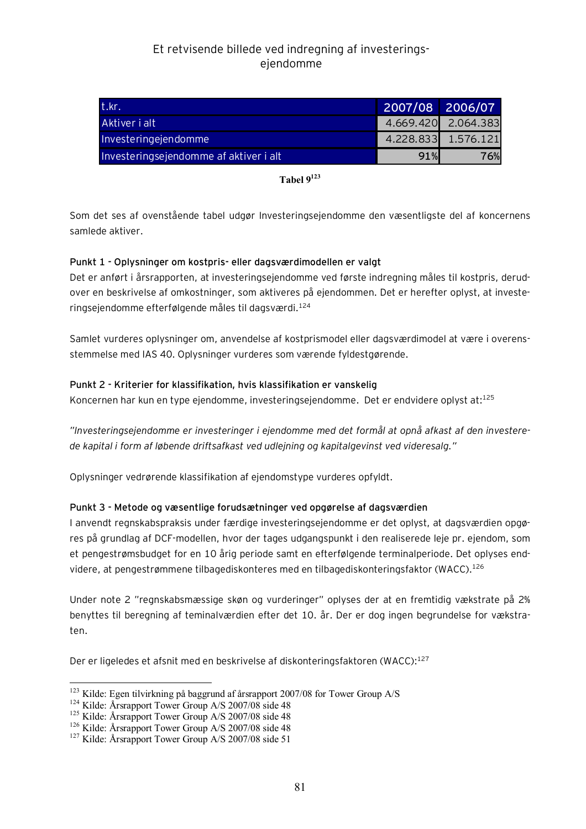| t.kr.                                  | 2007/08 2006/07 |                     |
|----------------------------------------|-----------------|---------------------|
| Aktiver i alt                          |                 | 4.669.420 2.064.383 |
| Investeringejendomme                   |                 | 4.228.833 1.576.121 |
| Investeringsejendomme af aktiver i alt | 91%             | 76%                 |

**Tabel 9<sup>123</sup>**

Som det ses af ovenstående tabel udgør Investeringsejendomme den væsentligste del af koncernens samlede aktiver.

#### **Punkt 1 - Oplysninger om kostpris- eller dagsværdimodellen er valgt**

Det er anført i årsrapporten, at investeringsejendomme ved første indregning måles til kostpris, derudover en beskrivelse af omkostninger, som aktiveres på ejendommen. Det er herefter oplyst, at investeringsejendomme efterfølgende måles til dagsværdi.<sup>124</sup>

Samlet vurderes oplysninger om, anvendelse af kostprismodel eller dagsværdimodel at være i overensstemmelse med IAS 40. Oplysninger vurderes som værende fyldestgørende.

#### **Punkt 2 - Kriterier for klassifikation, hvis klassifikation er vanskelig**

Koncernen har kun en type ejendomme, investeringsejendomme. Det er endvidere oplyst at:<sup>125</sup>

*"Investeringsejendomme er investeringer i ejendomme med det formål at opnå afkast af den investerede kapital i form af løbende driftsafkast ved udlejning og kapitalgevinst ved videresalg."* 

Oplysninger vedrørende klassifikation af ejendomstype vurderes opfyldt.

#### **Punkt 3 - Metode og væsentlige forudsætninger ved opgørelse af dagsværdien**

I anvendt regnskabspraksis under færdige investeringsejendomme er det oplyst, at dagsværdien opgøres på grundlag af DCF-modellen, hvor der tages udgangspunkt i den realiserede leje pr. ejendom, som et pengestrømsbudget for en 10 årig periode samt en efterfølgende terminalperiode. Det oplyses endvidere, at pengestrømmene tilbagediskonteres med en tilbagediskonteringsfaktor (WACC).<sup>126</sup>

Under note 2 "regnskabsmæssige skøn og vurderinger" oplyses der at en fremtidig vækstrate på 2% benyttes til beregning af teminalværdien efter det 10. år. Der er dog ingen begrundelse for vækstraten.

Der er ligeledes et afsnit med en beskrivelse af diskonteringsfaktoren (WACC):<sup>127</sup>

 $\overline{a}$ 

<sup>123</sup> Kilde: Egen tilvirkning på baggrund af årsrapport 2007/08 for Tower Group A/S

<sup>124</sup> Kilde: Årsrapport Tower Group A/S 2007/08 side 48

<sup>&</sup>lt;sup>125</sup> Kilde: Årsrapport Tower Group A/S 2007/08 side 48

<sup>&</sup>lt;sup>126</sup> Kilde: Årsrapport Tower Group A/S 2007/08 side 48

<sup>&</sup>lt;sup>127</sup> Kilde: Årsrapport Tower Group A/S 2007/08 side 51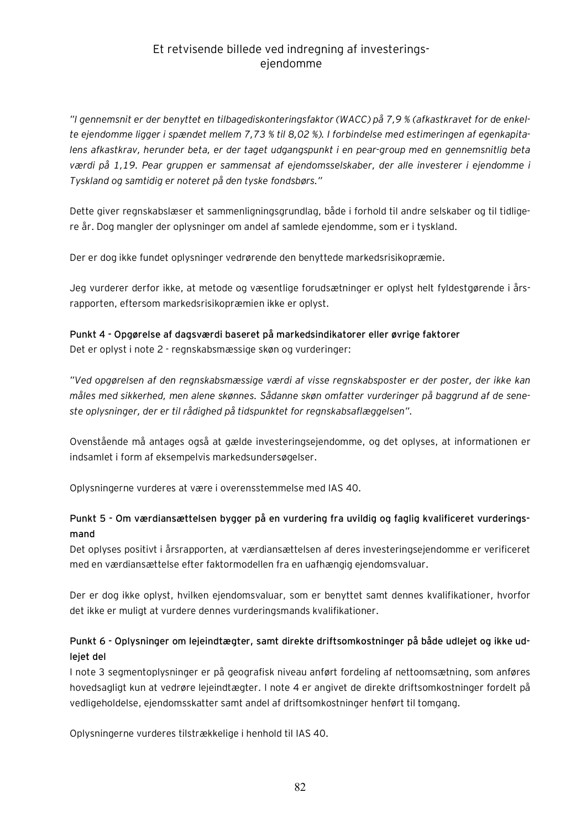*"I gennemsnit er der benyttet en tilbagediskonteringsfaktor (WACC) på 7,9 % (afkastkravet for de enkelte ejendomme ligger i spændet mellem 7,73 % til 8,02 %). I forbindelse med estimeringen af egenkapitalens afkastkrav, herunder beta, er der taget udgangspunkt i en pear-group med en gennemsnitlig beta værdi på 1,19. Pear gruppen er sammensat af ejendomsselskaber, der alle investerer i ejendomme i Tyskland og samtidig er noteret på den tyske fondsbørs."* 

Dette giver regnskabslæser et sammenligningsgrundlag, både i forhold til andre selskaber og til tidligere år. Dog mangler der oplysninger om andel af samlede ejendomme, som er i tyskland.

Der er dog ikke fundet oplysninger vedrørende den benyttede markedsrisikopræmie.

Jeg vurderer derfor ikke, at metode og væsentlige forudsætninger er oplyst helt fyldestgørende i årsrapporten, eftersom markedsrisikopræmien ikke er oplyst.

**Punkt 4 - Opgørelse af dagsværdi baseret på markedsindikatorer eller øvrige faktorer**  Det er oplyst i note 2 - regnskabsmæssige skøn og vurderinger:

*"Ved opgørelsen af den regnskabsmæssige værdi af visse regnskabsposter er der poster, der ikke kan måles med sikkerhed, men alene skønnes. Sådanne skøn omfatter vurderinger på baggrund af de seneste oplysninger, der er til rådighed på tidspunktet for regnskabsaflæggelsen".* 

Ovenstående må antages også at gælde investeringsejendomme, og det oplyses, at informationen er indsamlet i form af eksempelvis markedsundersøgelser.

Oplysningerne vurderes at være i overensstemmelse med IAS 40.

### **Punkt 5 - Om værdiansættelsen bygger på en vurdering fra uvildig og faglig kvalificeret vurderingsmand**

Det oplyses positivt i årsrapporten, at værdiansættelsen af deres investeringsejendomme er verificeret med en værdiansættelse efter faktormodellen fra en uafhængig ejendomsvaluar.

Der er dog ikke oplyst, hvilken ejendomsvaluar, som er benyttet samt dennes kvalifikationer, hvorfor det ikke er muligt at vurdere dennes vurderingsmands kvalifikationer.

### **Punkt 6 - Oplysninger om lejeindtægter, samt direkte driftsomkostninger på både udlejet og ikke udlejet del**

I note 3 segmentoplysninger er på geografisk niveau anført fordeling af nettoomsætning, som anføres hovedsagligt kun at vedrøre lejeindtægter. I note 4 er angivet de direkte driftsomkostninger fordelt på vedligeholdelse, ejendomsskatter samt andel af driftsomkostninger henført til tomgang.

Oplysningerne vurderes tilstrækkelige i henhold til IAS 40.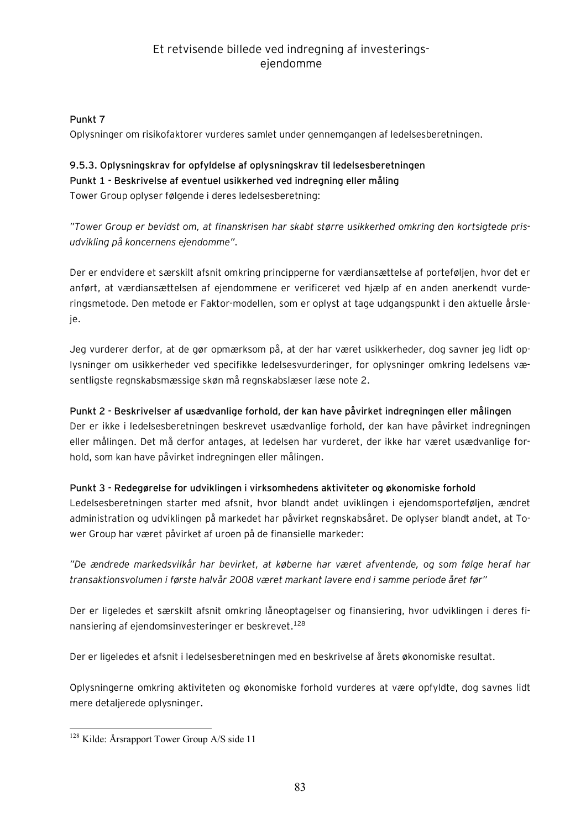### **Punkt 7**

Oplysninger om risikofaktorer vurderes samlet under gennemgangen af ledelsesberetningen.

### **9.5.3. Oplysningskrav for opfyldelse af oplysningskrav til ledelsesberetningen Punkt 1 - Beskrivelse af eventuel usikkerhed ved indregning eller måling**  Tower Group oplyser følgende i deres ledelsesberetning:

*"Tower Group er bevidst om, at finanskrisen har skabt større usikkerhed omkring den kortsigtede prisudvikling på koncernens ejendomme".* 

Der er endvidere et særskilt afsnit omkring principperne for værdiansættelse af porteføljen, hvor det er anført, at værdiansættelsen af ejendommene er verificeret ved hjælp af en anden anerkendt vurderingsmetode. Den metode er Faktor-modellen, som er oplyst at tage udgangspunkt i den aktuelle årsleje.

Jeg vurderer derfor, at de gør opmærksom på, at der har været usikkerheder, dog savner jeg lidt oplysninger om usikkerheder ved specifikke ledelsesvurderinger, for oplysninger omkring ledelsens væsentligste regnskabsmæssige skøn må regnskabslæser læse note 2.

### **Punkt 2 - Beskrivelser af usædvanlige forhold, der kan have påvirket indregningen eller målingen**  Der er ikke i ledelsesberetningen beskrevet usædvanlige forhold, der kan have påvirket indregningen eller målingen. Det må derfor antages, at ledelsen har vurderet, der ikke har været usædvanlige forhold, som kan have påvirket indregningen eller målingen.

### **Punkt 3 - Redegørelse for udviklingen i virksomhedens aktiviteter og økonomiske forhold**  Ledelsesberetningen starter med afsnit, hvor blandt andet uviklingen i ejendomsporteføljen, ændret administration og udviklingen på markedet har påvirket regnskabsåret. De oplyser blandt andet, at Tower Group har været påvirket af uroen på de finansielle markeder:

*"De ændrede markedsvilkår har bevirket, at køberne har været afventende, og som følge heraf har transaktionsvolumen i første halvår 2008 været markant lavere end i samme periode året før"* 

Der er ligeledes et særskilt afsnit omkring låneoptagelser og finansiering, hvor udviklingen i deres finansiering af ejendomsinvesteringer er beskrevet.<sup>128</sup>

Der er ligeledes et afsnit i ledelsesberetningen med en beskrivelse af årets økonomiske resultat.

Oplysningerne omkring aktiviteten og økonomiske forhold vurderes at være opfyldte, dog savnes lidt mere detaljerede oplysninger.

 $\overline{a}$ <sup>128</sup> Kilde: Årsrapport Tower Group A/S side 11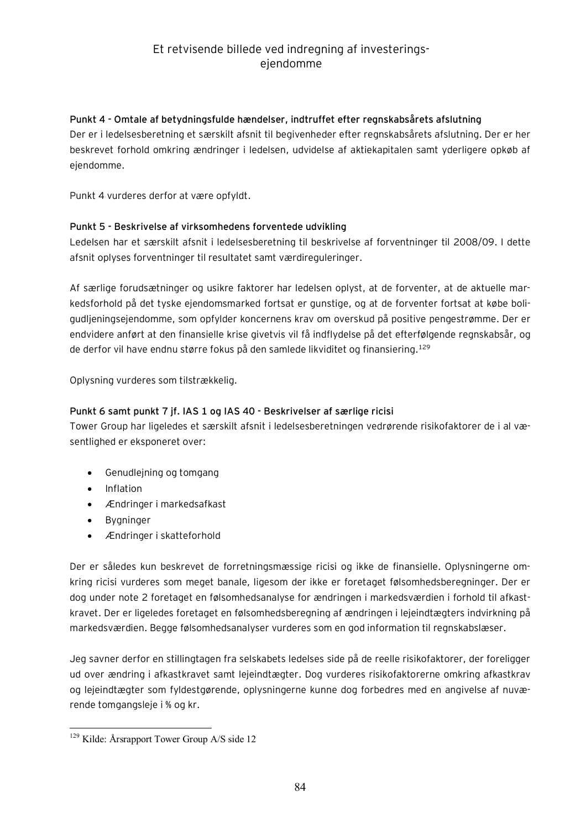#### **Punkt 4 - Omtale af betydningsfulde hændelser, indtruffet efter regnskabsårets afslutning**

Der er i ledelsesberetning et særskilt afsnit til begivenheder efter regnskabsårets afslutning. Der er her beskrevet forhold omkring ændringer i ledelsen, udvidelse af aktiekapitalen samt yderligere opkøb af ejendomme.

Punkt 4 vurderes derfor at være opfyldt.

#### **Punkt 5 - Beskrivelse af virksomhedens forventede udvikling**

Ledelsen har et særskilt afsnit i ledelsesberetning til beskrivelse af forventninger til 2008/09. I dette afsnit oplyses forventninger til resultatet samt værdireguleringer.

Af særlige forudsætninger og usikre faktorer har ledelsen oplyst, at de forventer, at de aktuelle markedsforhold på det tyske ejendomsmarked fortsat er gunstige, og at de forventer fortsat at købe boligudljeningsejendomme, som opfylder koncernens krav om overskud på positive pengestrømme. Der er endvidere anført at den finansielle krise givetvis vil få indflydelse på det efterfølgende regnskabsår, og de derfor vil have endnu større fokus på den samlede likviditet og finansiering.<sup>129</sup>

Oplysning vurderes som tilstrækkelig.

#### **Punkt 6 samt punkt 7 jf. IAS 1 og IAS 40 - Beskrivelser af særlige ricisi**

Tower Group har ligeledes et særskilt afsnit i ledelsesberetningen vedrørende risikofaktorer de i al væsentlighed er eksponeret over:

- · Genudlejning og tomgang
- · Inflation
- · Ændringer i markedsafkast
- · Bygninger
- · Ændringer i skatteforhold

Der er således kun beskrevet de forretningsmæssige ricisi og ikke de finansielle. Oplysningerne omkring ricisi vurderes som meget banale, ligesom der ikke er foretaget følsomhedsberegninger. Der er dog under note 2 foretaget en følsomhedsanalyse for ændringen i markedsværdien i forhold til afkastkravet. Der er ligeledes foretaget en følsomhedsberegning af ændringen i lejeindtægters indvirkning på markedsværdien. Begge følsomhedsanalyser vurderes som en god information til regnskabslæser.

Jeg savner derfor en stillingtagen fra selskabets ledelses side på de reelle risikofaktorer, der foreligger ud over ændring i afkastkravet samt lejeindtægter. Dog vurderes risikofaktorerne omkring afkastkrav og lejeindtægter som fyldestgørende, oplysningerne kunne dog forbedres med en angivelse af nuværende tomgangsleje i % og kr.

 $\overline{a}$ <sup>129</sup> Kilde: Årsrapport Tower Group A/S side 12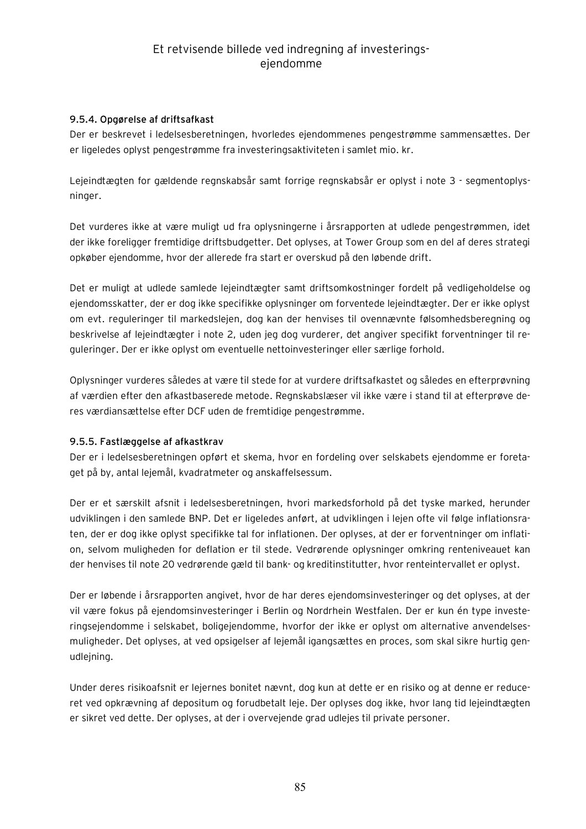#### **9.5.4. Opgørelse af driftsafkast**

Der er beskrevet i ledelsesberetningen, hvorledes ejendommenes pengestrømme sammensættes. Der er ligeledes oplyst pengestrømme fra investeringsaktiviteten i samlet mio. kr.

Lejeindtægten for gældende regnskabsår samt forrige regnskabsår er oplyst i note 3 - segmentoplysninger.

Det vurderes ikke at være muligt ud fra oplysningerne i årsrapporten at udlede pengestrømmen, idet der ikke foreligger fremtidige driftsbudgetter. Det oplyses, at Tower Group som en del af deres strategi opkøber ejendomme, hvor der allerede fra start er overskud på den løbende drift.

Det er muligt at udlede samlede lejeindtægter samt driftsomkostninger fordelt på vedligeholdelse og ejendomsskatter, der er dog ikke specifikke oplysninger om forventede lejeindtægter. Der er ikke oplyst om evt. reguleringer til markedslejen, dog kan der henvises til ovennævnte følsomhedsberegning og beskrivelse af lejeindtægter i note 2, uden jeg dog vurderer, det angiver specifikt forventninger til reguleringer. Der er ikke oplyst om eventuelle nettoinvesteringer eller særlige forhold.

Oplysninger vurderes således at være til stede for at vurdere driftsafkastet og således en efterprøvning af værdien efter den afkastbaserede metode. Regnskabslæser vil ikke være i stand til at efterprøve deres værdiansættelse efter DCF uden de fremtidige pengestrømme.

#### **9.5.5. Fastlæggelse af afkastkrav**

Der er i ledelsesberetningen opført et skema, hvor en fordeling over selskabets ejendomme er foretaget på by, antal lejemål, kvadratmeter og anskaffelsessum.

Der er et særskilt afsnit i ledelsesberetningen, hvori markedsforhold på det tyske marked, herunder udviklingen i den samlede BNP. Det er ligeledes anført, at udviklingen i lejen ofte vil følge inflationsraten, der er dog ikke oplyst specifikke tal for inflationen. Der oplyses, at der er forventninger om inflation, selvom muligheden for deflation er til stede. Vedrørende oplysninger omkring renteniveauet kan der henvises til note 20 vedrørende gæld til bank- og kreditinstitutter, hvor renteintervallet er oplyst.

Der er løbende i årsrapporten angivet, hvor de har deres ejendomsinvesteringer og det oplyses, at der vil være fokus på ejendomsinvesteringer i Berlin og Nordrhein Westfalen. Der er kun én type investeringsejendomme i selskabet, boligejendomme, hvorfor der ikke er oplyst om alternative anvendelsesmuligheder. Det oplyses, at ved opsigelser af lejemål igangsættes en proces, som skal sikre hurtig genudlejning.

Under deres risikoafsnit er lejernes bonitet nævnt, dog kun at dette er en risiko og at denne er reduceret ved opkrævning af depositum og forudbetalt leje. Der oplyses dog ikke, hvor lang tid lejeindtægten er sikret ved dette. Der oplyses, at der i overvejende grad udlejes til private personer.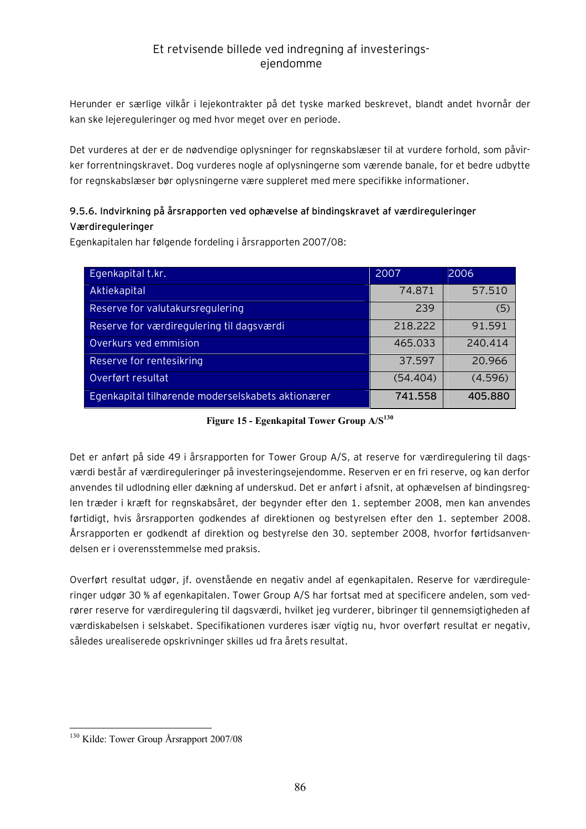Herunder er særlige vilkår i lejekontrakter på det tyske marked beskrevet, blandt andet hvornår der kan ske lejereguleringer og med hvor meget over en periode.

Det vurderes at der er de nødvendige oplysninger for regnskabslæser til at vurdere forhold, som påvirker forrentningskravet. Dog vurderes nogle af oplysningerne som værende banale, for et bedre udbytte for regnskabslæser bør oplysningerne være suppleret med mere specifikke informationer.

### **9.5.6. Indvirkning på årsrapporten ved ophævelse af bindingskravet af værdireguleringer Værdireguleringer**

Egenkapitalen har følgende fordeling i årsrapporten 2007/08:

| Egenkapital t.kr.                                 | 2007     | 2006    |
|---------------------------------------------------|----------|---------|
| Aktiekapital                                      | 74.871   | 57.510  |
| Reserve for valutakursregulering                  | 239      | (5)     |
| Reserve for værdiregulering til dagsværdi         | 218.222  | 91.591  |
| Overkurs ved emmision                             | 465.033  | 240.414 |
| Reserve for rentesikring                          | 37.597   | 20.966  |
| Overført resultat                                 | (54.404) | (4.596) |
| Egenkapital tilhørende moderselskabets aktionærer | 741.558  | 405.880 |

**Figure 15 - Egenkapital Tower Group A/S<sup>130</sup>**

Det er anført på side 49 i årsrapporten for Tower Group A/S, at reserve for værdiregulering til dagsværdi består af værdireguleringer på investeringsejendomme. Reserven er en fri reserve, og kan derfor anvendes til udlodning eller dækning af underskud. Det er anført i afsnit, at ophævelsen af bindingsreglen træder i kræft for regnskabsåret, der begynder efter den 1. september 2008, men kan anvendes førtidigt, hvis årsrapporten godkendes af direktionen og bestyrelsen efter den 1. september 2008. Årsrapporten er godkendt af direktion og bestyrelse den 30. september 2008, hvorfor førtidsanvendelsen er i overensstemmelse med praksis.

Overført resultat udgør, jf. ovenstående en negativ andel af egenkapitalen. Reserve for værdireguleringer udgør 30 % af egenkapitalen. Tower Group A/S har fortsat med at specificere andelen, som vedrører reserve for værdiregulering til dagsværdi, hvilket jeg vurderer, bibringer til gennemsigtigheden af værdiskabelsen i selskabet. Specifikationen vurderes især vigtig nu, hvor overført resultat er negativ, således urealiserede opskrivninger skilles ud fra årets resultat.

 $\overline{a}$ <sup>130</sup> Kilde: Tower Group Årsrapport 2007/08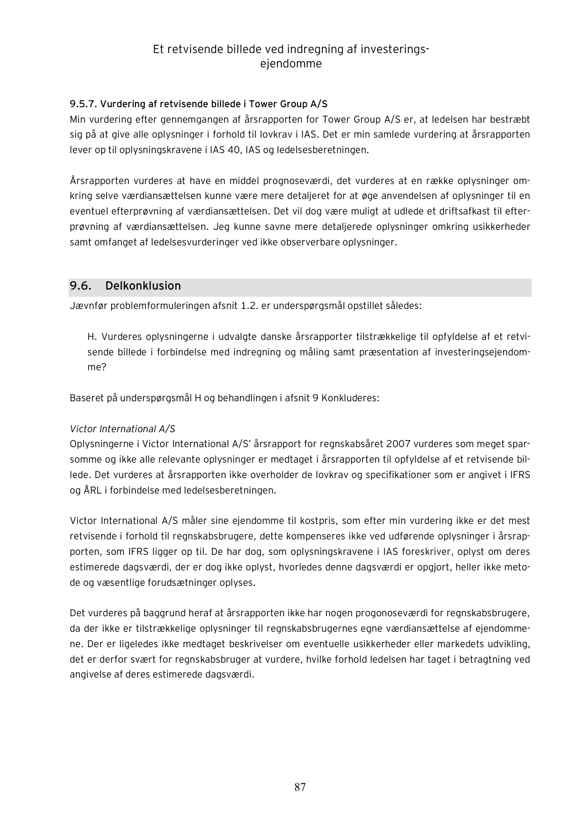#### **9.5.7. Vurdering af retvisende billede i Tower Group A/S**

Min vurdering efter gennemgangen af årsrapporten for Tower Group A/S er, at ledelsen har bestræbt sig på at give alle oplysninger i forhold til lovkrav i IAS. Det er min samlede vurdering at årsrapporten lever op til oplysningskravene i IAS 40, IAS og ledelsesberetningen.

Årsrapporten vurderes at have en middel prognoseværdi, det vurderes at en række oplysninger omkring selve værdiansættelsen kunne være mere detaljeret for at øge anvendelsen af oplysninger til en eventuel efterprøvning af værdiansættelsen. Det vil dog være muligt at udlede et driftsafkast til efterprøvning af værdiansættelsen. Jeg kunne savne mere detaljerede oplysninger omkring usikkerheder samt omfanget af ledelsesvurderinger ved ikke observerbare oplysninger.

### **9.6. Delkonklusion**

Jævnfør problemformuleringen afsnit 1.2. er underspørgsmål opstillet således:

H. Vurderes oplysningerne i udvalgte danske årsrapporter tilstrækkelige til opfyldelse af et retvisende billede i forbindelse med indregning og måling samt præsentation af investeringsejendomme?

Baseret på underspørgsmål H og behandlingen i afsnit 9 Konkluderes:

#### *Victor International A/S*

Oplysningerne i Victor International A/S' årsrapport for regnskabsåret 2007 vurderes som meget sparsomme og ikke alle relevante oplysninger er medtaget i årsrapporten til opfyldelse af et retvisende billede. Det vurderes at årsrapporten ikke overholder de lovkrav og specifikationer som er angivet i IFRS og ÅRL i forbindelse med ledelsesberetningen.

Victor International A/S måler sine ejendomme til kostpris, som efter min vurdering ikke er det mest retvisende i forhold til regnskabsbrugere, dette kompenseres ikke ved udførende oplysninger i årsrapporten, som IFRS ligger op til. De har dog, som oplysningskravene i IAS foreskriver, oplyst om deres estimerede dagsværdi, der er dog ikke oplyst, hvorledes denne dagsværdi er opgjort, heller ikke metode og væsentlige forudsætninger oplyses.

Det vurderes på baggrund heraf at årsrapporten ikke har nogen progonoseværdi for regnskabsbrugere, da der ikke er tilstrækkelige oplysninger til regnskabsbrugernes egne værdiansættelse af ejendommene. Der er ligeledes ikke medtaget beskrivelser om eventuelle usikkerheder eller markedets udvikling, det er derfor svært for regnskabsbruger at vurdere, hvilke forhold ledelsen har taget i betragtning ved angivelse af deres estimerede dagsværdi.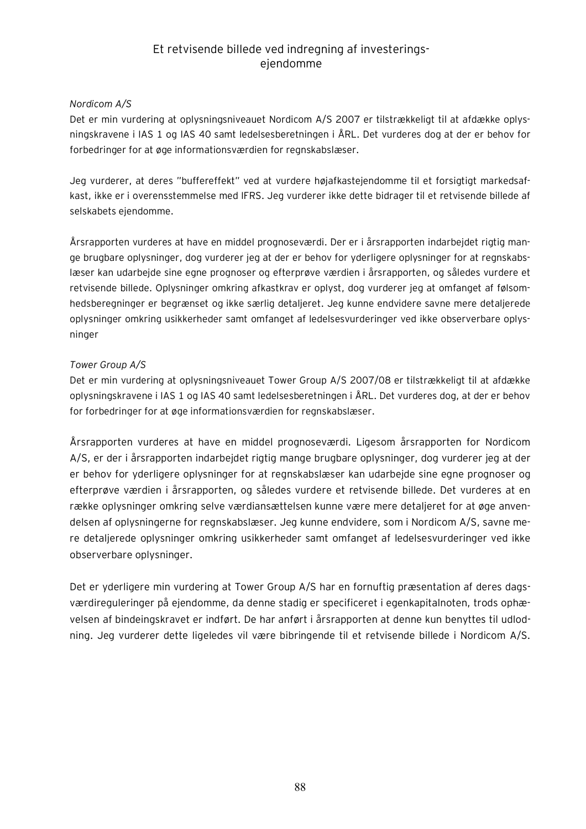#### *Nordicom A/S*

Det er min vurdering at oplysningsniveauet Nordicom A/S 2007 er tilstrækkeligt til at afdække oplysningskravene i IAS 1 og IAS 40 samt ledelsesberetningen i ÅRL. Det vurderes dog at der er behov for forbedringer for at øge informationsværdien for regnskabslæser.

Jeg vurderer, at deres "buffereffekt" ved at vurdere højafkastejendomme til et forsigtigt markedsafkast, ikke er i overensstemmelse med IFRS. Jeg vurderer ikke dette bidrager til et retvisende billede af selskabets ejendomme.

Årsrapporten vurderes at have en middel prognoseværdi. Der er i årsrapporten indarbejdet rigtig mange brugbare oplysninger, dog vurderer jeg at der er behov for yderligere oplysninger for at regnskabslæser kan udarbejde sine egne prognoser og efterprøve værdien i årsrapporten, og således vurdere et retvisende billede. Oplysninger omkring afkastkrav er oplyst, dog vurderer jeg at omfanget af følsomhedsberegninger er begrænset og ikke særlig detaljeret. Jeg kunne endvidere savne mere detaljerede oplysninger omkring usikkerheder samt omfanget af ledelsesvurderinger ved ikke observerbare oplysninger

#### *Tower Group A/S*

Det er min vurdering at oplysningsniveauet Tower Group A/S 2007/08 er tilstrækkeligt til at afdække oplysningskravene i IAS 1 og IAS 40 samt ledelsesberetningen i ÅRL. Det vurderes dog, at der er behov for forbedringer for at øge informationsværdien for regnskabslæser.

Årsrapporten vurderes at have en middel prognoseværdi. Ligesom årsrapporten for Nordicom A/S, er der i årsrapporten indarbejdet rigtig mange brugbare oplysninger, dog vurderer jeg at der er behov for yderligere oplysninger for at regnskabslæser kan udarbejde sine egne prognoser og efterprøve værdien i årsrapporten, og således vurdere et retvisende billede. Det vurderes at en række oplysninger omkring selve værdiansættelsen kunne være mere detaljeret for at øge anvendelsen af oplysningerne for regnskabslæser. Jeg kunne endvidere, som i Nordicom A/S, savne mere detaljerede oplysninger omkring usikkerheder samt omfanget af ledelsesvurderinger ved ikke observerbare oplysninger.

Det er yderligere min vurdering at Tower Group A/S har en fornuftig præsentation af deres dagsværdireguleringer på ejendomme, da denne stadig er specificeret i egenkapitalnoten, trods ophævelsen af bindeingskravet er indført. De har anført i årsrapporten at denne kun benyttes til udlodning. Jeg vurderer dette ligeledes vil være bibringende til et retvisende billede i Nordicom A/S.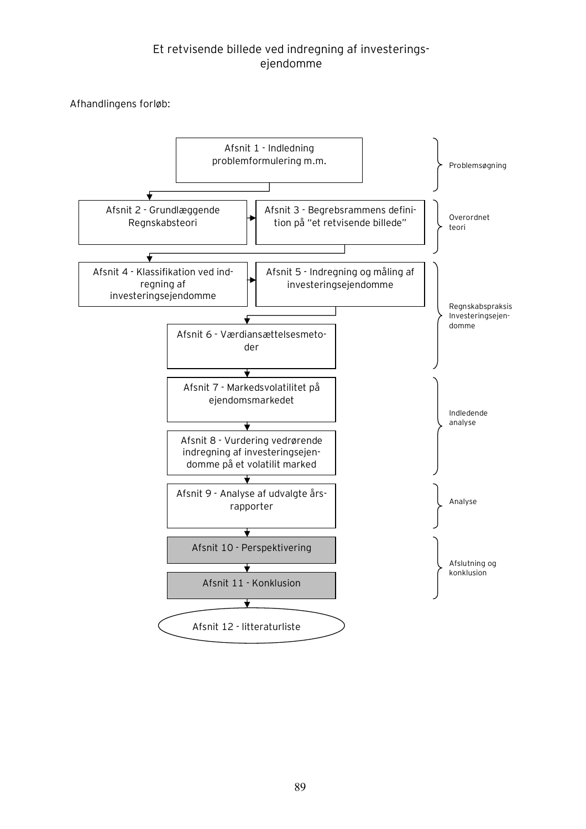Afhandlingens forløb:

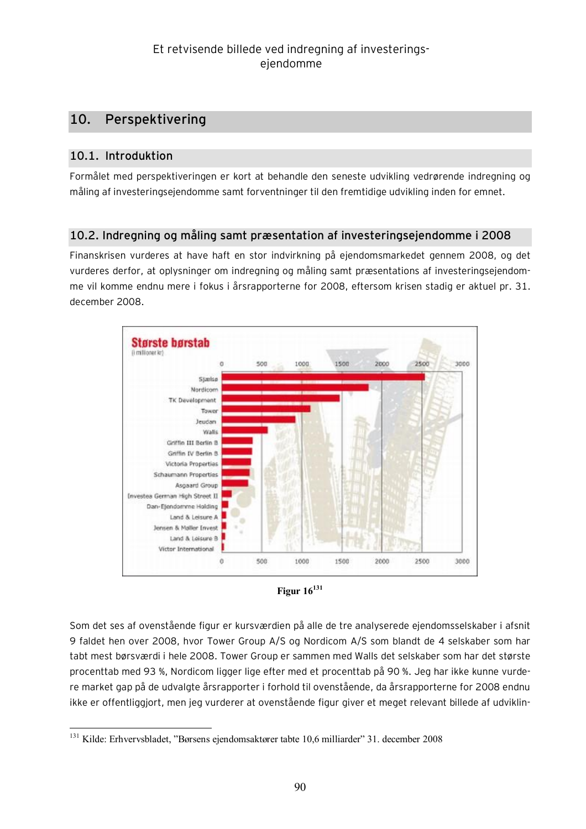# **10. Perspektivering**

# **10.1. Introduktion**

Formålet med perspektiveringen er kort at behandle den seneste udvikling vedrørende indregning og måling af investeringsejendomme samt forventninger til den fremtidige udvikling inden for emnet.

### **10.2. Indregning og måling samt præsentation af investeringsejendomme i 2008**

Finanskrisen vurderes at have haft en stor indvirkning på ejendomsmarkedet gennem 2008, og det vurderes derfor, at oplysninger om indregning og måling samt præsentations af investeringsejendomme vil komme endnu mere i fokus i årsrapporterne for 2008, eftersom krisen stadig er aktuel pr. 31. december 2008.





Som det ses af ovenstående figur er kursværdien på alle de tre analyserede ejendomsselskaber i afsnit 9 faldet hen over 2008, hvor Tower Group A/S og Nordicom A/S som blandt de 4 selskaber som har tabt mest børsværdi i hele 2008. Tower Group er sammen med Walls det selskaber som har det største procenttab med 93 %, Nordicom ligger lige efter med et procenttab på 90 %. Jeg har ikke kunne vurdere market gap på de udvalgte årsrapporter i forhold til ovenstående, da årsrapporterne for 2008 endnu ikke er offentliggjort, men jeg vurderer at ovenstående figur giver et meget relevant billede af udviklin-

 $\overline{a}$ <sup>131</sup> Kilde: Erhvervsbladet, "Børsens ejendomsaktører tabte 10,6 milliarder" 31. december 2008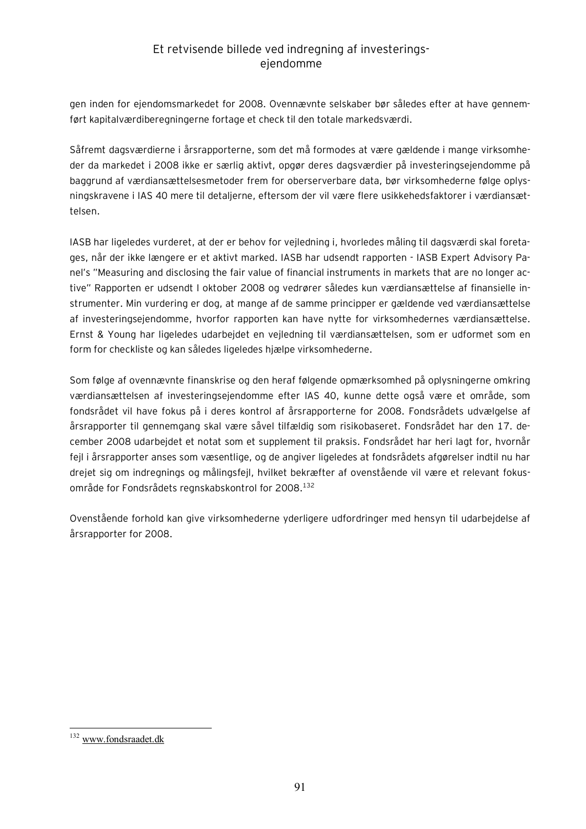gen inden for ejendomsmarkedet for 2008. Ovennævnte selskaber bør således efter at have gennemført kapitalværdiberegningerne fortage et check til den totale markedsværdi.

Såfremt dagsværdierne i årsrapporterne, som det må formodes at være gældende i mange virksomheder da markedet i 2008 ikke er særlig aktivt, opgør deres dagsværdier på investeringsejendomme på baggrund af værdiansættelsesmetoder frem for oberserverbare data, bør virksomhederne følge oplysningskravene i IAS 40 mere til detaljerne, eftersom der vil være flere usikkehedsfaktorer i værdiansættelsen.

IASB har ligeledes vurderet, at der er behov for vejledning i, hvorledes måling til dagsværdi skal foretages, når der ikke længere er et aktivt marked. IASB har udsendt rapporten - IASB Expert Advisory Panel's "Measuring and disclosing the fair value of financial instruments in markets that are no longer active" Rapporten er udsendt I oktober 2008 og vedrører således kun værdiansættelse af finansielle instrumenter. Min vurdering er dog, at mange af de samme principper er gældende ved værdiansættelse af investeringsejendomme, hvorfor rapporten kan have nytte for virksomhedernes værdiansættelse. Ernst & Young har ligeledes udarbejdet en vejledning til værdiansættelsen, som er udformet som en form for checkliste og kan således ligeledes hjælpe virksomhederne.

Som følge af ovennævnte finanskrise og den heraf følgende opmærksomhed på oplysningerne omkring værdiansættelsen af investeringsejendomme efter IAS 40, kunne dette også være et område, som fondsrådet vil have fokus på i deres kontrol af årsrapporterne for 2008. Fondsrådets udvælgelse af årsrapporter til gennemgang skal være såvel tilfældig som risikobaseret. Fondsrådet har den 17. december 2008 udarbejdet et notat som et supplement til praksis. Fondsrådet har heri lagt for, hvornår fejl i årsrapporter anses som væsentlige, og de angiver ligeledes at fondsrådets afgørelser indtil nu har drejet sig om indregnings og målingsfejl, hvilket bekræfter af ovenstående vil være et relevant fokusområde for Fondsrådets regnskabskontrol for 2008.<sup>132</sup>

Ovenstående forhold kan give virksomhederne yderligere udfordringer med hensyn til udarbejdelse af årsrapporter for 2008.

 $\overline{a}$ <sup>132</sup> [www.fondsraadet.dk](http://www.fondsraadet.dk)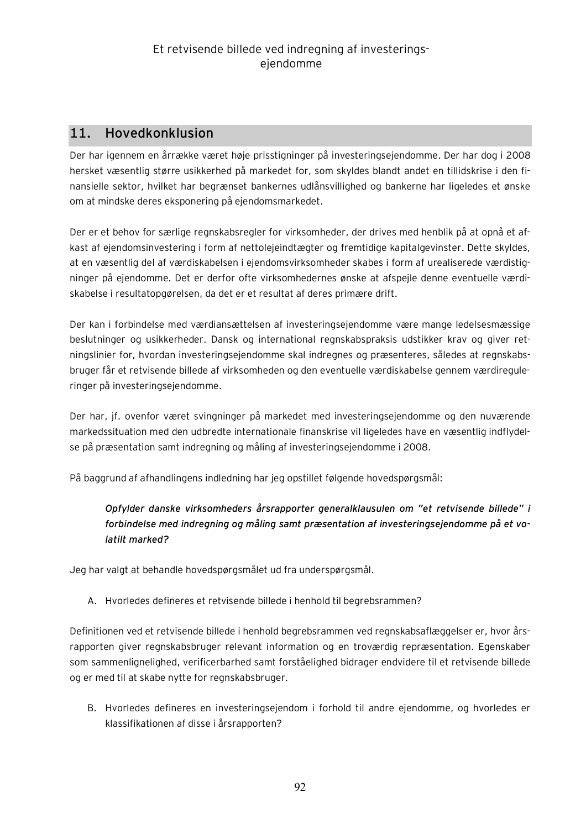# **11. Hovedkonklusion**

Der har igennem en årrække været høje prisstigninger på investeringsejendomme. Der har dog i 2008 hersket væsentlig større usikkerhed på markedet for, som skyldes blandt andet en tillidskrise i den finansielle sektor, hvilket har begrænset bankernes udlånsvillighed og bankerne har ligeledes et ønske om at mindske deres eksponering på ejendomsmarkedet.

Der er et behov for særlige regnskabsregler for virksomheder, der drives med henblik på at opnå et afkast af ejendomsinvestering i form af nettolejeindtægter og fremtidige kapitalgevinster. Dette skyldes, at en væsentlig del af værdiskabelsen i ejendomsvirksomheder skabes i form af urealiserede værdistigninger på ejendomme. Det er derfor ofte virksomhedernes ønske at afspejle denne eventuelle værdiskabelse i resultatopgørelsen, da det er et resultat af deres primære drift.

Der kan i forbindelse med værdiansættelsen af investeringsejendomme være mange ledelsesmæssige beslutninger og usikkerheder. Dansk og international regnskabspraksis udstikker krav og giver retningslinier for, hvordan investeringsejendomme skal indregnes og præsenteres, således at regnskabsbruger får et retvisende billede af virksomheden og den eventuelle værdiskabelse gennem værdireguleringer på investeringsejendomme.

Der har, jf. ovenfor været svingninger på markedet med investeringsejendomme og den nuværende markedssituation med den udbredte internationale finanskrise vil ligeledes have en væsentlig indflydelse på præsentation samt indregning og måling af investeringsejendomme i 2008.

På baggrund af afhandlingens indledning har jeg opstillet følgende hovedspørgsmål:

*Opfylder danske virksomheders årsrapporter generalklausulen om "et retvisende billede" i forbindelse med indregning og måling samt præsentation af investeringsejendomme på et volatilt marked?* 

Jeg har valgt at behandle hovedspørgsmålet ud fra underspørgsmål.

A. Hvorledes defineres et retvisende billede i henhold til begrebsrammen?

Definitionen ved et retvisende billede i henhold begrebsrammen ved regnskabsaflæggelser er, hvor årsrapporten giver regnskabsbruger relevant information og en troværdig repræsentation. Egenskaber som sammenlignelighed, verificerbarhed samt forståelighed bidrager endvidere til et retvisende billede og er med til at skabe nytte for regnskabsbruger.

B. Hvorledes defineres en investeringsejendom i forhold til andre ejendomme, og hvorledes er klassifikationen af disse i årsrapporten?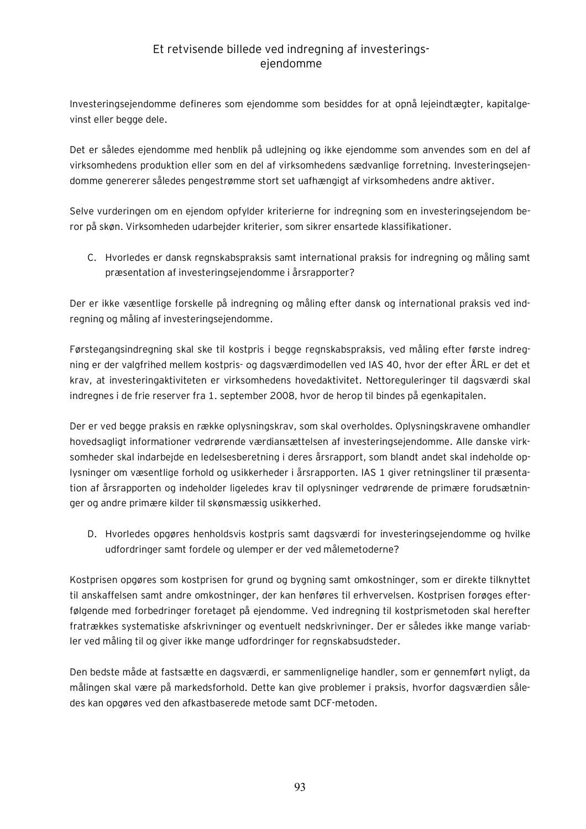Investeringsejendomme defineres som ejendomme som besiddes for at opnå lejeindtægter, kapitalgevinst eller begge dele.

Det er således ejendomme med henblik på udlejning og ikke ejendomme som anvendes som en del af virksomhedens produktion eller som en del af virksomhedens sædvanlige forretning. Investeringsejendomme genererer således pengestrømme stort set uafhængigt af virksomhedens andre aktiver.

Selve vurderingen om en ejendom opfylder kriterierne for indregning som en investeringsejendom beror på skøn. Virksomheden udarbejder kriterier, som sikrer ensartede klassifikationer.

C. Hvorledes er dansk regnskabspraksis samt international praksis for indregning og måling samt præsentation af investeringsejendomme i årsrapporter?

Der er ikke væsentlige forskelle på indregning og måling efter dansk og international praksis ved indregning og måling af investeringsejendomme.

Førstegangsindregning skal ske til kostpris i begge regnskabspraksis, ved måling efter første indregning er der valgfrihed mellem kostpris- og dagsværdimodellen ved IAS 40, hvor der efter ÅRL er det et krav, at investeringaktiviteten er virksomhedens hovedaktivitet. Nettoreguleringer til dagsværdi skal indregnes i de frie reserver fra 1. september 2008, hvor de herop til bindes på egenkapitalen.

Der er ved begge praksis en række oplysningskrav, som skal overholdes. Oplysningskravene omhandler hovedsagligt informationer vedrørende værdiansættelsen af investeringsejendomme. Alle danske virksomheder skal indarbejde en ledelsesberetning i deres årsrapport, som blandt andet skal indeholde oplysninger om væsentlige forhold og usikkerheder i årsrapporten. IAS 1 giver retningsliner til præsentation af årsrapporten og indeholder ligeledes krav til oplysninger vedrørende de primære forudsætninger og andre primære kilder til skønsmæssig usikkerhed.

D. Hvorledes opgøres henholdsvis kostpris samt dagsværdi for investeringsejendomme og hvilke udfordringer samt fordele og ulemper er der ved målemetoderne?

Kostprisen opgøres som kostprisen for grund og bygning samt omkostninger, som er direkte tilknyttet til anskaffelsen samt andre omkostninger, der kan henføres til erhvervelsen. Kostprisen forøges efterfølgende med forbedringer foretaget på ejendomme. Ved indregning til kostprismetoden skal herefter fratrækkes systematiske afskrivninger og eventuelt nedskrivninger. Der er således ikke mange variabler ved måling til og giver ikke mange udfordringer for regnskabsudsteder.

Den bedste måde at fastsætte en dagsværdi, er sammenlignelige handler, som er gennemført nyligt, da målingen skal være på markedsforhold. Dette kan give problemer i praksis, hvorfor dagsværdien således kan opgøres ved den afkastbaserede metode samt DCF-metoden.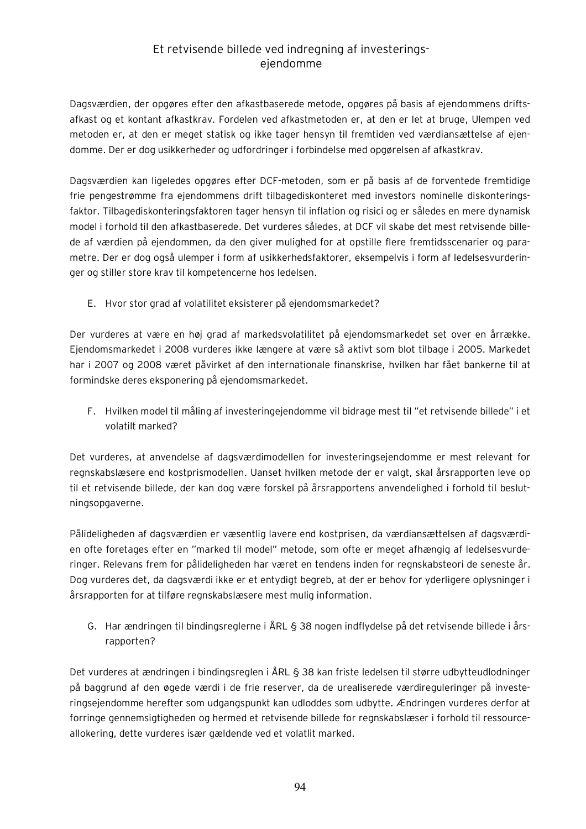Dagsværdien, der opgøres efter den afkastbaserede metode, opgøres på basis af ejendommens driftsafkast og et kontant afkastkrav. Fordelen ved afkastmetoden er, at den er let at bruge, Ulempen ved metoden er, at den er meget statisk og ikke tager hensyn til fremtiden ved værdiansættelse af ejendomme. Der er dog usikkerheder og udfordringer i forbindelse med opgørelsen af afkastkrav.

Dagsværdien kan ligeledes opgøres efter DCF-metoden, som er på basis af de forventede fremtidige frie pengestrømme fra ejendommens drift tilbagediskonteret med investors nominelle diskonteringsfaktor. Tilbagediskonteringsfaktoren tager hensyn til inflation og risici og er således en mere dynamisk model i forhold til den afkastbaserede. Det vurderes således, at DCF vil skabe det mest retvisende billede af værdien på ejendommen, da den giver mulighed for at opstille flere fremtidsscenarier og parametre. Der er dog også ulemper i form af usikkerhedsfaktorer, eksempelvis i form af ledelsesvurderinger og stiller store krav til kompetencerne hos ledelsen.

E. Hvor stor grad af volatilitet eksisterer på ejendomsmarkedet?

Der vurderes at være en høj grad af markedsvolatilitet på ejendomsmarkedet set over en årrække. Ejendomsmarkedet i 2008 vurderes ikke længere at være så aktivt som blot tilbage i 2005. Markedet har i 2007 og 2008 været påvirket af den internationale finanskrise, hvilken har fået bankerne til at formindske deres eksponering på ejendomsmarkedet.

F. Hvilken model til måling af investeringejendomme vil bidrage mest til "et retvisende billede" i et volatilt marked?

Det vurderes, at anvendelse af dagsværdimodellen for investeringsejendomme er mest relevant for regnskabslæsere end kostprismodellen. Uanset hvilken metode der er valgt, skal årsrapporten leve op til et retvisende billede, der kan dog være forskel på årsrapportens anvendelighed i forhold til beslutningsopgaverne.

Pålideligheden af dagsværdien er væsentlig lavere end kostprisen, da værdiansættelsen af dagsværdien ofte foretages efter en "marked til model" metode, som ofte er meget afhængig af ledelsesvurderinger. Relevans frem for pålideligheden har været en tendens inden for regnskabsteori de seneste år. Dog vurderes det, da dagsværdi ikke er et entydigt begreb, at der er behov for yderligere oplysninger i årsrapporten for at tilføre regnskabslæsere mest mulig information.

G. Har ændringen til bindingsreglerne i ÅRL § 38 nogen indflydelse på det retvisende billede i årsrapporten?

Det vurderes at ændringen i bindingsreglen i ÅRL § 38 kan friste ledelsen til større udbytteudlodninger på baggrund af den øgede værdi i de frie reserver, da de urealiserede værdireguleringer på investeringsejendomme herefter som udgangspunkt kan udloddes som udbytte. Ændringen vurderes derfor at forringe gennemsigtigheden og hermed et retvisende billede for regnskabslæser i forhold til ressourceallokering, dette vurderes især gældende ved et volatlit marked.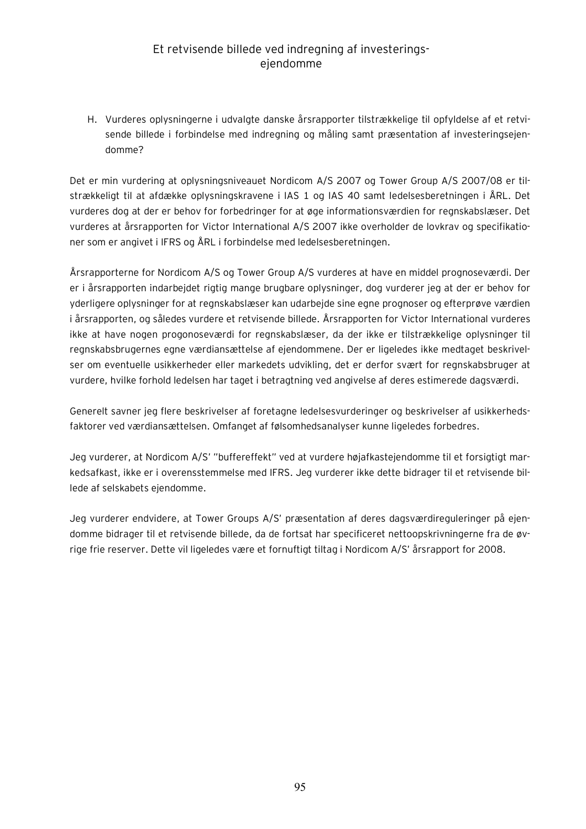H. Vurderes oplysningerne i udvalgte danske årsrapporter tilstrækkelige til opfyldelse af et retvisende billede i forbindelse med indregning og måling samt præsentation af investeringsejendomme?

Det er min vurdering at oplysningsniveauet Nordicom A/S 2007 og Tower Group A/S 2007/08 er tilstrækkeligt til at afdække oplysningskravene i IAS 1 og IAS 40 samt ledelsesberetningen i ÅRL. Det vurderes dog at der er behov for forbedringer for at øge informationsværdien for regnskabslæser. Det vurderes at årsrapporten for Victor International A/S 2007 ikke overholder de lovkrav og specifikationer som er angivet i IFRS og ÅRL i forbindelse med ledelsesberetningen.

Årsrapporterne for Nordicom A/S og Tower Group A/S vurderes at have en middel prognoseværdi. Der er i årsrapporten indarbejdet rigtig mange brugbare oplysninger, dog vurderer jeg at der er behov for yderligere oplysninger for at regnskabslæser kan udarbejde sine egne prognoser og efterprøve værdien i årsrapporten, og således vurdere et retvisende billede. Årsrapporten for Victor International vurderes ikke at have nogen progonoseværdi for regnskabslæser, da der ikke er tilstrækkelige oplysninger til regnskabsbrugernes egne værdiansættelse af ejendommene. Der er ligeledes ikke medtaget beskrivelser om eventuelle usikkerheder eller markedets udvikling, det er derfor svært for regnskabsbruger at vurdere, hvilke forhold ledelsen har taget i betragtning ved angivelse af deres estimerede dagsværdi.

Generelt savner jeg flere beskrivelser af foretagne ledelsesvurderinger og beskrivelser af usikkerhedsfaktorer ved værdiansættelsen. Omfanget af følsomhedsanalyser kunne ligeledes forbedres.

Jeg vurderer, at Nordicom A/S' "buffereffekt" ved at vurdere højafkastejendomme til et forsigtigt markedsafkast, ikke er i overensstemmelse med IFRS. Jeg vurderer ikke dette bidrager til et retvisende billede af selskabets ejendomme.

Jeg vurderer endvidere, at Tower Groups A/S' præsentation af deres dagsværdireguleringer på ejendomme bidrager til et retvisende billede, da de fortsat har specificeret nettoopskrivningerne fra de øvrige frie reserver. Dette vil ligeledes være et fornuftigt tiltag i Nordicom A/S' årsrapport for 2008.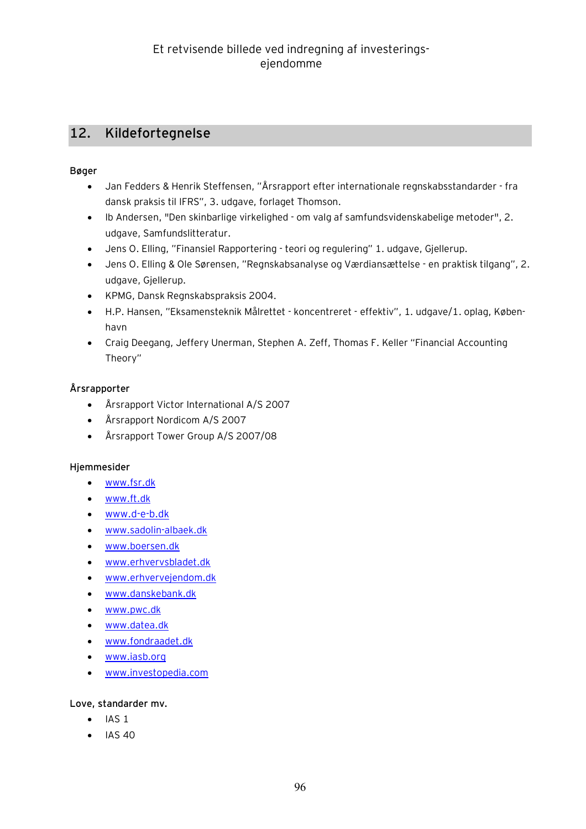# **12. Kildefortegnelse**

#### **Bøger**

- · Jan Fedders & Henrik Steffensen, "Årsrapport efter internationale regnskabsstandarder fra dansk praksis til IFRS", 3. udgave, forlaget Thomson.
- · Ib Andersen, "Den skinbarlige virkelighed om valg af samfundsvidenskabelige metoder", 2. udgave, Samfundslitteratur.
- · Jens O. Elling, "Finansiel Rapportering teori og regulering" 1. udgave, Gjellerup.
- · Jens O. Elling & Ole Sørensen, "Regnskabsanalyse og Værdiansættelse en praktisk tilgang", 2. udgave, Gjellerup.
- · KPMG, Dansk Regnskabspraksis 2004.
- · H.P. Hansen, "Eksamensteknik Målrettet koncentreret effektiv", 1. udgave/1. oplag, København
- · Craig Deegang, Jeffery Unerman, Stephen A. Zeff, Thomas F. Keller "Financial Accounting Theory"

### **Årsrapporter**

- · Årsrapport Victor International A/S 2007
- · Årsrapport Nordicom A/S 2007
- · Årsrapport Tower Group A/S 2007/08

#### **Hjemmesider**

- · [www.fsr.dk](http://www.fsr.dk)
- · [www.ft.dk](http://www.ft.dk)
- · [www.d-e-b.dk](http://www.d-e-b.dk)
- · [www.sadolin-albaek.dk](http://www.sadolin-albaek.dk)
- · [www.boersen.dk](http://www.boersen.dk)
- · [www.erhvervsbladet.dk](http://www.erhvervsbladet.dk)
- · [www.erhvervejendom.dk](http://www.erhvervejendom.dk)
- · [www.danskebank.dk](http://www.danskebank.dk)
- · [www.pwc.dk](http://www.pwc.dk)
- · [www.datea.dk](http://www.datea.dk)
- · [www.fondraadet.dk](http://www.fondraadet.dk)
- · [www.iasb.org](http://www.iasb.org)
- · [www.investopedia.com](http://www.investopedia.com)

#### **Love, standarder mv.**

- $\bullet$  IAS 1
- $\bullet$  IAS 40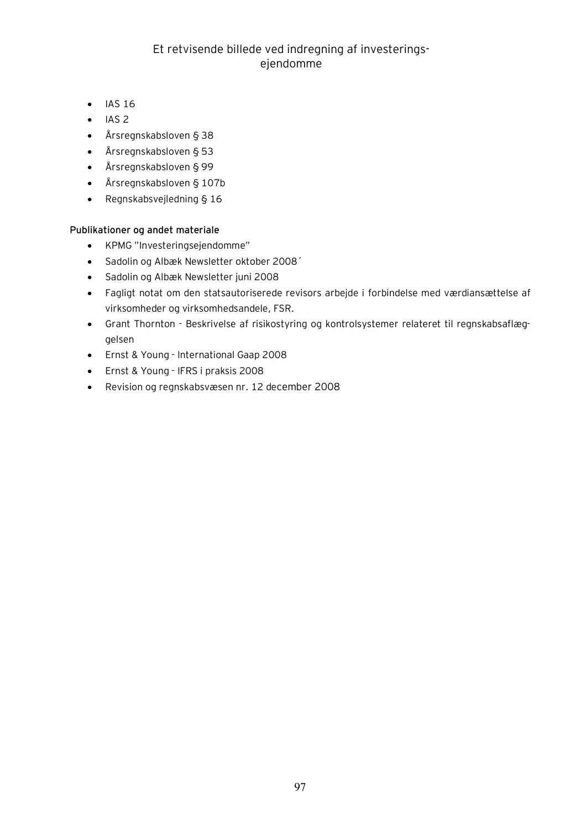- · IAS 16
- $\bullet$  IAS 2
- · Årsregnskabsloven § 38
- · Årsregnskabsloven § 53
- · Årsregnskabsloven § 99
- · Årsregnskabsloven § 107b
- · Regnskabsvejledning § 16

#### **Publikationer og andet materiale**

- · KPMG "Investeringsejendomme"
- · Sadolin og Albæk Newsletter oktober 2008´
- · Sadolin og Albæk Newsletter juni 2008
- · Fagligt notat om den statsautoriserede revisors arbejde i forbindelse med værdiansættelse af virksomheder og virksomhedsandele, FSR.
- · Grant Thornton Beskrivelse af risikostyring og kontrolsystemer relateret til regnskabsaflæggelsen
- · Ernst & Young International Gaap 2008
- · Ernst & Young IFRS i praksis 2008
- · Revision og regnskabsvæsen nr. 12 december 2008